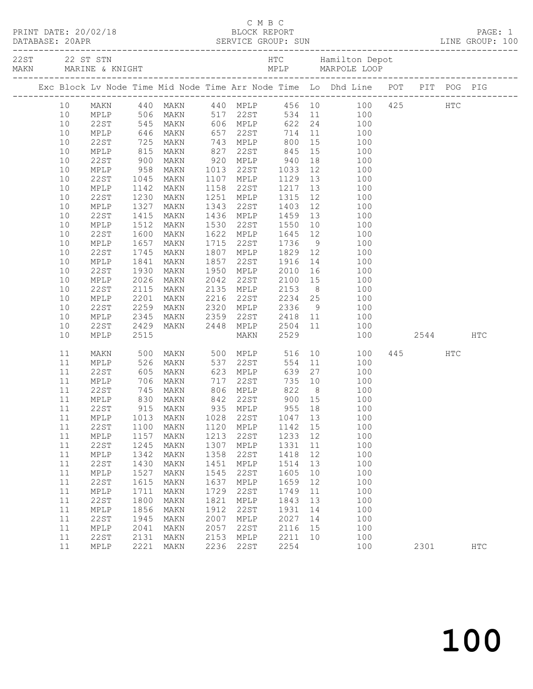|    |                 |                          |                                              |      | C M B C        |        |    |                                                                                                                                                                          |      |          |            |
|----|-----------------|--------------------------|----------------------------------------------|------|----------------|--------|----|--------------------------------------------------------------------------------------------------------------------------------------------------------------------------|------|----------|------------|
|    |                 |                          |                                              |      |                |        |    | 22 ST STN MARINE & KNIGHT AND HERE PROVIDED A MARINE & ROUGHT MARINE AND MPLP MARPOLE LOOP<br>MARN MARINE & KNIGHT MARINE MARPOLE LOOP MARPOLE AND MELP MARPOLE AND MELP |      |          |            |
|    |                 |                          |                                              |      |                |        |    | Exc Block Lv Node Time Mid Node Time Arr Node Time Lo Dhd Line POT PIT POG PIG                                                                                           |      |          |            |
| 10 |                 |                          |                                              |      |                |        |    | MAKN 440 MAKN 440 MPLP 456 10 100 425 HTC<br>MPLP 506 MAKN 517 22ST 534 11 100<br>22ST 545 MAKN 606 MPLP 622 24 100<br>MPLP 646 MAKN 657 22ST 714 11 100                 |      |          |            |
| 10 |                 |                          |                                              |      |                |        |    |                                                                                                                                                                          |      |          |            |
| 10 | 22ST            |                          |                                              |      |                |        |    |                                                                                                                                                                          |      |          |            |
| 10 |                 |                          |                                              |      |                |        |    |                                                                                                                                                                          |      |          |            |
| 10 | 22ST            | 725<br>815<br>900<br>958 | MAKN                                         |      | 743 MPLP 800   |        |    | 15 100                                                                                                                                                                   |      |          |            |
| 10 | MPLP            |                          | MAKN                                         |      |                |        |    | $\begin{array}{cc} 15 & \hspace{1.5cm} 100 \\ 18 & \hspace{1.5cm} 100 \end{array}$                                                                                       |      |          |            |
| 10 | 22ST            |                          | MAKN                                         |      |                |        |    |                                                                                                                                                                          |      |          |            |
| 10 | MPLP            |                          | MAKN 1013                                    |      | 22ST 1033      |        |    | 12 100                                                                                                                                                                   |      |          |            |
| 10 | 22ST            | 1045                     | MAKN                                         |      | 1107 MPLP 1129 |        |    | 13 100                                                                                                                                                                   |      |          |            |
| 10 | MPLP            | 1142<br>1230             | MAKN                                         |      |                |        |    | $\begin{array}{cc} 13 & \hspace{1.5cm} 100 \\ 12 & \hspace{1.5cm} 100 \end{array}$                                                                                       |      |          |            |
| 10 | 22ST            |                          | MAKN                                         |      |                |        |    |                                                                                                                                                                          |      |          |            |
| 10 | MPLP            | 1327                     | MAKN                                         | 1343 | 22ST 1403      |        |    | 12 100                                                                                                                                                                   |      |          |            |
| 10 | 22ST            | 1415                     | MAKN                                         |      | 1436 MPLP 1459 |        |    | 13 100                                                                                                                                                                   |      |          |            |
| 10 | MPLP            |                          | MAKN                                         | 1530 | 22ST           |        |    |                                                                                                                                                                          |      |          |            |
| 10 | 22ST            | 1512<br>1600<br>1657     | MAKN                                         |      | 1622 MPLP      |        |    | 1550  10  100<br>1645  12  100<br>1736  9  100                                                                                                                           |      |          |            |
| 10 | MPLP            |                          | MAKN                                         | 1715 | 22ST           | 1736   |    |                                                                                                                                                                          |      |          |            |
| 10 | 22ST            | 1745                     | MAKN                                         | 1807 |                |        |    | MPLP 1829 12 100                                                                                                                                                         |      |          |            |
| 10 | $\texttt{MPLP}$ | 1841<br>1930<br>2026     | MAKN                                         | 1857 |                |        |    | 22ST 1916 14 100<br>MPLP 2010 16 100<br>22ST 2100 15 100                                                                                                                 |      |          |            |
| 10 | 22ST            |                          | MAKN                                         |      | 1950 MPLP      |        |    |                                                                                                                                                                          |      |          |            |
| 10 | MPLP            |                          | MAKN                                         | 2042 |                |        |    |                                                                                                                                                                          |      |          |            |
| 10 | 22ST            | 2115                     | MAKN                                         |      |                |        |    | 2135 MPLP 2153 8 100                                                                                                                                                     |      |          |            |
| 10 | MPLP            | 2201                     | MAKN                                         | 2216 |                |        |    | 2216 22ST 2234 25 100<br>2320 MPLP 2336 9 100<br>2359 22ST 2418 11 100                                                                                                   |      |          |            |
| 10 | 22ST            | 2259<br>2345             | MAKN                                         |      |                |        |    |                                                                                                                                                                          |      |          |            |
| 10 | MPLP            |                          | MAKN 2359                                    |      |                |        |    |                                                                                                                                                                          |      |          |            |
| 10 | 22ST            | 2429                     | MAKN 2448                                    |      | MPLP           |        |    | 2504 11 100                                                                                                                                                              |      |          |            |
| 10 | MPLP            | 2515                     |                                              |      | <b>MAKN</b>    | 2529   |    | 100                                                                                                                                                                      |      | 2544 HTC |            |
| 11 | MAKN            | 500                      |                                              |      | MAKN 500 MPLP  | 516    |    | 10<br>100                                                                                                                                                                | 445  | HTC      |            |
| 11 | MPLP            | 526                      | MAKN                                         |      | 537 22ST       | 554    |    | 11<br>100                                                                                                                                                                |      |          |            |
| 11 | 22ST            |                          | 605 MAKN<br>706 MAKN<br>745 MAKN<br>830 MAKN |      | 623 MPLP       | 639    |    | 27<br>100                                                                                                                                                                |      |          |            |
| 11 | MPLP            |                          |                                              |      |                |        |    | $\begin{array}{ccc} 10 & & 100 \\ 8 & & 100 \end{array}$                                                                                                                 |      |          |            |
| 11 | 22ST            |                          | MAKN                                         |      |                |        |    | 100                                                                                                                                                                      |      |          |            |
| 11 | MPLP            |                          |                                              |      | 842 22ST       | 900 15 |    | 100                                                                                                                                                                      |      |          |            |
| 11 | 22ST            | 915                      | MAKN                                         | 935  | MPLP           | 955    | 18 | 100                                                                                                                                                                      |      |          |            |
| 11 | $\texttt{MPLP}$ | 1013                     | MAKN                                         | 1028 | 22ST           | 1047   | 13 | 100                                                                                                                                                                      |      |          |            |
| 11 | 22ST            | 1100                     | <b>MAKN</b>                                  | 1120 | MPLP           | 1142   | 15 | 100                                                                                                                                                                      |      |          |            |
| 11 | MPLP            | 1157                     | MAKN                                         | 1213 | 22ST           | 1233   | 12 | 100                                                                                                                                                                      |      |          |            |
| 11 | <b>22ST</b>     | 1245                     | MAKN                                         | 1307 | MPLP           | 1331   | 11 | 100                                                                                                                                                                      |      |          |            |
| 11 | $\texttt{MPLP}$ | 1342                     | MAKN                                         | 1358 | 22ST           | 1418   | 12 | 100                                                                                                                                                                      |      |          |            |
| 11 | <b>22ST</b>     | 1430                     | MAKN                                         | 1451 | MPLP           | 1514   | 13 | 100                                                                                                                                                                      |      |          |            |
| 11 | $\texttt{MPLP}$ | 1527                     | MAKN                                         | 1545 | 22ST           | 1605   | 10 | 100                                                                                                                                                                      |      |          |            |
| 11 | <b>22ST</b>     | 1615                     | MAKN                                         | 1637 | MPLP           | 1659   | 12 | 100                                                                                                                                                                      |      |          |            |
| 11 | $\texttt{MPLP}$ | 1711                     | MAKN                                         | 1729 | 22ST           | 1749   | 11 | 100                                                                                                                                                                      |      |          |            |
| 11 | <b>22ST</b>     | 1800                     | MAKN                                         | 1821 | MPLP           | 1843   | 13 | 100                                                                                                                                                                      |      |          |            |
| 11 | $\texttt{MPLP}$ | 1856                     | MAKN                                         | 1912 | 22ST           | 1931   | 14 | 100                                                                                                                                                                      |      |          |            |
| 11 | <b>22ST</b>     | 1945                     | MAKN                                         | 2007 | MPLP           | 2027   | 14 | 100                                                                                                                                                                      |      |          |            |
| 11 | $\texttt{MPLP}$ | 2041                     | MAKN                                         | 2057 | 22ST           | 2116   | 15 | 100                                                                                                                                                                      |      |          |            |
| 11 | 22ST            | 2131                     | MAKN                                         | 2153 | MPLP           | 2211   | 10 | 100                                                                                                                                                                      |      |          |            |
| 11 | MPLP            | 2221                     | MAKN                                         | 2236 | 22ST           | 2254   |    | 100                                                                                                                                                                      | 2301 |          | <b>HTC</b> |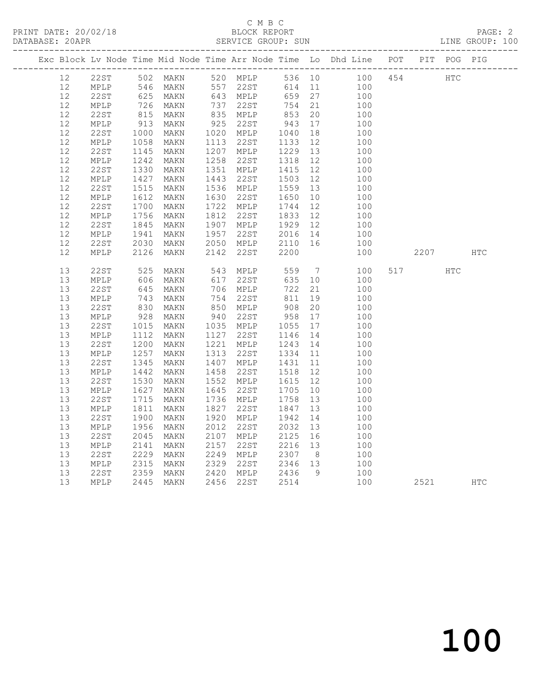#### C M B C<br>BLOCK REPORT SERVICE GROUP: SUN

|                   |                                |                                                             |                      |      |                             |                    |          | Exc Block Lv Node Time Mid Node Time Arr Node Time Lo Dhd Line POT PIT POG PIG |     |      |     |            |
|-------------------|--------------------------------|-------------------------------------------------------------|----------------------|------|-----------------------------|--------------------|----------|--------------------------------------------------------------------------------|-----|------|-----|------------|
| 12                | 22ST 502 MAKN<br>MPLP 546 MAKN |                                                             | 502 MAKN<br>546 MAKN |      | 520 MPLP                    |                    |          | 536 10 100<br>614 11 100                                                       | 454 | HTC  |     |            |
| $12 \overline{ }$ |                                |                                                             |                      |      | 557 22ST                    |                    |          |                                                                                |     |      |     |            |
| 12                | 22ST                           | 625<br>726                                                  | MAKN                 |      | 643 MPLP                    | 659                | 27       | 100                                                                            |     |      |     |            |
| 12                | MPLP                           |                                                             | MAKN                 |      | 737 22ST<br>835 MPLP        | 754                | 21       | 100                                                                            |     |      |     |            |
| 12                | 22ST                           | 815                                                         | MAKN                 |      |                             | 853                | 20       | 100                                                                            |     |      |     |            |
| 12                | MPLP                           | 913                                                         | MAKN                 | 925  | 22ST                        | 943                | 17       | 100                                                                            |     |      |     |            |
| 12                | 22ST                           | 1000                                                        | MAKN                 |      | 1020 MPLP                   | 1040               | 18       | 100                                                                            |     |      |     |            |
| 12                | MPLP                           | 1058<br>1145                                                | MAKN                 |      | 1113 22ST                   | 1133               | 12       | 100                                                                            |     |      |     |            |
| 12                | 22ST                           |                                                             | MAKN                 |      | 1207 MPLP                   | 1229               | 13       | 100                                                                            |     |      |     |            |
| 12                | MPLP                           | 1242<br>1330                                                | MAKN                 |      | 1258 22ST                   | 1318               | 12       | 100                                                                            |     |      |     |            |
| 12                | 22ST                           |                                                             | MAKN                 |      | 1351 MPLP                   | 1415               | 12       | 100                                                                            |     |      |     |            |
| 12                | MPLP                           | 1427                                                        | MAKN                 |      | 1443 22ST                   | 1503               | 12       | 100                                                                            |     |      |     |            |
| 12                | 22ST                           | 1515                                                        | MAKN                 |      | 1536 MPLP<br>1630 22ST      | 1559 13            |          | 100                                                                            |     |      |     |            |
| 12                | MPLP                           | $\begin{array}{c} 1612 \\ 1612 \\ 1700 \\ 1756 \end{array}$ | MAKN                 |      |                             | 1650               | 10       | 100                                                                            |     |      |     |            |
| 12<br>12          | 22ST                           | 1756                                                        | MAKN                 |      | 1722 MPLP<br>1812 22ST      | 1744<br>1833       | 12<br>12 | 100                                                                            |     |      |     |            |
| 12                | MPLP<br>22ST                   |                                                             | MAKN                 |      | 1907 MPLP                   | 1929               | 12       | 100                                                                            |     |      |     |            |
| 12                |                                | 1845<br>1941                                                | MAKN                 |      | 1957 22ST                   |                    |          | 100<br>100                                                                     |     |      |     |            |
| 12                | MPLP<br>22ST                   | 2030                                                        | MAKN<br>MAKN         |      | 2050 MPLP                   | 2016 14<br>2110 16 |          | 100                                                                            |     |      |     |            |
| 12                | MPLP                           | 2126                                                        | MAKN                 | 2142 | 22ST                        | 2200               |          | 100                                                                            |     | 2207 |     | <b>HTC</b> |
|                   |                                |                                                             |                      |      |                             |                    |          |                                                                                |     |      |     |            |
| 13                | 22ST                           | 525                                                         | MAKN                 |      | 543 MPLP                    | 559                |          | $7\overline{ }$<br>100                                                         | 517 |      | HTC |            |
| 13                | MPLP                           | 606                                                         | MAKN                 |      | 617 22ST                    | 635                | 10       | 100                                                                            |     |      |     |            |
| 13                | 22ST                           | 645                                                         | MAKN                 |      | 706 MPLP                    | 722                | 21       | 100                                                                            |     |      |     |            |
| 13                | MPLP                           | 743                                                         | MAKN                 |      | 754 22ST                    | 811                | 19       | 100                                                                            |     |      |     |            |
| 13                | 22ST                           | 830<br>928                                                  | MAKN                 |      | 850 MPLP                    | 908<br>958         | 20       | 100                                                                            |     |      |     |            |
| 13                | MPLP                           |                                                             | MAKN                 |      | 940 22ST                    |                    | 17       | 100                                                                            |     |      |     |            |
| 13                | 22ST                           | 1015<br>1112                                                | MAKN                 |      | 1035 MPLP                   | 1055<br>1146       | 17       | 100                                                                            |     |      |     |            |
| 13                | $\texttt{MPLP}$                |                                                             | MAKN                 |      | 1127 22ST                   | 1146               | 14       | 100                                                                            |     |      |     |            |
| 13                | 22ST                           | 1200                                                        | MAKN                 |      | 1221 MPLP                   | 1243               | 14       | 100                                                                            |     |      |     |            |
| 13                | MPLP                           | 1257                                                        | MAKN                 |      | 1313 22ST                   | 1334 11            |          | 100                                                                            |     |      |     |            |
| 13                | 22ST                           | 1345                                                        | MAKN                 |      | 1407 MPLP                   | 1431               | 11       | 100                                                                            |     |      |     |            |
| 13                | MPLP                           | $1442$<br>$1530$                                            | MAKN                 | 1458 | 22ST                        | 1518               | 12       | 100                                                                            |     |      |     |            |
| 13                | 22ST                           |                                                             | MAKN                 |      | 1552 MPLP                   | 1615               | 12       | 100                                                                            |     |      |     |            |
| 13                | MPLP                           | 1627<br>1627<br>1715                                        | MAKN                 |      | 1645 22ST                   | 1705               | 10       | 100                                                                            |     |      |     |            |
| 13                | 22ST                           |                                                             | MAKN                 |      | 1736 MPLP                   | 1758               | 13       | 100                                                                            |     |      |     |            |
| 13                | MPLP                           | 1811                                                        | MAKN                 | 1827 | 22ST                        | 1847               | 13       | 100                                                                            |     |      |     |            |
| 13                | 22ST                           | 1900                                                        | MAKN                 |      | 1920 MPLP                   | 1942               | 14       | 100                                                                            |     |      |     |            |
| 13                | MPLP                           | 1956                                                        | MAKN                 |      | 2012 22ST                   | 2032               | 13       | 100                                                                            |     |      |     |            |
| 13                | 22ST                           | 2045                                                        | MAKN                 |      | 2107 MPLP                   | 2125<br>2216 13    | 16       | 100                                                                            |     |      |     |            |
| 13                | MPLP                           | 2141                                                        | MAKN                 |      | 2157 22ST                   |                    |          | 100                                                                            |     |      |     |            |
| 13                | 22ST                           | 2229                                                        | MAKN                 |      | 2249 MPLP                   | 2307 8<br>2346 13  |          | 100                                                                            |     |      |     |            |
| 13                | MPLP                           | 2315                                                        | MAKN                 |      | 2329 22ST                   |                    | 9        | 100                                                                            |     |      |     |            |
| 13<br>13          | 22ST                           | 2359                                                        | MAKN                 |      | 2420 MPLP 2436<br>2456 22ST |                    |          | 100                                                                            |     |      |     |            |
|                   | MPLP                           |                                                             | 2445 MAKN            |      |                             | 2514               |          | 100                                                                            |     | 2521 |     | <b>HTC</b> |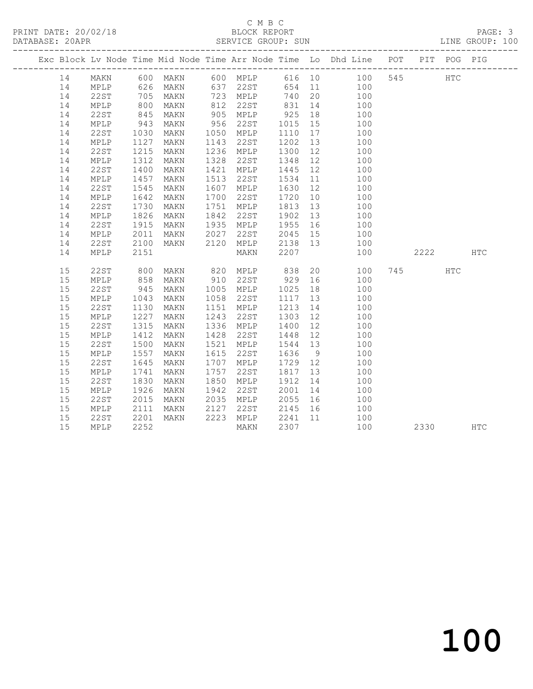# C M B C<br>BLOCK REPORT

LINE GROUP: 100

|    |      |            |           |      |                   |              |    | Exc Block Lv Node Time Mid Node Time Arr Node Time Lo Dhd Line POT                                              |          | PIT POG PIG |  |
|----|------|------------|-----------|------|-------------------|--------------|----|-----------------------------------------------------------------------------------------------------------------|----------|-------------|--|
| 14 |      |            |           |      |                   |              |    |                                                                                                                 |          | HTC         |  |
| 14 |      |            |           |      |                   |              |    | MAKN 600 MAKN 600 MPLP 616 10 100 545<br>MPLP 626 MAKN 637 22ST 654 11 100<br>22ST 705 MAKN 723 MPLP 740 20 100 |          |             |  |
| 14 |      |            |           |      |                   |              |    |                                                                                                                 |          |             |  |
| 14 | MPLP | 800        | MAKN      |      | 812 22ST          |              |    | 831 14 100                                                                                                      |          |             |  |
| 14 | 22ST | 845        | MAKN      |      | 905 MPLP          | 925          | 18 | 100                                                                                                             |          |             |  |
| 14 | MPLP | 943        | MAKN      | 956  | 22ST              | 1015         | 15 | 100                                                                                                             |          |             |  |
| 14 | 22ST | 1030       | MAKN      |      | 1050 MPLP         | 1110         | 17 | 100                                                                                                             |          |             |  |
| 14 | MPLP | 1127       | MAKN      | 1143 | 22ST              | 1202         | 13 | 100                                                                                                             |          |             |  |
| 14 | 22ST | 1215       | MAKN      |      | 1236 MPLP         | 1300         | 12 | 100                                                                                                             |          |             |  |
| 14 | MPLP | 1312       | MAKN      | 1328 | 22ST              | 1348         | 12 | 100                                                                                                             |          |             |  |
| 14 | 22ST | 1400       | MAKN      |      | 1421 MPLP         | 1445 12      |    | 100                                                                                                             |          |             |  |
| 14 | MPLP | 1457       | MAKN      | 1513 | 22ST              | 1534         |    | $\begin{array}{c} 11 \\ 100 \end{array}$                                                                        |          |             |  |
| 14 | 22ST | 1545       | MAKN      | 1607 | MPLP              | 1630 12      |    | 100                                                                                                             |          |             |  |
| 14 | MPLP | 1642       | MAKN      | 1700 | 22ST              | 1720         | 10 | 100                                                                                                             |          |             |  |
| 14 | 22ST | 1730       | MAKN      | 1751 | MPLP              | 1813         | 13 | $\frac{100}{100}$                                                                                               |          |             |  |
| 14 | MPLP | 1826       | MAKN      | 1842 | 22ST              | 1902         | 13 |                                                                                                                 |          |             |  |
| 14 | 22ST | 1915       | MAKN      |      | 1935 MPLP         | 1955 16      |    | 100                                                                                                             |          |             |  |
| 14 | MPLP | 2011       | MAKN 2027 |      | 22ST              | 2045 15      |    | 100                                                                                                             |          |             |  |
| 14 | 22ST | 2100       | MAKN      | 2120 |                   | MPLP 2138 13 |    | 100                                                                                                             |          |             |  |
| 14 | MPLP | 2151       |           |      | MAKN              | 2207         |    | 100                                                                                                             | 2222 HTC |             |  |
| 15 | 22ST | 800        | MAKN      |      | 820 MPLP          | 838          |    | 20<br>100                                                                                                       | 745      | HTC         |  |
| 15 | MPLP |            | MAKN      | 910  | 22ST              | 929          |    | 16 100                                                                                                          |          |             |  |
| 15 | 22ST | 858<br>945 | MAKN      |      | 1005 MPLP         | 1025         |    |                                                                                                                 |          |             |  |
| 15 | MPLP | 1043       | MAKN      | 1058 | 22ST              | 1117         |    | $\begin{array}{cc} 18 & \hspace{1.5cm} 100 \\ 13 & \hspace{1.5cm} 100 \end{array}$                              |          |             |  |
| 15 | 22ST | 1130       | MAKN      | 1151 | MPLP              | 1213         | 14 | 100                                                                                                             |          |             |  |
| 15 | MPLP | 1227       | MAKN      | 1243 | 22ST              | 1303         |    | 12 and $\overline{a}$<br>100                                                                                    |          |             |  |
| 15 | 22ST | 1315       | MAKN      | 1336 | MPLP              | 1400         | 12 | 100                                                                                                             |          |             |  |
| 15 | MPLP | 1412       | MAKN      | 1428 | 22ST              | 1448 12      |    | 100                                                                                                             |          |             |  |
| 15 | 22ST | 1500       | MAKN      | 1521 | MPLP              | 1544 13      |    | 100                                                                                                             |          |             |  |
| 15 | MPLP | 1557       | MAKN      | 1615 | 22ST              | 1636         | 9  | 100                                                                                                             |          |             |  |
| 15 | 22ST | 1645       | MAKN      | 1707 | MPLP              | 1729 12      |    | 100                                                                                                             |          |             |  |
| 15 | MPLP | 1741       | MAKN      | 1757 | 22ST              | 1817         | 13 | 100                                                                                                             |          |             |  |
| 15 | 22ST | 1830       | MAKN      |      | 1850 MPLP         | 1912         | 14 | 100                                                                                                             |          |             |  |
| 15 | MPLP | 1926       | MAKN      | 1942 | 22ST              | 2001         |    | 14 100                                                                                                          |          |             |  |
| 15 | 22ST | 2015       | MAKN      | 2035 | MPLP              |              |    | 2055 16 100                                                                                                     |          |             |  |
| 15 | MPLP | 2111       | MAKN      | 2127 | 22ST              | 2145 16      |    | 100                                                                                                             |          |             |  |
| 15 | 22ST | 2201       | MAKN      |      | 2223 MPLP 2241 11 |              |    | $\begin{array}{c}\n100\n\end{array}$                                                                            |          |             |  |
| 15 | MPLP | 2252       |           |      | MAKN              | 2307         |    | 100                                                                                                             | 2330 HTC |             |  |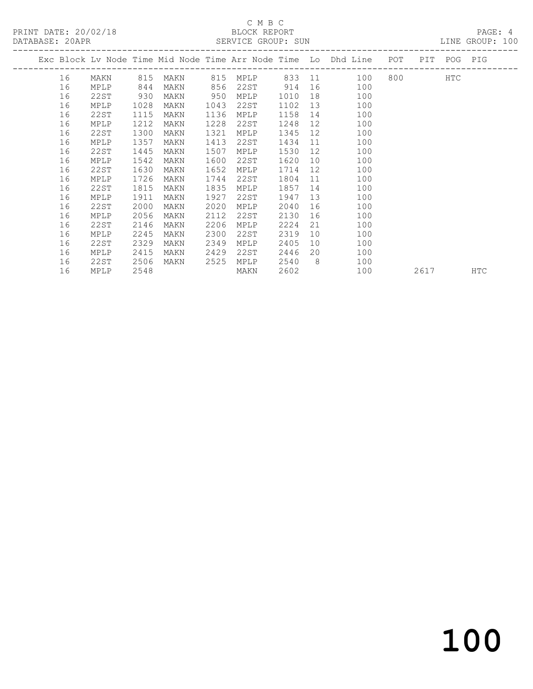#### C M B C<br>BLOCK REPORT SERVICE GROUP: SUN

|    |             |      |      |      |      |      |                 | Exc Block Lv Node Time Mid Node Time Arr Node Time Lo Dhd Line | POT             | PIT     | POG PIG |            |
|----|-------------|------|------|------|------|------|-----------------|----------------------------------------------------------------|-----------------|---------|---------|------------|
| 16 | MAKN        | 815  | MAKN | 815  | MPLP |      |                 | ---------------<br>833 11 100                                  | --------------- | 800 100 | HTC     |            |
| 16 | MPLP        | 844  | MAKN | 856  | 22ST | 914  | 16              | 100                                                            |                 |         |         |            |
| 16 | 22ST        | 930  | MAKN | 950  | MPLP | 1010 | 18              | 100                                                            |                 |         |         |            |
| 16 | MPLP        | 1028 | MAKN | 1043 | 22ST | 1102 | 13 <sup>°</sup> | 100                                                            |                 |         |         |            |
| 16 | 22ST        | 1115 | MAKN | 1136 | MPLP | 1158 | 14              | 100                                                            |                 |         |         |            |
| 16 | <b>MPLP</b> | 1212 | MAKN | 1228 | 22ST | 1248 | 12 <sup>°</sup> | 100                                                            |                 |         |         |            |
| 16 | 22ST        | 1300 | MAKN | 1321 | MPLP | 1345 | 12              | 100                                                            |                 |         |         |            |
| 16 | MPLP        | 1357 | MAKN | 1413 | 22ST | 1434 | 11              | 100                                                            |                 |         |         |            |
| 16 | 22ST        | 1445 | MAKN | 1507 | MPLP | 1530 | 12 <sup>°</sup> | 100                                                            |                 |         |         |            |
| 16 | MPLP        | 1542 | MAKN | 1600 | 22ST | 1620 | 10              | 100                                                            |                 |         |         |            |
| 16 | 22ST        | 1630 | MAKN | 1652 | MPLP | 1714 | 12              | 100                                                            |                 |         |         |            |
| 16 | MPLP        | 1726 | MAKN | 1744 | 22ST | 1804 | 11              | 100                                                            |                 |         |         |            |
| 16 | 22ST        | 1815 | MAKN | 1835 | MPLP | 1857 | 14              | 100                                                            |                 |         |         |            |
| 16 | MPLP        | 1911 | MAKN | 1927 | 22ST | 1947 | 13              | 100                                                            |                 |         |         |            |
| 16 | 22ST        | 2000 | MAKN | 2020 | MPLP | 2040 | 16              | 100                                                            |                 |         |         |            |
| 16 | MPLP        | 2056 | MAKN | 2112 | 22ST | 2130 | 16              | 100                                                            |                 |         |         |            |
| 16 | 22ST        | 2146 | MAKN | 2206 | MPLP | 2224 | 21              | 100                                                            |                 |         |         |            |
| 16 | MPLP        | 2245 | MAKN | 2300 | 22ST | 2319 | 10              | 100                                                            |                 |         |         |            |
| 16 | 22ST        | 2329 | MAKN | 2349 | MPLP | 2405 | 10              | 100                                                            |                 |         |         |            |
| 16 | MPLP        | 2415 | MAKN | 2429 | 22ST | 2446 | 20              | 100                                                            |                 |         |         |            |
| 16 | 22ST        | 2506 | MAKN | 2525 | MPLP | 2540 | - 8             | 100                                                            |                 |         |         |            |
| 16 | MPLP        | 2548 |      |      | MAKN | 2602 |                 | 100                                                            |                 | 2617    |         | <b>HTC</b> |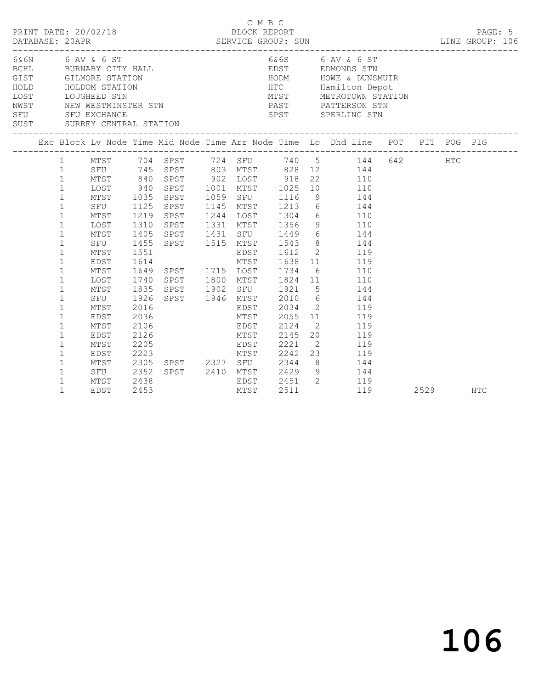| PRINT DATE: 20/02/18<br>DATABASE: 20APR                                                                       |                                                                                                                                                                                                                                                                                                        |                                                                                                                                                               |                                                                                                      |  |      | C M B C<br>BLOCK REPORT                                                         |                                                                                                                                                                                                                                                                                                                                                                                                                                                                                                                                                                                                                                                                                                                   |      | PAGE: 5    |
|---------------------------------------------------------------------------------------------------------------|--------------------------------------------------------------------------------------------------------------------------------------------------------------------------------------------------------------------------------------------------------------------------------------------------------|---------------------------------------------------------------------------------------------------------------------------------------------------------------|------------------------------------------------------------------------------------------------------|--|------|---------------------------------------------------------------------------------|-------------------------------------------------------------------------------------------------------------------------------------------------------------------------------------------------------------------------------------------------------------------------------------------------------------------------------------------------------------------------------------------------------------------------------------------------------------------------------------------------------------------------------------------------------------------------------------------------------------------------------------------------------------------------------------------------------------------|------|------------|
| 6&6N 6 AV & 6 ST<br>BCHL BURNABY CITY HALL<br>GIST GILMORE STATION<br>HOLD HOLDOM STATION<br>TOUCHEEN STATION |                                                                                                                                                                                                                                                                                                        |                                                                                                                                                               |                                                                                                      |  |      |                                                                                 | HODM HOWE & DUNSMUIR<br>HTC Hamilton Depot<br>MTST METROTOWN STATION<br>LOST LOUGHEED STN METROTOWN STAT<br>NWST NEW WESTMINSTER STN PAST PATTERSON STN<br>SFU SFU EXCHANGE STATION SPST SPERLING STN<br>SUST SURREY CENTRAL STATION SPST SPERLING STN                                                                                                                                                                                                                                                                                                                                                                                                                                                            |      |            |
|                                                                                                               |                                                                                                                                                                                                                                                                                                        |                                                                                                                                                               |                                                                                                      |  |      |                                                                                 | Exc Block Lv Node Time Mid Node Time Arr Node Time Lo Dhd Line POT PIT POG PIG                                                                                                                                                                                                                                                                                                                                                                                                                                                                                                                                                                                                                                    |      |            |
|                                                                                                               | $\mathbf{1}$<br>$\mathbf{1}$<br>$\mathbf{1}$<br>$\mathbf{1}$<br>$\mathbf{1}$<br>$\mathbf{1}$<br>$\mathbf{1}$<br>$\mathbf{1}$<br>$\mathbf{1}$<br>$\mathbf{1}$<br>$\mathbf{1}$<br>$\mathbf{1}$<br>$\mathbf{1}$<br>1<br>$\mathbf{1}$<br>1<br>$\mathbf{1}$<br>$\mathbf{1}$<br>$\mathbf{1}$<br>$\mathbf{1}$ | MTST<br>SFU<br>MTST<br>LOST<br>MTST<br>SFU<br>MTST<br>EDST<br>MTST<br>LOST<br>MTST<br>SFU<br>MTST<br>EDST<br>MTST<br>EDST<br>MTST<br>EDST<br>MTST<br>SFU 2352 | 1125<br>1219<br>1310<br>1405<br>1455<br>1551<br>1926<br>2016<br>2036<br>2106<br>2126<br>2205<br>2223 |  |      | SPST 1515 MTST 1543<br>EDST<br>MTST 2055<br>EDST 2124<br>MTST 2145<br>EDST 2221 | 1 MTST 704 SPST 724 SFU 740 5 144 642 HTC<br>1 SFU 745 SPST 803 MTST 828 12 144<br>1 MTST 840 SPST 902 LOST 918 22 110<br>1 LOST 940 SPST 1001 MTST 1025 10 110<br>1035 SPST 1059 SFU 1116 9 144<br>SPST 1145 MTST 1213 6 144<br>SPST 1244 LOST 1304 6 110<br>SPST 1331 MTST 1356 9 110<br>SPST 1431 SFU 1449 6 144<br>8 144<br>1612 2 119<br>1614<br>1614<br>1649 SPST 1715 LOST 1734 6 110<br>1740 SPST 1800 MTST 1824 11 110<br>1835 SPST 1902 SFU 1921 5 144<br>SPST 1946 MTST 2010 6 144<br>EDST 2034 2 119<br>11 119<br>2 119<br>$\begin{array}{cc} 20 & \hspace{1.5cm} 119 \\ 2 & \hspace{1.5cm} 119 \end{array}$<br>---<br>MTST 2242 23 119<br>2305 SPST 2327 SFU 2344 8 144<br>SPST 2410 MTST 2429 9 144 |      |            |
|                                                                                                               | $\mathbf{1}$<br>$\mathbf 1$                                                                                                                                                                                                                                                                            | MTST<br>EDST                                                                                                                                                  | 2438<br>2453                                                                                         |  | MTST | 2511                                                                            | EDST 2451 2 119<br>MTST 2511 119<br>119                                                                                                                                                                                                                                                                                                                                                                                                                                                                                                                                                                                                                                                                           | 2529 | <b>HTC</b> |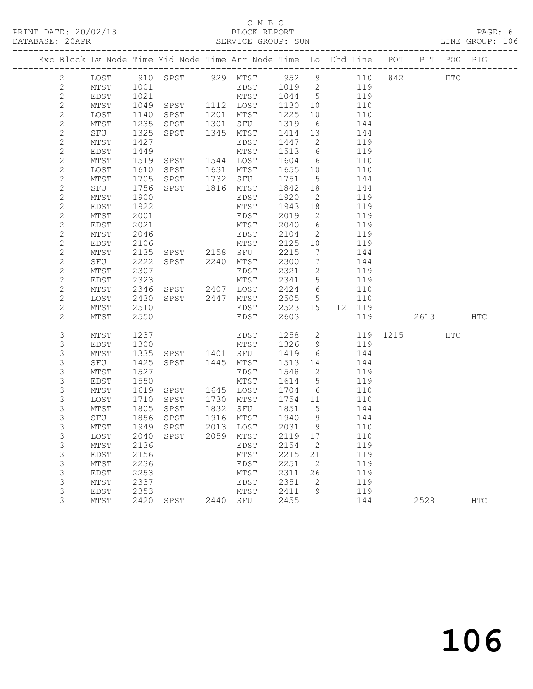#### C M B C<br>BLOCK REPORT SERVICE GROUP: SUN

| Exc Block Lv Node Time Mid Node Time Arr Node Time Lo Dhd Line POT PIT POG PIG |              |              |                                          |      |                   |              |                          |            |              |          |     |
|--------------------------------------------------------------------------------|--------------|--------------|------------------------------------------|------|-------------------|--------------|--------------------------|------------|--------------|----------|-----|
| $\mathbf{2}$                                                                   |              |              | LOST 910 SPST 929 MTST 952 9 110 842 HTC |      |                   |              |                          |            |              |          |     |
| $\mathbf{2}$                                                                   | MTST         | 1001         |                                          |      | $EDST$ $1019$ $2$ |              |                          | 119        |              |          |     |
| $\sqrt{2}$                                                                     | EDST         | 1021         |                                          |      | MTST 1044 5       |              |                          | 119        |              |          |     |
| $\mathbf{2}$                                                                   | MTST         | 1049         | SPST 1112 LOST                           |      |                   | 1130         | 10                       | 110        |              |          |     |
| $\mathbf{2}$                                                                   | LOST         | 1140         | SPST                                     |      | 1201 MTST         | 1225         | 10                       | 110        |              |          |     |
| $\mathbf{2}$                                                                   | MTST         | 1235         | SPST                                     |      | 1301 SFU          | 1319         | 6                        | 144        |              |          |     |
| $\mathbf{2}$                                                                   | SFU          | 1325         | SPST                                     |      | 1345 MTST         | 1414 13      |                          | 144        |              |          |     |
| $\mathbf{2}$                                                                   | MTST         | 1427         |                                          |      | EDST              | 1447 2       |                          | 119        |              |          |     |
| $\sqrt{2}$                                                                     | EDST         | 1449         |                                          |      | MTST              | 1513 6       |                          | 119        |              |          |     |
| $\mathbf{2}$                                                                   | MTST         | 1519         | SPST 1544 LOST                           |      |                   | 1604 6       |                          | 110        |              |          |     |
| $\overline{c}$                                                                 | LOST         | 1610         | SPST 1631 MTST                           |      |                   | 1655 10      |                          | 110        |              |          |     |
| $\mathbf{2}$                                                                   | MTST         | 1705         | SPST 1732 SFU                            |      |                   | 1751         | $5\overline{)}$          | 144        |              |          |     |
| $\overline{c}$                                                                 | SFU          | 1756         | SPST 1816 MTST                           |      |                   | 1842 18      |                          | 144        |              |          |     |
| $\mathbf{2}$                                                                   | MTST         | 1900         |                                          |      | EDST              | 1920         | $\overline{2}$           | 119        |              |          |     |
| $\sqrt{2}$                                                                     | EDST         | 1922         |                                          |      | MTST              | 1943         | 18                       | 119        |              |          |     |
| $\mathbf{2}$                                                                   | MTST         | 2001         |                                          |      | EDST              | 2019         | $\overline{\phantom{a}}$ | 119        |              |          |     |
| $\mathbf{2}$                                                                   | EDST         | 2021         |                                          |      | MTST              | 2040         | 6                        | 119        |              |          |     |
| $\mathbf{2}$                                                                   | MTST         | 2046         |                                          |      | EDST              | 2104         | $\overline{2}$           | 119        |              |          |     |
| $\sqrt{2}$                                                                     | EDST         | 2106         |                                          |      | MTST              | 2125 10      |                          | 119        |              |          |     |
| $\mathbf{2}$                                                                   | MTST         | 2135         | SPST 2158 SFU                            |      |                   | 2215         | $\overline{7}$           | 144        |              |          |     |
| $\mathbf{2}$                                                                   | SFU          | 2222         | SPST 2240 MTST                           |      |                   | 2300         | $\overline{7}$           | 144        |              |          |     |
| $\mathbf{2}$                                                                   | MTST         | 2307         |                                          |      | EDST              | 2321         | $\overline{2}$           | 119        |              |          |     |
| $\mathbf{2}$                                                                   | EDST         | 2323         |                                          |      | MTST              | 2341 5       |                          | 119        |              |          |     |
| $\mathbf{2}$                                                                   | MTST         | 2346         | SPST 2407 LOST                           |      |                   | 2424 6       |                          | 110        |              |          |     |
| $\overline{c}$                                                                 | LOST         | 2430         | SPST 2447 MTST                           |      |                   | 2505 5       |                          | 110        |              |          |     |
| $\mathbf{2}$                                                                   | MTST         | 2510         |                                          |      | EDST              | 2523 15      |                          | 12 119     |              |          |     |
| $\mathbf{2}$                                                                   | MTST         | 2550         |                                          |      | EDST              | 2603         |                          | 119        |              | 2613 HTC |     |
| 3                                                                              | MTST         | 1237         |                                          |      | EDST              | 1258 2       |                          |            | 119 1215 HTC |          |     |
| 3                                                                              | EDST         | 1300         |                                          |      | MTST              | 1326 9       |                          | 119        |              |          |     |
| $\mathsf S$                                                                    | MTST         | 1335         | SPST 1401 SFU                            |      |                   | 1419         | 6                        | 144        |              |          |     |
| $\mathsf S$                                                                    | SFU          | 1425         | SPST 1445 MTST                           |      |                   | 1513 14      |                          | 144        |              |          |     |
| 3                                                                              | MTST         | 1527         |                                          |      | EDST              | 1548         | $\overline{2}$           | 119        |              |          |     |
| $\mathsf S$                                                                    | EDST         | 1550         |                                          |      | MTST              | 1614         | $5\overline{)}$          | 119        |              |          |     |
| $\mathsf S$                                                                    | MTST         | 1619         | SPST                                     |      | 1645 LOST         | 1704         | 6                        | 110        |              |          |     |
| 3                                                                              | LOST         | 1710         | SPST                                     | 1730 | MTST              | 1754 11      |                          | 110        |              |          |     |
| 3                                                                              | MTST         | 1805         | SPST                                     | 1832 | SFU               | 1851         | $5\overline{)}$          | 144        |              |          |     |
| $\mathsf S$                                                                    | SFU          | 1856         | SPST                                     |      | 1916 MTST         | 1940 9       |                          | 144        |              |          |     |
| $\mathsf S$                                                                    | MTST         | 1949         | SPST                                     |      | 2013 LOST         | 2031 9       |                          | 110        |              |          |     |
| 3                                                                              |              |              | LOST 2040 SPST 2059 MTST 2119 17         |      |                   |              |                          | 110        |              |          |     |
| 3                                                                              | MTST         | 2136         |                                          |      | EDST              | 2154         | 2                        | 119        |              |          |     |
| 3                                                                              | EDST         | 2156         |                                          |      | MTST              | 2215         | 21                       | 119        |              |          |     |
| 3                                                                              | MTST         | 2236         |                                          |      | EDST              | 2251         | 2                        | 119        |              |          |     |
| 3                                                                              | EDST         | 2253         |                                          |      | MTST              | 2311         | 26                       | 119        |              |          |     |
| 3<br>3                                                                         | MTST         | 2337         |                                          |      | EDST              | 2351         | 2                        | 119        |              |          |     |
| 3                                                                              | EDST<br>MTST | 2353<br>2420 | SPST                                     |      | MTST<br>2440 SFU  | 2411<br>2455 | 9                        | 119<br>144 |              | 2528     | HTC |
|                                                                                |              |              |                                          |      |                   |              |                          |            |              |          |     |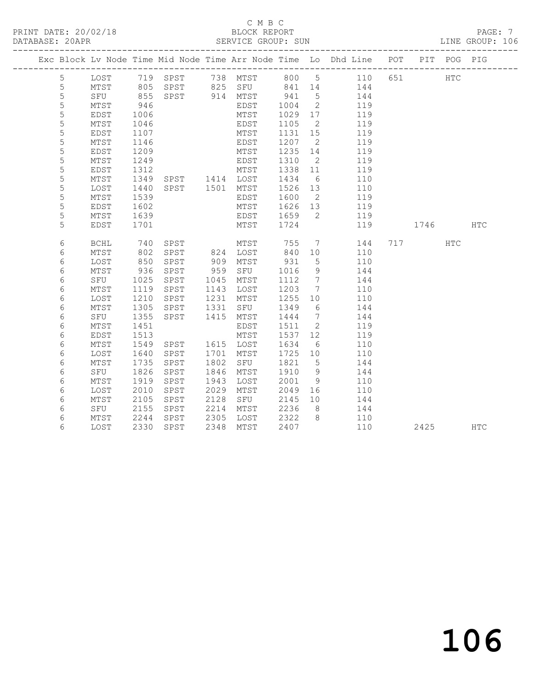#### C M B C<br>BLOCK REPORT SERVICE GROUP: SUN

|             |              |              |                            |      |              |                 |                          | Exc Block Lv Node Time Mid Node Time Arr Node Time Lo Dhd Line POT |     |      | PIT POG PIG |            |
|-------------|--------------|--------------|----------------------------|------|--------------|-----------------|--------------------------|--------------------------------------------------------------------|-----|------|-------------|------------|
| 5           | LOST         |              |                            |      |              |                 |                          |                                                                    | 651 |      | HTC         |            |
| 5           | MTST         |              |                            |      |              |                 |                          |                                                                    |     |      |             |            |
| 5           | SFU          | 855          | SPST 914 MTST              |      |              | 941             | $5^{\circ}$              | 144                                                                |     |      |             |            |
| 5           | MTST         | 946          |                            |      | EDST         | 1004            | $\overline{\phantom{a}}$ | 119                                                                |     |      |             |            |
| 5           | EDST         | 1006         |                            |      | MTST         | 1029            | 17                       | 119                                                                |     |      |             |            |
| $\mathsf S$ | MTST         | 1046         |                            |      | EDST         | 1105            | $\overline{2}$           | 119                                                                |     |      |             |            |
| 5           | EDST         | 1107         |                            |      | MTST         | 1131            | 15                       | 119                                                                |     |      |             |            |
| 5           | MTST         | 1146         |                            |      | EDST         | 1207            | $\overline{2}$           | 119                                                                |     |      |             |            |
| 5           | EDST         | 1209         |                            |      | MTST         | 1235            | 14                       | 119                                                                |     |      |             |            |
| 5           | MTST         | 1249         |                            |      | EDST         | 1310            | $\overline{2}$           | 119                                                                |     |      |             |            |
| 5           | EDST         | 1312         | SPST 1414 LOST             |      | MTST         | 1338 11         |                          | 119                                                                |     |      |             |            |
| 5           | MTST         | 1349         |                            |      |              | 1434            | 6                        | 110                                                                |     |      |             |            |
| 5           | LOST         | 1440         | SPST 1501 MTST             |      |              | 1526 13         |                          | 110                                                                |     |      |             |            |
| 5<br>5      | MTST<br>EDST | 1539<br>1602 |                            |      | EDST         | 1600<br>1626 13 | $\overline{2}$           | 119<br>119                                                         |     |      |             |            |
| 5           | MTST         | 1639         |                            |      | MTST<br>EDST | 1659            | $\overline{\phantom{0}}$ | 119                                                                |     |      |             |            |
| 5           | EDST         | 1701         |                            |      | MTST         | 1724            |                          | 119                                                                |     | 1746 |             | <b>HTC</b> |
|             |              |              |                            |      |              |                 |                          |                                                                    |     |      |             |            |
| 6           | <b>BCHL</b>  |              |                            |      | MTST         | 755             | $7\overline{ }$          | 144                                                                |     | 717  | HTC         |            |
| 6           | MTST         | 740<br>802   | SPST MTST<br>SPST 824 LOST |      |              | 840 10          |                          | 110                                                                |     |      |             |            |
| 6           | LOST         | 850          | SPST                       | 909  | MTST         | 931             | $5\overline{)}$          | 110                                                                |     |      |             |            |
| 6           | MTST         | 936          | SPST                       | 959  | SFU          | 1016            | 9                        | 144                                                                |     |      |             |            |
| 6           | SFU          | 1025         | SPST                       | 1045 | MTST         | 1112            | $\overline{7}$           | 144                                                                |     |      |             |            |
| 6           | MTST         | 1119         | SPST                       | 1143 | LOST         | 1203            | $\overline{7}$           | 110                                                                |     |      |             |            |
| $\epsilon$  | LOST         | 1210         | SPST                       | 1231 | MTST         | 1255            | 10                       | 110                                                                |     |      |             |            |
| 6           | MTST         | 1305         | SPST                       | 1331 | SFU          | 1349            | 6                        | 144                                                                |     |      |             |            |
| 6           | SFU          | 1355         | SPST                       | 1415 | MTST         | 1444            | $\overline{7}$           | 144                                                                |     |      |             |            |
| 6           | MTST         | 1451         |                            |      | EDST         | 1511            | $\overline{2}$           | 119                                                                |     |      |             |            |
| 6           | EDST         | 1513         |                            |      | MTST         | 1537 12         |                          | 119                                                                |     |      |             |            |
| 6           | MTST         | 1549         | SPST                       | 1701 | 1615 LOST    | 1634            | 6                        | 110<br>110                                                         |     |      |             |            |
| 6<br>6      | LOST<br>MTST | 1640<br>1735 | SPST<br>SPST               | 1802 | MTST<br>SFU  | 1725 10<br>1821 | $5^{\circ}$              | 144                                                                |     |      |             |            |
| 6           | SFU          | 1826         | SPST                       | 1846 | MTST         | 1910            | 9                        | 144                                                                |     |      |             |            |
| 6           | MTST         | 1919         | SPST                       | 1943 | LOST         | 2001            | 9                        | 110                                                                |     |      |             |            |
| 6           | LOST         | 2010         | SPST                       | 2029 | MTST         | 2049            | 16                       | 110                                                                |     |      |             |            |
| 6           | MTST         | 2105         | SPST                       | 2128 | SFU          | 2145            | 10                       | 144                                                                |     |      |             |            |
| 6           | SFU          | 2155         | SPST                       | 2214 | MTST         | 2236            | 8 <sup>8</sup>           | 144                                                                |     |      |             |            |
| 6           | MTST         | 2244         | SPST                       | 2305 | LOST         | 2322            | 8 <sup>8</sup>           | 110                                                                |     |      |             |            |
| 6           | LOST         | 2330         | SPST                       | 2348 | MTST         | 2407            |                          | 110                                                                |     | 2425 |             | HTC        |
|             |              |              |                            |      |              |                 |                          |                                                                    |     |      |             |            |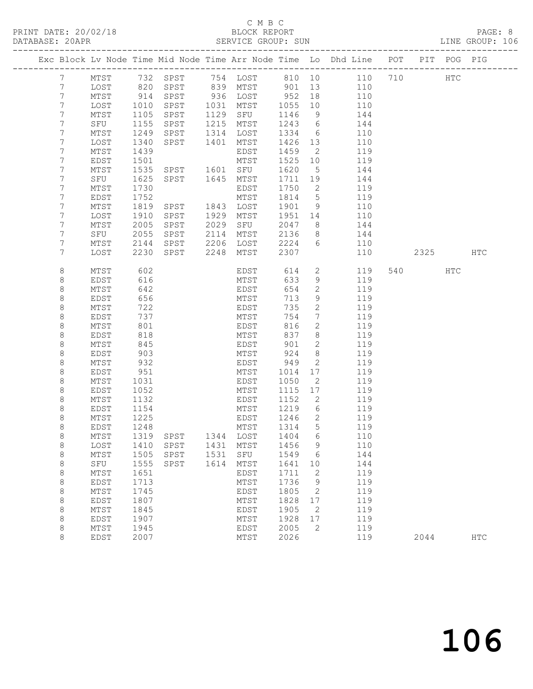#### C M B C<br>BLOCK REPORT SERVICE GROUP: SUN

|                |              |              |                                 |      |                      |              |                          | Exc Block Lv Node Time Mid Node Time Arr Node Time Lo Dhd Line POT |         | PIT POG PIG |            |
|----------------|--------------|--------------|---------------------------------|------|----------------------|--------------|--------------------------|--------------------------------------------------------------------|---------|-------------|------------|
| $7\phantom{.}$ | MTST         |              |                                 |      |                      |              |                          | 732 SPST 754 LOST 810 10 110 710                                   | HTC     |             |            |
| 7              | LOST         | 820          |                                 |      | SPST 839 MTST 901 13 |              |                          | 110                                                                |         |             |            |
| 7              | MTST         | 914          | SPST                            |      | 936 LOST             | 952          | 18                       | 110                                                                |         |             |            |
| 7              | LOST         | 1010         | SPST                            |      | 1031 MTST            | 1055         | 10                       | 110                                                                |         |             |            |
| 7              | MTST         | 1105         | SPST                            |      | 1129 SFU             | 1146         | 9                        | 144                                                                |         |             |            |
| 7              | SFU          | 1155         | SPST                            |      | 1215 MTST            | 1243         | 6                        | 144                                                                |         |             |            |
| 7              | MTST         | 1249         | SPST                            |      | 1314 LOST            | 1334         | 6                        | 110                                                                |         |             |            |
| 7              | LOST         | 1340         | SPST                            | 1401 | MTST                 | 1426         | 13                       | 110                                                                |         |             |            |
| 7<br>7         | MTST         | 1439         |                                 |      | EDST                 | 1459         | $\overline{2}$           | 119                                                                |         |             |            |
| 7              | EDST<br>MTST | 1501<br>1535 | SPST 1601 SFU                   |      | MTST                 | 1525<br>1620 | 10                       | 119<br>144                                                         |         |             |            |
| 7              | SFU          | 1625         | SPST 1645                       |      | MTST                 | 1711         | $5^{\circ}$<br>19        | 144                                                                |         |             |            |
| 7              | MTST         | 1730         |                                 |      | EDST                 | 1750         | $\overline{\phantom{a}}$ | 119                                                                |         |             |            |
| 7              | EDST         | 1752         |                                 |      | MTST                 | 1814         | $5\overline{)}$          | 119                                                                |         |             |            |
| 7              | MTST         | 1819         | SPST                            |      | 1843 LOST            | 1901         | 9                        | 110                                                                |         |             |            |
| 7              | LOST         | 1910         | SPST                            | 1929 | MTST                 | 1951         | 14                       | 110                                                                |         |             |            |
| 7              | MTST         | 2005         | SPST                            | 2029 | SFU                  | 2047         | 8 <sup>8</sup>           | 144                                                                |         |             |            |
| 7              | SFU          | 2055         | SPST                            | 2114 | MTST                 | 2136         | 8 <sup>8</sup>           | 144                                                                |         |             |            |
| 7              | MTST         | 2144         | SPST                            |      | 2206 LOST            | 2224 6       |                          | 110                                                                |         |             |            |
| 7              | LOST         | 2230         | SPST                            | 2248 | MTST                 | 2307         |                          | 110                                                                | 2325    |             | <b>HTC</b> |
|                |              |              |                                 |      |                      |              |                          |                                                                    |         |             |            |
| 8              | MTST         | 602          |                                 |      | EDST                 | 614          | $2^{\circ}$              | 119                                                                | 540 540 | HTC         |            |
| 8              | EDST         | 616          |                                 |      | MTST                 | 633          | 9                        | 119                                                                |         |             |            |
| 8              | MTST         | 642          |                                 |      | EDST                 | 654          | $\mathbf{2}$             | 119                                                                |         |             |            |
| 8              | EDST         | 656          |                                 |      | MTST                 | 713          | 9                        | 119                                                                |         |             |            |
| 8              | MTST         | 722          |                                 |      | EDST                 | 735          | $\mathbf{2}$             | 119                                                                |         |             |            |
| 8              | EDST         | 737          |                                 |      | MTST                 | 754          | $7\phantom{.0}$          | 119                                                                |         |             |            |
| 8<br>8         | MTST<br>EDST | 801<br>818   |                                 |      | EDST<br>MTST         | 816<br>837   | $\mathbf{2}$<br>8        | 119<br>119                                                         |         |             |            |
| 8              | MTST         | 845          |                                 |      | EDST                 | 901          | $\mathbf{2}$             | 119                                                                |         |             |            |
| 8              | EDST         | 903          |                                 |      | MTST                 | 924          | 8                        | 119                                                                |         |             |            |
| 8              | MTST         | 932          |                                 |      | EDST                 | 949          | 2                        | 119                                                                |         |             |            |
| 8              | EDST         | 951          |                                 |      | MTST                 | 1014         | 17                       | 119                                                                |         |             |            |
| $\,8\,$        | MTST         | 1031         |                                 |      | EDST                 | 1050         | $\overline{2}$           | 119                                                                |         |             |            |
| 8              | EDST         | 1052         |                                 |      | MTST                 | 1115         | 17                       | 119                                                                |         |             |            |
| 8              | MTST         | 1132         |                                 |      | EDST                 | 1152         | $\overline{2}$           | 119                                                                |         |             |            |
| 8              | EDST         | 1154         |                                 |      | MTST                 | 1219         | $6\overline{6}$          | 119                                                                |         |             |            |
| $\,8\,$        | MTST         | 1225         |                                 |      | EDST                 | 1246         | $\overline{2}$           | 119                                                                |         |             |            |
| 8              | EDST         | 1248         |                                 |      | MTST                 | 1314         | 5                        | 119                                                                |         |             |            |
| 8              |              |              | MTST 1319 SPST 1344 LOST 1404 6 |      |                      |              |                          | 110                                                                |         |             |            |
| 8              | LOST         | 1410         | SPST                            | 1431 | MTST                 | 1456         | 9                        | 110                                                                |         |             |            |
| 8              | MTST         | 1505         | SPST                            | 1531 | SFU                  | 1549         | 6                        | 144                                                                |         |             |            |
| 8              | SFU          | 1555         | SPST                            | 1614 | MTST                 | 1641         | 10                       | 144                                                                |         |             |            |
| 8              | MTST         | 1651         |                                 |      | EDST                 | 1711         | 2                        | 119                                                                |         |             |            |
| 8              | EDST         | 1713         |                                 |      | MTST                 | 1736         | 9                        | 119                                                                |         |             |            |
| 8<br>8         | MTST<br>EDST | 1745<br>1807 |                                 |      | EDST<br>MTST         | 1805<br>1828 | 2<br>17                  | 119<br>119                                                         |         |             |            |
| 8              | MTST         | 1845         |                                 |      | EDST                 | 1905         | 2                        | 119                                                                |         |             |            |
| 8              | EDST         | 1907         |                                 |      | MTST                 | 1928         | 17                       | 119                                                                |         |             |            |
| 8              | MTST         | 1945         |                                 |      | EDST                 | 2005         | 2                        | 119                                                                |         |             |            |
| 8              | EDST         | 2007         |                                 |      | MTST                 | 2026         |                          | 119                                                                | 2044    |             | <b>HTC</b> |
|                |              |              |                                 |      |                      |              |                          |                                                                    |         |             |            |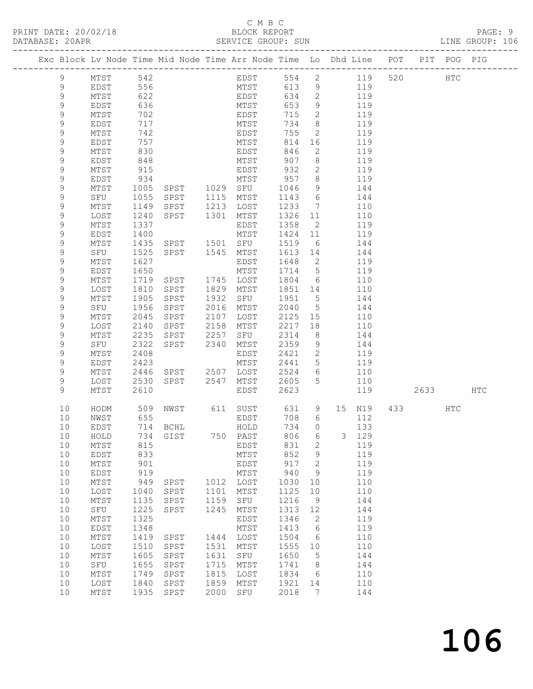#### C M B C<br>BLOCK REPORT SERVICE GROUP: SUN

|  |             |             |              | Exc Block Lv Node Time Mid Node Time Arr Node Time Lo Dhd Line POT PIT POG PIG |              |                   |              |                   |             |         |     |     |
|--|-------------|-------------|--------------|--------------------------------------------------------------------------------|--------------|-------------------|--------------|-------------------|-------------|---------|-----|-----|
|  | 9           | MTST        | 542          |                                                                                |              | EDST              |              |                   | 554 2 119   | 520 000 | HTC |     |
|  | 9           | EDST        | 556          |                                                                                |              | MTST              | 613          | 9                 | 119         |         |     |     |
|  | $\mathsf 9$ | MTST        | 622          |                                                                                |              | EDST              | 634          | 2                 | 119         |         |     |     |
|  | $\mathsf 9$ | EDST        | 636          |                                                                                |              | MTST              | 653          | 9                 | 119         |         |     |     |
|  | 9           | MTST        | 702          |                                                                                |              | EDST              | 715          | $\overline{2}$    | 119         |         |     |     |
|  |             |             |              |                                                                                |              |                   |              |                   |             |         |     |     |
|  | 9           | EDST        | 717          |                                                                                |              | MTST              | 734          | 8                 | 119         |         |     |     |
|  | 9           | MTST        | 742          |                                                                                |              | EDST              | 755          | $\overline{2}$    | 119         |         |     |     |
|  | $\mathsf 9$ | EDST        | 757          |                                                                                |              | MTST              | 814          | 16                | 119         |         |     |     |
|  | 9           | MTST        | 830          |                                                                                |              | EDST              | 846          | 2                 | 119         |         |     |     |
|  | 9           | EDST        | 848          |                                                                                |              | MTST              | 907          | 8<br>$\mathbf{2}$ | 119         |         |     |     |
|  | 9           | MTST        | 915          |                                                                                |              | EDST              | 932          |                   | 119         |         |     |     |
|  | 9<br>9      | EDST        | 934          | SPST 1029 SFU                                                                  |              | MTST              | 957          | 8                 | 119         |         |     |     |
|  |             | MTST        | 1005         |                                                                                |              |                   | 1046         | 9                 | 144         |         |     |     |
|  | 9           | SFU         | 1055         | SPST                                                                           | 1115         | MTST              | 1143         | $6\overline{6}$   | 144         |         |     |     |
|  | 9           | MTST        | 1149         | SPST                                                                           | 1213         | LOST              | 1233         | $\overline{7}$    | 110         |         |     |     |
|  | 9           | LOST        | 1240         | SPST                                                                           | 1301         | MTST              | 1326         | 11                | 110         |         |     |     |
|  | 9           | MTST        | 1337         |                                                                                |              | EDST              | 1358         | $\overline{2}$    | 119         |         |     |     |
|  | 9           | EDST        | 1400         |                                                                                |              | MTST              | 1424         | 11                | 119         |         |     |     |
|  | 9           | MTST        | 1435         | SPST<br>SPST 1545                                                              | 1501         | SFU               | 1519         | 6                 | 144         |         |     |     |
|  | 9           | SFU         | 1525         |                                                                                |              | MTST              | 1613 14      |                   | 144         |         |     |     |
|  | 9<br>9      | MTST        | 1627         |                                                                                |              | EDST              | 1648         | $\overline{2}$    | 119         |         |     |     |
|  |             | EDST        | 1650         |                                                                                |              | MTST              | 1714         | $5^{\circ}$       | 119         |         |     |     |
|  | 9           | MTST        | 1719         | SPST                                                                           | 1829         | 1745 LOST<br>MTST | 1804         | 6                 | 110         |         |     |     |
|  | 9           | LOST        | 1810         | SPST                                                                           |              |                   | 1851         | 14                | 110         |         |     |     |
|  | 9<br>9      | MTST<br>SFU | 1905<br>1956 | SPST<br>SPST                                                                   | 1932<br>2016 | SFU               | 1951<br>2040 | 5<br>$5^{\circ}$  | 144<br>144  |         |     |     |
|  | 9           | MTST        |              | SPST                                                                           | 2107         | MTST              | 2125         | 15                | 110         |         |     |     |
|  | 9           | LOST        | 2045<br>2140 |                                                                                | 2158         | LOST              | 2217         | 18                | 110         |         |     |     |
|  | $\mathsf 9$ |             | 2235         | SPST                                                                           | 2257         | MTST              | 2314         | 8 <sup>8</sup>    | 144         |         |     |     |
|  | 9           | MTST<br>SFU | 2322         | SPST<br>SPST                                                                   | 2340         | SFU               | 2359         |                   | 144         |         |     |     |
|  | 9           | MTST        | 2408         |                                                                                |              | MTST<br>EDST      | 2421         | 9<br>$\mathbf{2}$ | 119         |         |     |     |
|  | 9           | EDST        | 2423         |                                                                                |              | MTST              | 2441         | 5                 | 119         |         |     |     |
|  | 9           | MTST        | 2446         | SPST                                                                           | 2507         | LOST              | 2524         | 6                 | 110         |         |     |     |
|  | 9           | LOST        | 2530         | SPST                                                                           | 2547         | MTST              | 2605         | 5                 | 110         |         |     |     |
|  | 9           | MTST        | 2610         |                                                                                |              | EDST              | 2623         |                   | 119         | 2633    |     | HTC |
|  |             |             |              |                                                                                |              |                   |              |                   |             |         |     |     |
|  | 10          | HODM        | 509          |                                                                                |              | NWST 611 SUST     | 631          | 9                 | 15 N19      | 433     | HTC |     |
|  | 10          | NWST        | 655          |                                                                                |              | EDST              | 708          | 6                 | 112         |         |     |     |
|  | 10          | EDST        |              | 714 BCHL                                                                       |              | HOLD              | 734          | $\Omega$          | 133         |         |     |     |
|  | 10          | HOLD        |              | 734 GIST 750 PAST                                                              |              |                   |              |                   | 806 6 3 129 |         |     |     |
|  | 10          | MTST        | 815          |                                                                                |              | EDST              | 831          | 2                 | 119         |         |     |     |
|  | 10          | EDST        | 833          |                                                                                |              | MTST              | 852          | 9                 | 119         |         |     |     |
|  | 10          | MTST        | 901          |                                                                                |              | EDST              | 917          | 2                 | 119         |         |     |     |
|  | 10          | EDST        | 919          |                                                                                |              | MTST              | 940          | 9                 | 119         |         |     |     |
|  | 10          | MTST        | 949          | SPST                                                                           | 1012         | LOST              | 1030         | 10                | 110<br>110  |         |     |     |
|  | 10<br>10    | LOST        | 1040<br>1135 | SPST<br>SPST                                                                   | 1101<br>1159 | MTST<br>SFU       | 1125<br>1216 | $10$              | 144         |         |     |     |
|  | 10          | MTST<br>SFU | 1225         | SPST                                                                           | 1245         | MTST              | 1313         | 9<br>12           | 144         |         |     |     |
|  | 10          | MTST        | 1325         |                                                                                |              | EDST              | 1346         | 2                 | 119         |         |     |     |
|  | 10          | EDST        | 1348         |                                                                                |              | MTST              | 1413         | 6                 | 119         |         |     |     |
|  | 10          | MTST        | 1419         | SPST                                                                           | 1444         | LOST              | 1504         | 6                 | 110         |         |     |     |
|  | 10          | LOST        | 1510         | SPST                                                                           | 1531         | MTST              | 1555         | 10                | 110         |         |     |     |
|  | 10          | MTST        | 1605         | SPST                                                                           | 1631         | SFU               | 1650         | 5                 | 144         |         |     |     |
|  | 10          | SFU         | 1655         | SPST                                                                           | 1715         | MTST              | 1741         | 8                 | 144         |         |     |     |
|  | 10          | MTST        | 1749         | SPST                                                                           | 1815         | LOST              | 1834         | 6                 | 110         |         |     |     |
|  | 10          | LOST        | 1840         | SPST                                                                           | 1859         | MTST              | 1921         | 14                | 110         |         |     |     |
|  | 10          | MTST        | 1935         | SPST                                                                           | 2000         | SFU               | 2018         | 7                 | 144         |         |     |     |
|  |             |             |              |                                                                                |              |                   |              |                   |             |         |     |     |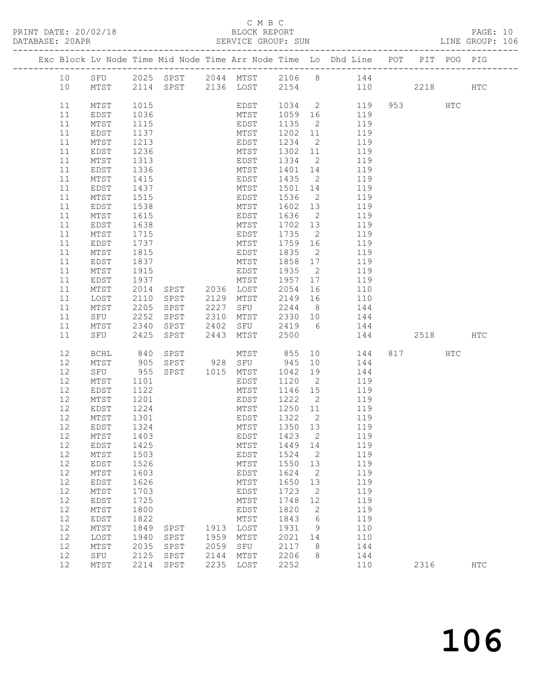#### C M B C<br>BLOCK REPORT

PAGE: 10<br>LINE GROUP: 106

|  |          |                         |              |                |      |                         |                 |                            | Exc Block Lv Node Time Mid Node Time Arr Node Time Lo Dhd Line POT PIT POG PIG |         |               |
|--|----------|-------------------------|--------------|----------------|------|-------------------------|-----------------|----------------------------|--------------------------------------------------------------------------------|---------|---------------|
|  | 10       | SFU                     |              |                |      |                         |                 |                            | 2025 SPST 2044 MTST 2106 8 144                                                 |         |               |
|  | 10       |                         |              |                |      |                         |                 |                            | MTST 2114 SPST 2136 LOST 2154 110 2218                                         |         | $_{\rm{HTC}}$ |
|  |          |                         |              |                |      |                         |                 |                            |                                                                                |         |               |
|  | 11       | MTST                    | 1015         |                |      |                         |                 |                            | EDST 1034 2 119                                                                | 953 HTC |               |
|  | 11       | EDST                    | 1036         |                |      | MTST                    |                 |                            | 1059 16 119                                                                    |         |               |
|  | 11       | MTST                    | 1115         |                |      | EDST                    | 1135            | $\overline{c}$             | 119                                                                            |         |               |
|  | 11<br>11 | EDST                    | 1137<br>1213 |                |      | MTST                    | 1202 11<br>1234 |                            | 119<br>2 119                                                                   |         |               |
|  | 11       | MTST<br>EDST            | 1236         |                |      | EDST<br>MTST            |                 |                            | 1302 11 119                                                                    |         |               |
|  | 11       | MTST                    | 1313         |                |      | EDST                    | 1334 2          |                            | 119                                                                            |         |               |
|  | 11       | EDST                    | 1336         |                |      | MTST                    | 1401 14         |                            | 119                                                                            |         |               |
|  | 11       | MTST                    | 1415         |                |      | EDST                    | 1435            | $\overline{2}$             | 119                                                                            |         |               |
|  | 11       | EDST                    | 1437         |                |      | MTST                    | 1501 14         |                            | 119                                                                            |         |               |
|  | 11       | MTST                    | 1515         |                |      | EDST                    | 1536            | $\overline{2}$             | 119                                                                            |         |               |
|  | 11       | EDST                    | 1538         |                |      | MTST                    | 1602 13         |                            | 119                                                                            |         |               |
|  | 11       | MTST                    | 1615         |                |      | EDST                    | 1636            | $\overline{2}$             | 119                                                                            |         |               |
|  | 11       | EDST                    | 1638         |                |      | MTST                    | 1702 13         |                            | 119                                                                            |         |               |
|  | 11       | MTST                    | 1715         |                |      | EDST                    | 1735            | $\overline{2}$             | 119                                                                            |         |               |
|  | 11<br>11 | EDST                    | 1737<br>1815 |                |      | MTST                    | 1759 16<br>1835 | $\overline{2}$             | 119                                                                            |         |               |
|  | 11       | $\mathtt{MTST}$<br>EDST | 1837         |                |      | EDST<br>MTST            | 1858 17         |                            | 119<br>119                                                                     |         |               |
|  | 11       | MTST                    | 1915         |                |      | EDST                    | 1935            | $\overline{\phantom{0}}$ 2 | 119                                                                            |         |               |
|  | 11       | EDST                    | 1937         |                |      | MTST                    | 1957 17         |                            | 119                                                                            |         |               |
|  | 11       | MTST                    | 2014         | SPST 2036 LOST |      |                         | 2054            | 16                         | 110                                                                            |         |               |
|  | 11       | LOST                    | 2110         | SPST           |      | 2129 MTST               | 2149 16         |                            | 110                                                                            |         |               |
|  | 11       | MTST                    | 2205         | SPST           | 2227 | SFU                     |                 |                            | 2244 8 144                                                                     |         |               |
|  | 11       | SFU                     | 2252         | SPST           | 2310 | MTST<br>SFU             | 2330 10         |                            | 144                                                                            |         |               |
|  | 11       | MTST                    | 2340         | SPST           | 2402 |                         | 2419 6          |                            | 144                                                                            |         |               |
|  | 11       | SFU<br>SFU              | 2425         | SPST           | 2443 | MTST                    | 2500            |                            | 144 2518 HTC                                                                   |         |               |
|  | 12       | BCHL                    |              | SPST           |      | WTST 855<br>928 SFU 945 |                 | 10                         | 144                                                                            | 817 HTC |               |
|  | 12       | MTST                    | 840<br>905   | SPST           |      |                         |                 | 10                         | 144                                                                            |         |               |
|  | 12       | SFU                     | 955          | SPST 1015 MTST |      |                         | 1042 19         |                            | 144                                                                            |         |               |
|  | 12       | MTST                    | 1101         |                |      | EDST                    | 1120            | $\overline{2}$             | 119                                                                            |         |               |
|  | 12       | EDST                    | 1122         |                |      | MTST                    | 1146 15         |                            | 119                                                                            |         |               |
|  | 12       | MTST                    | 1201<br>1224 |                |      | EDST<br>MTST 1250 11    | 1222 2          |                            | 119<br>119                                                                     |         |               |
|  | 12<br>12 | EDST<br>MTST            | 1301         | EDST           |      |                         | 1322 2          |                            | 119                                                                            |         |               |
|  | 12       | EDST                    | 1324         | MTST           |      |                         | 1350 13         |                            | 119                                                                            |         |               |
|  |          | 12 MTST 1403            |              |                |      | EDST 1423 2             |                 |                            | 119                                                                            |         |               |
|  | 12       | EDST                    | 1425         |                |      | MTST                    | 1449            | 14                         | 119                                                                            |         |               |
|  | 12       | MTST                    | 1503         |                |      | EDST                    | 1524            | 2                          | 119                                                                            |         |               |
|  | 12       | EDST                    | 1526         |                |      | MTST                    | 1550            | 13                         | 119                                                                            |         |               |
|  | 12       | $MTST$                  | 1603         |                |      | EDST                    | 1624            | 2                          | 119                                                                            |         |               |
|  | 12       | EDST                    | 1626         |                |      | MTST                    | 1650            | 13                         | 119                                                                            |         |               |
|  | 12       | $MTST$                  | 1703         |                |      | <b>EDST</b>             | 1723            | $\sqrt{2}$                 | 119                                                                            |         |               |
|  | 12<br>12 | EDST                    | 1725<br>1800 |                |      | MTST                    | 1748<br>1820    | 12                         | 119<br>119                                                                     |         |               |
|  | 12       | MTST<br>EDST            | 1822         |                |      | EDST<br>MTST            | 1843            | 2<br>6                     | 119                                                                            |         |               |
|  | 12       | MTST                    | 1849         | SPST           | 1913 | LOST                    | 1931            | 9                          | 110                                                                            |         |               |
|  | 12       | LOST                    | 1940         | SPST           | 1959 | MTST                    | 2021            | 14                         | 110                                                                            |         |               |
|  | 12       | $MTST$                  | 2035         | SPST           | 2059 | ${\tt SFU}$             | 2117            | 8                          | 144                                                                            |         |               |
|  | 12       | SFU                     | 2125         | SPST           | 2144 | MTST                    | 2206            | 8                          | 144                                                                            |         |               |
|  | 12       | MTST                    | 2214         | SPST           | 2235 | LOST                    | 2252            |                            | 110                                                                            | 2316    | <b>HTC</b>    |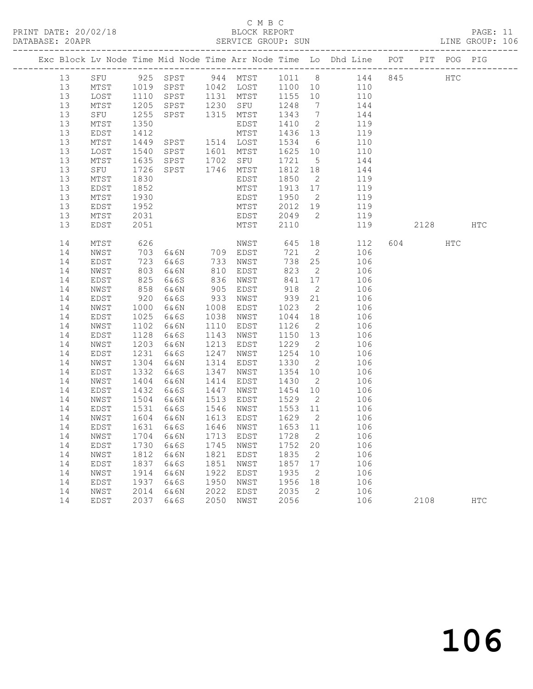#### C M B C<br>BLOCK REPORT

PAGE: 11<br>LINE GROUP: 106

|          |              |              |                |              |                                                  |              |                      | Exc Block Lv Node Time Mid Node Time Arr Node Time Lo Dhd Line POT |     |        | PIT POG PIG  |               |
|----------|--------------|--------------|----------------|--------------|--------------------------------------------------|--------------|----------------------|--------------------------------------------------------------------|-----|--------|--------------|---------------|
| 13       |              |              |                |              |                                                  |              |                      | SFU 925 SPST 944 MTST 1011 8 144                                   | 845 |        | $_{\rm HTC}$ |               |
| 13       | MTST         | 1019<br>1110 |                |              | SPST 1042 LOST 1100 10<br>SPST 1131 MTST 1155 10 |              |                      | $\begin{array}{c}\n110 \\ \end{array}$                             |     |        |              |               |
| 13       | LOST         | 1110         |                |              |                                                  |              |                      | 110                                                                |     |        |              |               |
| 13       | MTST         | 1205         | SPST           | 1230         | SFU                                              | 1248         | $\overline{7}$       | 144                                                                |     |        |              |               |
| 13       | SFU          | 1255         | SPST           | 1315         | MTST                                             | 1343         | $\overline{7}$       | 144                                                                |     |        |              |               |
| 13       | MTST         | 1350         |                |              | EDST                                             | 1410         | $\overline{2}$       | 119                                                                |     |        |              |               |
| 13       | EDST         | 1412         |                |              | MTST                                             | 1436         | 13                   | 119                                                                |     |        |              |               |
| 13       | MTST         | 1449         | SPST 1514 LOST |              |                                                  | 1534         | 6                    | 110                                                                |     |        |              |               |
| 13       | LOST         | 1540         | SPST           |              | 1601 MTST                                        | 1625         | 10                   | 110                                                                |     |        |              |               |
| 13       | MTST         | 1635         | SPST           |              | $1702$ SFU                                       | 1721         | $5\overline{)}$      | 144                                                                |     |        |              |               |
| 13       | SFU          | 1726         | SPST           |              | 1746 MTST                                        | 1812         | 18                   | 144                                                                |     |        |              |               |
| 13       | MTST         | 1830         |                |              | EDST                                             | 1850         | $\overline{2}$       | 119                                                                |     |        |              |               |
| 13       | EDST         | 1852         |                |              | MTST                                             | 1913         | 17                   | 119                                                                |     |        |              |               |
| 13       | MTST         | 1930         |                |              | EDST                                             | 1950         | $\overline{2}$       | 119                                                                |     |        |              |               |
| 13       | EDST         | 1952         |                |              | MTST                                             | 2012         | 19                   | 119                                                                |     |        |              |               |
| 13       | MTST         | 2031         |                |              | EDST                                             | 2049         | $\overline{2}$       | 119                                                                |     |        |              |               |
| 13       | EDST         | 2051         |                |              | MTST                                             | 2110         |                      | 119                                                                |     | 2128   |              | $_{\rm{HTC}}$ |
| 14       | MTST         | 626          |                |              | NWST                                             | 645          | 18                   | 112                                                                |     | 604 60 | HTC          |               |
| 14       | NWST         | 703          | 6&6N 709 EDST  |              |                                                  | 721          | $\overline{2}$       | 106                                                                |     |        |              |               |
| 14       | EDST         | 723          | 6&6S           | 733          | NWST                                             | 738          | 25                   | 106                                                                |     |        |              |               |
| 14       | NWST         | 803          | 6&6N           | 810          | EDST                                             | 823          | $\overline{2}$       | 106                                                                |     |        |              |               |
| 14       | EDST         | 825          | 6&6S           | 836          | NWST                                             | 841          | 17                   | 106                                                                |     |        |              |               |
| 14       | NWST         | 858          | 6&6N           | 905          | EDST                                             | 918          | $\overline{2}$       | 106                                                                |     |        |              |               |
| 14       | EDST         | 920          | 6&6S           | 933          | NWST                                             | 939          | 21                   | 106                                                                |     |        |              |               |
| 14       | NWST         | 1000         | 6&6N           | 1008         | EDST                                             | 1023         | $\overline{2}$       | 106                                                                |     |        |              |               |
| 14       | EDST         | 1025         | 6&6S           | 1038         | NWST                                             | 1044         | 18                   | 106                                                                |     |        |              |               |
| 14       | NWST         | 1102         | 6&6N           | 1110         | EDST                                             | 1126         | $\overline{2}$       | 106                                                                |     |        |              |               |
| 14       | EDST         | 1128         | 6&6S           | 1143         | NWST                                             | 1150         | 13                   | 106                                                                |     |        |              |               |
| 14<br>14 | NWST         | 1203<br>1231 | 6&6N           | 1213<br>1247 | EDST                                             | 1229<br>1254 | $\overline{2}$       | 106<br>106                                                         |     |        |              |               |
| 14       | EDST<br>NWST | 1304         | 6&6S<br>6&6N   | 1314         | NWST<br>EDST                                     | 1330         | 10<br>$\overline{2}$ | 106                                                                |     |        |              |               |
| 14       | EDST         | 1332         | 6&6S           | 1347         | NWST                                             | 1354         | 10                   | 106                                                                |     |        |              |               |
| 14       | NWST         | 1404         | 6&6N           | 1414         | EDST                                             | 1430         | $\overline{2}$       | 106                                                                |     |        |              |               |
| 14       | EDST         | 1432         | 6&6S           | 1447         | NWST                                             | 1454         | 10                   | 106                                                                |     |        |              |               |
| 14       | NWST         | 1504         | 6&6N           | 1513         | EDST                                             | 1529         | $\overline{2}$       | 106                                                                |     |        |              |               |
| 14       | EDST         | 1531         | 6&6S           | 1546         | NWST                                             | 1553 11      |                      | 106                                                                |     |        |              |               |
| 14       | NWST         | 1604         | 6&6N           |              | 1613 EDST                                        | 1629         | $\overline{2}$       | 106                                                                |     |        |              |               |
| 14       | EDST         | 1631         | 6&6S           |              | 1646 NWST                                        | 1653 11      |                      | 106                                                                |     |        |              |               |
| 14 NWST  |              |              |                |              | 1704 6&6N 1713 EDST 1728 2                       |              |                      | 106                                                                |     |        |              |               |
| 14       | EDST         | 1730         | 6&6S           | 1745         | NWST                                             | 1752         | 20                   | 106                                                                |     |        |              |               |
| 14       | NWST         | 1812         | 6&6N           | 1821         | EDST                                             | 1835         | 2                    | 106                                                                |     |        |              |               |
| 14       | EDST         | 1837         | 6&6S           | 1851         | NWST                                             | 1857         | 17                   | 106                                                                |     |        |              |               |
| 14       | NWST         | 1914         | 6&6N           | 1922         | EDST                                             | 1935         | 2                    | 106                                                                |     |        |              |               |
| 14       | EDST         | 1937         | 6&6S           | 1950         | NWST                                             | 1956         | 18                   | 106                                                                |     |        |              |               |
| 14       | NWST         | 2014         | 6&6N           | 2022         | EDST                                             | 2035         | 2                    | 106                                                                |     |        |              |               |
| 14       | EDST         | 2037         | 6&6S           | 2050         | NWST                                             | 2056         |                      | 106                                                                |     | 2108   |              | <b>HTC</b>    |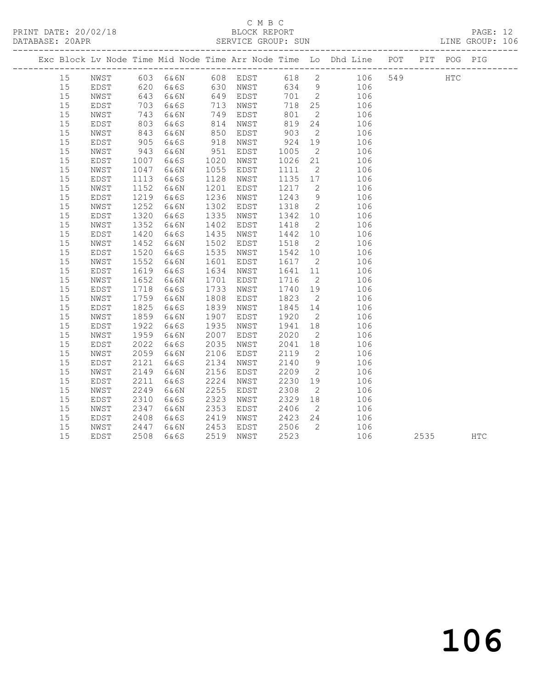### C M B C<br>BLOCK REPORT

| DATABASE: 20APR |    |      |            |      |      |      |            |                |                                                                                                          |     |            | LINE GROUP: 106 |  |
|-----------------|----|------|------------|------|------|------|------------|----------------|----------------------------------------------------------------------------------------------------------|-----|------------|-----------------|--|
|                 |    |      |            |      |      |      |            |                | Exc Block Lv Node Time Mid Node Time Arr Node Time Lo Dhd Line POT PIT POG PIG                           |     |            |                 |  |
|                 | 15 |      |            |      |      |      |            |                | NWST 603 6&6N 608 EDST 618 2 106<br>EDST 620 6&6S 630 NWST 634 9 106<br>NWST 643 6&6N 649 EDST 701 2 106 | 549 | <b>HTC</b> |                 |  |
|                 | 15 |      |            |      |      |      |            |                |                                                                                                          |     |            |                 |  |
|                 | 15 |      |            |      |      |      |            |                | $701$ $2$ $106$<br>$710$ $2$ $100$                                                                       |     |            |                 |  |
|                 | 15 | EDST | 703        | 6&6S | 713  | NWST |            |                | 718 25 106                                                                                               |     |            |                 |  |
|                 | 15 | NWST | 743        | 6&6N | 749  | EDST | 801        |                | $\overline{2}$<br>106                                                                                    |     |            |                 |  |
|                 | 15 | EDST | 803        | 6&6S | 814  | NWST | 819        |                | 24<br>106                                                                                                |     |            |                 |  |
|                 | 15 | NWST | 843<br>905 | 6&6N | 850  | EDST | 903<br>924 | $\overline{2}$ | 106                                                                                                      |     |            |                 |  |
|                 | 15 | EDST |            | 6&6S | 918  | NWST |            | 19             | 106                                                                                                      |     |            |                 |  |
|                 | 15 | NWST | 943        | 6&6N | 951  | EDST | 1005       |                | $\overline{2}$<br>106                                                                                    |     |            |                 |  |
|                 | 15 | EDST | 1007       | 6&6S | 1020 | NWST | 1026       |                | 21<br>106                                                                                                |     |            |                 |  |
|                 | 15 | NWST | 1047       | 6&6N | 1055 | EDST | 1111       |                | $\overline{2}$<br>106                                                                                    |     |            |                 |  |
|                 | 15 | EDST | 1113       | 6&6S | 1128 | NWST | 1135 17    |                | 106                                                                                                      |     |            |                 |  |
|                 | 15 | NWST | 1152       | 6&6N | 1201 | EDST | 1217 2     |                | 106                                                                                                      |     |            |                 |  |
|                 | 15 | EDST | 1219       | 6&6S | 1236 | NWST | 1243       | 9              | 106                                                                                                      |     |            |                 |  |
|                 | 15 | NWST | 1252       | 6&6N | 1302 | EDST | 1318       | $\overline{2}$ | 106                                                                                                      |     |            |                 |  |
|                 | 15 | EDST | 1320       | 6&6S | 1335 | NWST | 1342       | 10             | 106                                                                                                      |     |            |                 |  |
|                 | 15 | NWST | 1352       | 6&6N | 1402 | EDST | 1418       | $\overline{2}$ | 106                                                                                                      |     |            |                 |  |
|                 | 15 | EDST | 1420       | 6&6S | 1435 | NWST | 1442       | 10             | 106                                                                                                      |     |            |                 |  |
|                 | 15 | NWST | 1452       | 6&6N | 1502 | EDST | 1518       | $\overline{2}$ | 106                                                                                                      |     |            |                 |  |
|                 | 15 | EDST | 1520       | 6&6S | 1535 | NWST | 1542 10    |                | 106                                                                                                      |     |            |                 |  |
|                 | 15 | NWST | 1552       | 6&6N | 1601 | EDST | 1617       |                | $\overline{2}$<br>106                                                                                    |     |            |                 |  |
|                 | 15 | EDST | 1619       | 6&6S | 1634 | NWST | 1641       |                | 11<br>106                                                                                                |     |            |                 |  |
|                 | 15 | NWST | 1652       | 6&6N | 1701 | EDST | 1716       | $\overline{2}$ | 106                                                                                                      |     |            |                 |  |
|                 | 15 | EDST | 1718       | 6&6S | 1733 | NWST | 1740       | 19             | 106                                                                                                      |     |            |                 |  |
|                 | 15 | NWST | 1759       | 6&6N | 1808 | EDST | 1823       | $\overline{2}$ | 106                                                                                                      |     |            |                 |  |
|                 | 15 | EDST | 1825       | 6&6S | 1839 | NWST | 1845 14    |                | 106                                                                                                      |     |            |                 |  |
|                 | 15 | NWST | 1859       | 6&6N | 1907 | EDST | 1920       |                | $\overline{2}$<br>106                                                                                    |     |            |                 |  |
|                 | 15 | EDST | 1922       | 6&6S | 1935 | NWST | 1941       | 18             | 106                                                                                                      |     |            |                 |  |
|                 | 15 | NWST | 1959       | 6&6N | 2007 | EDST | 2020       |                | $\overline{2}$<br>106                                                                                    |     |            |                 |  |
|                 | 15 | EDST | 2022       | 6&6S | 2035 | NWST | 2041       | 18             | 106                                                                                                      |     |            |                 |  |
|                 | 15 | NWST | 2059       | 6&6N | 2106 | EDST | 2119       | $\overline{2}$ | 106                                                                                                      |     |            |                 |  |
|                 | 15 | EDST | 2121       | 6&6S | 2134 | NWST | 2140       | 9              | 106                                                                                                      |     |            |                 |  |
|                 | 15 | NWST | 2149       | 6&6N | 2156 | EDST | 2209       |                | $\overline{2}$<br>106                                                                                    |     |            |                 |  |
|                 | 15 | EDST | 2211       | 6&6S | 2224 | NWST | 2230       |                | 19<br>106                                                                                                |     |            |                 |  |
|                 | 15 | NWST | 2249       | 6&6N | 2255 | EDST | 2308       | $\overline{2}$ | 106                                                                                                      |     |            |                 |  |
|                 | 15 | EDST | 2310       | 6&6S | 2323 | NWST | 2329       | 18             | 106                                                                                                      |     |            |                 |  |
|                 | 15 | NWST | 2347       | 6&6N | 2353 | EDST | 2406       | $\overline{2}$ | 106                                                                                                      |     |            |                 |  |

 15 EDST 2408 6&6S 2419 NWST 2423 24 106 15 NWST 2447 6&6N 2453 EDST 2506 2 106

15 EDST 2508 6&6S 2519 NWST 2523 106 2535 HTC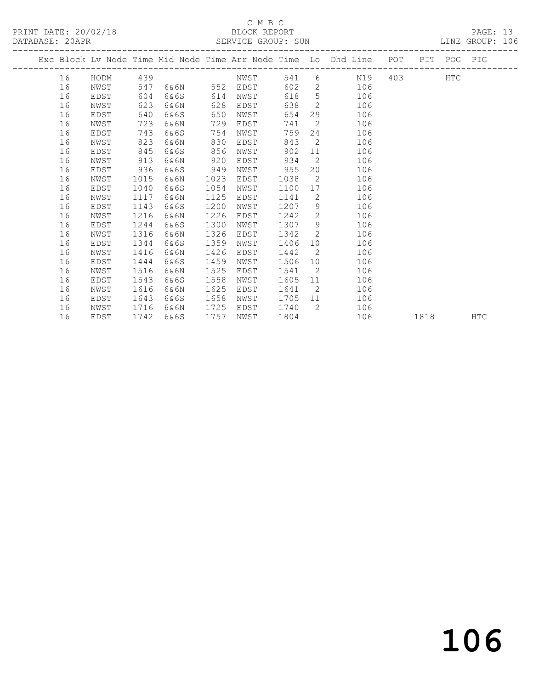### C M B C<br>BLOCK REPORT

PRINT DATE: 20/02/18 BLOCK REPORT BATABASE: 20APR BLOCK REPORT

PAGE: 13<br>LINE GROUP: 106

|  |    |      |      |      |      |          |      |                | Exc Block Lv Node Time Mid Node Time Arr Node Time Lo Dhd Line POT                                                                                                                                                                    |     |      | PIT POG PIG |            |
|--|----|------|------|------|------|----------|------|----------------|---------------------------------------------------------------------------------------------------------------------------------------------------------------------------------------------------------------------------------------|-----|------|-------------|------------|
|  | 16 | HODM | 439  |      |      | NWST     | 541  |                | $6 \qquad \qquad$<br>N19                                                                                                                                                                                                              | 403 |      | <b>HTC</b>  |            |
|  | 16 | NWST | 547  | 6&6N |      | 552 EDST | 602  |                | $\overline{2}$<br>106                                                                                                                                                                                                                 |     |      |             |            |
|  | 16 | EDST | 604  | 6&6S | 614  | NWST     | 618  |                | 5 <sub>5</sub><br>106                                                                                                                                                                                                                 |     |      |             |            |
|  | 16 | NWST | 623  | 6&6N | 628  | EDST     | 638  |                | $\overline{2}$<br>106                                                                                                                                                                                                                 |     |      |             |            |
|  | 16 | EDST | 640  | 6&6S | 650  | NWST     | 654  |                | 29<br>106                                                                                                                                                                                                                             |     |      |             |            |
|  | 16 | NWST | 723  | 6&6N | 729  | EDST     | 741  | $\overline{2}$ | 106                                                                                                                                                                                                                                   |     |      |             |            |
|  | 16 | EDST | 743  | 6&6S | 754  | NWST     | 759  |                | 24<br>106                                                                                                                                                                                                                             |     |      |             |            |
|  | 16 | NWST | 823  | 6&6N | 830  | EDST     | 843  |                | $\overline{2}$<br>106                                                                                                                                                                                                                 |     |      |             |            |
|  | 16 | EDST | 845  | 6&6S | 856  | NWST     | 902  |                | 11 — 11 — 11 — 11 — 11 — 11 — 11 — 11 — 11 — 11 — 11 — 11 — 11 — 11 — 11 — 11 — 11 — 11 — 11 — 11 — 11 — 11 — 11 — 11 — 11 — 11 — 11 — 11 — 11 — 11 — 11 — 11 — 11 — 11 — 11 — 11 — 11 — 11 — 11 — 11 — 11 — 11 — 11 — 11 — 11<br>106 |     |      |             |            |
|  | 16 | NWST | 913  | 6&6N | 920  | EDST     | 934  | $\overline{2}$ | 106                                                                                                                                                                                                                                   |     |      |             |            |
|  | 16 | EDST | 936  | 6&6S | 949  | NWST     | 955  |                | 20<br>106                                                                                                                                                                                                                             |     |      |             |            |
|  | 16 | NWST | 1015 | 6&6N | 1023 | EDST     | 1038 | $\overline{2}$ | 106                                                                                                                                                                                                                                   |     |      |             |            |
|  | 16 | EDST | 1040 | 6&6S | 1054 | NWST     | 1100 |                | 17<br>106                                                                                                                                                                                                                             |     |      |             |            |
|  | 16 | NWST | 1117 | 6&6N | 1125 | EDST     | 1141 | $\overline{2}$ | 106                                                                                                                                                                                                                                   |     |      |             |            |
|  | 16 | EDST | 1143 | 6&6S | 1200 | NWST     | 1207 |                | 9<br>106                                                                                                                                                                                                                              |     |      |             |            |
|  | 16 | NWST | 1216 | 6&6N | 1226 | EDST     | 1242 | $2^{\circ}$    | 106                                                                                                                                                                                                                                   |     |      |             |            |
|  | 16 | EDST | 1244 | 6&6S | 1300 | NWST     | 1307 | 9              | 106                                                                                                                                                                                                                                   |     |      |             |            |
|  | 16 | NWST | 1316 | 6&6N | 1326 | EDST     | 1342 | $\overline{2}$ | 106                                                                                                                                                                                                                                   |     |      |             |            |
|  | 16 | EDST | 1344 | 6&6S | 1359 | NWST     | 1406 |                | 10<br>106                                                                                                                                                                                                                             |     |      |             |            |
|  | 16 | NWST | 1416 | 6&6N | 1426 | EDST     | 1442 |                | $\overline{2}$<br>106                                                                                                                                                                                                                 |     |      |             |            |
|  | 16 | EDST | 1444 | 6&6S | 1459 | NWST     | 1506 |                | 106<br>10                                                                                                                                                                                                                             |     |      |             |            |
|  | 16 | NWST | 1516 | 6&6N | 1525 | EDST     | 1541 | $\overline{2}$ | 106                                                                                                                                                                                                                                   |     |      |             |            |
|  | 16 | EDST | 1543 | 6&6S | 1558 | NWST     | 1605 |                | 11 —<br>106                                                                                                                                                                                                                           |     |      |             |            |
|  | 16 | NWST | 1616 | 6&6N | 1625 | EDST     | 1641 |                | $\overline{2}$<br>106                                                                                                                                                                                                                 |     |      |             |            |
|  | 16 | EDST | 1643 | 6&6S | 1658 | NWST     | 1705 |                | 106<br>11                                                                                                                                                                                                                             |     |      |             |            |
|  | 16 | NWST | 1716 | 6&6N | 1725 | EDST     | 1740 | $\overline{2}$ | 106                                                                                                                                                                                                                                   |     |      |             |            |
|  | 16 | EDST | 1742 | 6&6S | 1757 | NWST     | 1804 |                | 106                                                                                                                                                                                                                                   |     | 1818 |             | <b>HTC</b> |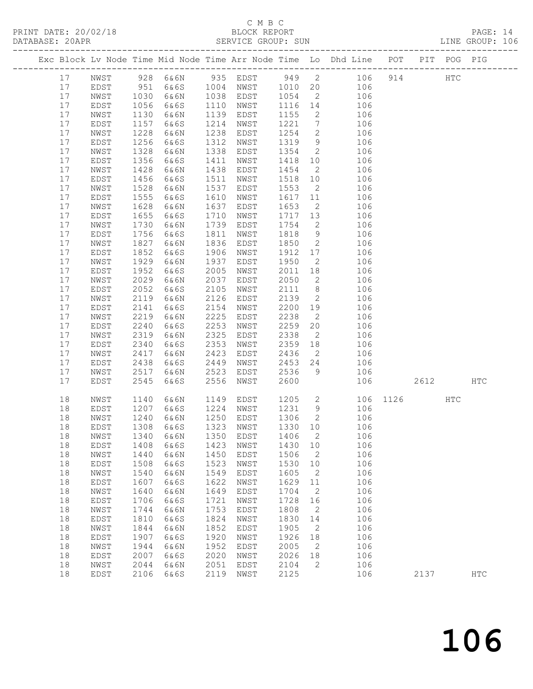### C M B C<br>BLOCK REPORT

| DATABASE: 20APR |    |              |              |           |      | SERVICE GROUP: SUN |         |                            |                                                                                |          |      |     | LINE GROUP: 106 |  |
|-----------------|----|--------------|--------------|-----------|------|--------------------|---------|----------------------------|--------------------------------------------------------------------------------|----------|------|-----|-----------------|--|
|                 |    |              |              |           |      |                    |         |                            | Exc Block Lv Node Time Mid Node Time Arr Node Time Lo Dhd Line POT PIT POG PIG |          |      |     |                 |  |
|                 | 17 |              |              |           |      |                    |         |                            | NWST 928 6&6N 935 EDST 949 2 106 914 HTC                                       |          |      |     |                 |  |
|                 | 17 | EDST         | 951          |           |      |                    |         |                            | 6&6S 1004 NWST 1010 20 106                                                     |          |      |     |                 |  |
|                 | 17 | NWST         | 1030<br>1056 | 6&6N      |      | 1038 EDST          | 1054    |                            | 2 106                                                                          |          |      |     |                 |  |
|                 | 17 | EDST         |              | 6&6S      |      | 1110 NWST          | 1116 14 |                            | 106                                                                            |          |      |     |                 |  |
|                 | 17 | NWST         | 1130         | 6&6N      | 1139 | EDST               | 1155    |                            | $\overline{2}$<br>106                                                          |          |      |     |                 |  |
|                 | 17 | EDST         | 1157         | 6&6S      | 1214 | NWST               | 1221    |                            | $7\overline{ }$<br>106                                                         |          |      |     |                 |  |
|                 | 17 | NWST         | 1228         | 6&6N      | 1238 | EDST               | 1254    | $\overline{2}$             | 106                                                                            |          |      |     |                 |  |
|                 | 17 | EDST         | 1256         | 6&6S      | 1312 | NWST               | 1319    | 9                          | 106                                                                            |          |      |     |                 |  |
|                 | 17 | NWST         | 1328         | 6&6N      | 1338 | EDST               | 1354    | $\overline{2}$             | 106                                                                            |          |      |     |                 |  |
|                 | 17 | EDST         | 1356         | 6&6S      | 1411 | NWST               | 1418    | 10                         | 106                                                                            |          |      |     |                 |  |
|                 | 17 | NWST         | 1428         | 6&6N      | 1438 | EDST               | 1454    | $\overline{2}$             | 106                                                                            |          |      |     |                 |  |
|                 | 17 | EDST         | 1456         | 6&6S      | 1511 | NWST               | 1518 10 |                            | 106                                                                            |          |      |     |                 |  |
|                 | 17 | NWST         | 1528         | 6&6N      | 1537 | EDST               | 1553    | $\overline{2}$             | 106                                                                            |          |      |     |                 |  |
|                 | 17 | EDST         | 1555         | 6&6S      | 1610 | NWST               | 1617    |                            | 11<br>106                                                                      |          |      |     |                 |  |
|                 | 17 | NWST         | 1628         | 6&6N      | 1637 | EDST               | 1653    |                            | $\overline{2}$<br>106                                                          |          |      |     |                 |  |
|                 | 17 | EDST         | 1655         | 6&6S      | 1710 | NWST               | 1717 13 |                            | 106                                                                            |          |      |     |                 |  |
|                 | 17 | NWST         | 1730         | 6&6N      | 1739 | EDST               | 1754    | $\overline{2}$             | 106                                                                            |          |      |     |                 |  |
|                 | 17 | EDST         | 1756         | 6&6S      | 1811 | NWST               | 1818    | 9                          | 106                                                                            |          |      |     |                 |  |
|                 | 17 | NWST         | 1827         | 6&6N      | 1836 | EDST               | 1850    |                            | $\overline{2}$<br>106                                                          |          |      |     |                 |  |
|                 | 17 | EDST         | 1852         | 6&6S      | 1906 | NWST               | 1912 17 |                            | 106                                                                            |          |      |     |                 |  |
|                 | 17 | NWST         | 1929         | 6&6N      | 1937 | EDST               | 1950    | $\overline{2}$             | 106                                                                            |          |      |     |                 |  |
|                 | 17 | EDST         | 1952         | 6&6S      | 2005 | NWST               | 2011    | 18                         | 106                                                                            |          |      |     |                 |  |
|                 | 17 | NWST         | 2029         | 6&6N      | 2037 | EDST               | 2050    |                            | $\overline{2}$<br>106                                                          |          |      |     |                 |  |
|                 | 17 | EDST         | 2052         | 6&6S      | 2105 | NWST               | 2111    | 8 <sup>8</sup>             | 106                                                                            |          |      |     |                 |  |
|                 | 17 | NWST         | 2119         | 6&6N      | 2126 | EDST               | 2139    | $\overline{2}$             | 106                                                                            |          |      |     |                 |  |
|                 | 17 | EDST         | 2141         | 6&6S      | 2154 | NWST               | 2200    | 19                         | 106                                                                            |          |      |     |                 |  |
|                 | 17 | NWST         | 2219         | 6&6N      | 2225 | EDST               | 2238    | $\overline{2}$             | 106                                                                            |          |      |     |                 |  |
|                 | 17 | EDST         | 2240         | 6&6S      | 2253 | NWST               | 2259    | 20                         | 106                                                                            |          |      |     |                 |  |
|                 | 17 | NWST         | 2319         | 6&6N      | 2325 | EDST               | 2338    | $\overline{2}$             | 106                                                                            |          |      |     |                 |  |
|                 | 17 | EDST         | 2340         | 6&6S      | 2353 | NWST               | 2359    |                            | 18<br>106                                                                      |          |      |     |                 |  |
|                 | 17 | NWST         | 2417         | 6&6N      | 2423 | EDST               | 2436    |                            | $\overline{2}$<br>106                                                          |          |      |     |                 |  |
|                 | 17 | EDST         | 2438         | 6&6S      | 2449 | NWST               | 2453    | 24                         | 106                                                                            |          |      |     |                 |  |
|                 | 17 | NWST         | 2517         | 6&6N      | 2523 | EDST               | 2536    | 9                          | 106                                                                            |          |      |     |                 |  |
|                 | 17 | EDST         | 2545         | 6&6S      | 2556 | NWST               | 2600    |                            | 106                                                                            |          | 2612 |     | HTC             |  |
|                 | 18 | NWST         | 1140         | 6&6N      | 1149 | EDST               |         |                            | 1205 2                                                                         | 106 1126 |      | HTC |                 |  |
|                 | 18 | EDST         | 1207<br>1240 | 6&6S      |      | 1224 NWST          | 1231 9  |                            | 106                                                                            |          |      |     |                 |  |
|                 | 18 | NWST         |              | 6&6N      |      | 1250 EDST          | 1306 2  |                            | 106                                                                            |          |      |     |                 |  |
|                 | 18 |              |              |           |      |                    |         |                            | EDST 1308 6&6S 1323 NWST 1330 10 106                                           |          |      |     |                 |  |
|                 | 18 | NWST         | 1340         | 6&6N      | 1350 | EDST               | 1406    | $\overline{\phantom{0}}^2$ | 106                                                                            |          |      |     |                 |  |
|                 | 18 | EDST         | 1408         | 6&6S      | 1423 | NWST               | 1430 10 |                            | 106                                                                            |          |      |     |                 |  |
|                 | 18 | NWST         | 1440         | 6&6N      | 1450 | EDST               | 1506    | $\overline{2}$             | 106                                                                            |          |      |     |                 |  |
|                 | 18 | EDST         | 1508         | 6&6S      | 1523 | NWST               | 1530    | 10                         | 106                                                                            |          |      |     |                 |  |
|                 | 18 | ${\tt NWST}$ | 1540         | 6&6N      | 1549 | EDST               | 1605    | $\overline{\phantom{a}}$   | 106                                                                            |          |      |     |                 |  |
|                 | 18 | EDST         | 1607         | 6&6S      | 1622 | NWST               | 1629    | 11                         | 106                                                                            |          |      |     |                 |  |
|                 | 18 | NWST         | 1640         | 6&6N      | 1649 | EDST               | 1704    | $\overline{2}$             | 106                                                                            |          |      |     |                 |  |
|                 | 18 | EDST         | 1706         | 6&6S      | 1721 | NWST               | 1728    | 16                         | 106                                                                            |          |      |     |                 |  |
|                 | 18 | NWST         | 1744         | 6&6N      | 1753 | EDST               | 1808    | $\overline{\phantom{a}}$   | 106                                                                            |          |      |     |                 |  |
|                 | 18 | EDST         | 1810         | 6&6S      | 1824 | NWST               | 1830    | 14                         | 106                                                                            |          |      |     |                 |  |
|                 | 18 | NWST         | 1844         | 6&6N      | 1852 | EDST               | 1905    | $\overline{\phantom{a}}^2$ | 106                                                                            |          |      |     |                 |  |
|                 | 18 | EDST         | 1907         | 6&6S      | 1920 | NWST               | 1926    | 18                         | 106                                                                            |          |      |     |                 |  |
|                 | 18 | NWST         | 1944         | 6&6N      | 1952 | EDST               | 2005    | $\overline{\phantom{a}}^2$ | 106                                                                            |          |      |     |                 |  |
|                 | 18 | EDST         | 2007         | 6&6S      | 2020 | NWST               | 2026    | 18                         | 106                                                                            |          |      |     |                 |  |
|                 | 18 | NWST         | 2044         | 6&6N      | 2051 | EDST               | 2104    | $\overline{2}$             | 106                                                                            |          |      |     |                 |  |
|                 | 18 | EDST         |              | 2106 6&6S | 2119 | NWST               | 2125    |                            | 106                                                                            |          | 2137 |     | $_{\rm{HTC}}$   |  |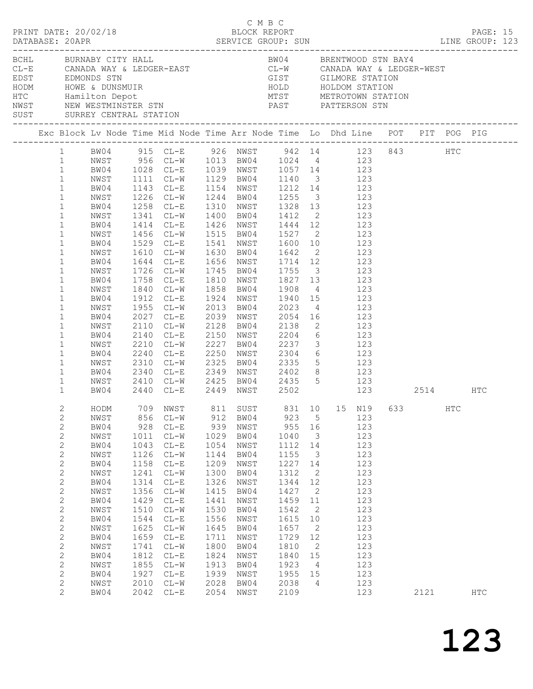|                                                                                                                                                                                                                                                                                                                                                                              | $\begin{array}{cccc}\n\texttt{CRINT} & \texttt{DATE:} & 20/02/18 & \texttt{C} & \texttt{M} & \texttt{B} & \texttt{C}\n\end{array}$                                                                                                                                                                                    |                                                                                                                                                            |                                                                                                                                                                                                                                                                                                                                                                                                                                                                     |                                                                                                                                                            |                                                                                                                                                                                                                                                                                                                                              |                                                                                                                                                            |                                                                                                                                                      |                                                                                                                                          |      |     | PAGE: 15   |  |
|------------------------------------------------------------------------------------------------------------------------------------------------------------------------------------------------------------------------------------------------------------------------------------------------------------------------------------------------------------------------------|-----------------------------------------------------------------------------------------------------------------------------------------------------------------------------------------------------------------------------------------------------------------------------------------------------------------------|------------------------------------------------------------------------------------------------------------------------------------------------------------|---------------------------------------------------------------------------------------------------------------------------------------------------------------------------------------------------------------------------------------------------------------------------------------------------------------------------------------------------------------------------------------------------------------------------------------------------------------------|------------------------------------------------------------------------------------------------------------------------------------------------------------|----------------------------------------------------------------------------------------------------------------------------------------------------------------------------------------------------------------------------------------------------------------------------------------------------------------------------------------------|------------------------------------------------------------------------------------------------------------------------------------------------------------|------------------------------------------------------------------------------------------------------------------------------------------------------|------------------------------------------------------------------------------------------------------------------------------------------|------|-----|------------|--|
|                                                                                                                                                                                                                                                                                                                                                                              | BCHL BURNABY CITY HALL<br>CL-E CANADA WAY & LEDGER-EAST<br>EDST EDMONDS STN EDGER-EAST<br>HODM HOWE & DUNSMUIR<br>HODM HOWE & DUNSMUIR<br>HOLD HOLDOM STATION<br>HOLD HOLDOM STATION<br>HOLD HOLDOM STATION<br>HOLD HOLDOM STATION<br>NETROTOWN STATION<br>NETROTOWN STATI<br>SUST SURREY CENTRAL STATION             |                                                                                                                                                            |                                                                                                                                                                                                                                                                                                                                                                                                                                                                     |                                                                                                                                                            |                                                                                                                                                                                                                                                                                                                                              |                                                                                                                                                            |                                                                                                                                                      | BW04 BRENTWOOD STN BAY4                                                                                                                  |      |     |            |  |
|                                                                                                                                                                                                                                                                                                                                                                              |                                                                                                                                                                                                                                                                                                                       |                                                                                                                                                            |                                                                                                                                                                                                                                                                                                                                                                                                                                                                     |                                                                                                                                                            |                                                                                                                                                                                                                                                                                                                                              |                                                                                                                                                            |                                                                                                                                                      |                                                                                                                                          |      |     |            |  |
| $\mathbf{1}$<br>$\mathbf{1}$<br>$\mathbf{1}$<br>$\mathbf{1}$<br>$\mathbf{1}$<br>$\mathbf{1}$<br>$\mathbf{1}$<br>$\mathbf{1}$<br>$\mathbf{1}$<br>$\mathbf{1}$<br>$\mathbf{1}$<br>$\mathbf{1}$<br>$\mathbf{1}$<br>$\mathbf{1}$<br>$\mathbf{1}$<br>$\mathbf{1}$<br>$\mathbf{1}$<br>$\mathbf{1}$<br>$\mathbf{1}$<br>$\mathbf{1}$<br>$\mathbf{1}$<br>$\mathbf{1}$<br>$\mathbf{1}$ | 1 BW04 915 CL-E 926 NWST 942 14 123 843 HTC<br>1 NWST 956 CL-W 1013 BW04 1024 4 123<br>1 BW04 1028 CL-E 1039 NWST 1057 14 123<br>NWST<br>BW04<br>NWST<br>BW04<br>NWST<br>BW04<br>NWST<br>BW04<br>NWST<br>BW04<br>NWST<br>BW04<br>NWST<br>BW04<br>NWST<br>BW04<br>NWST<br>BW04<br>NWST<br>BW04<br>NWST<br>BW04<br>NWST | 1955<br>2027<br>2110<br>2210<br>2240<br>2310<br>2410                                                                                                       | 1111 CL-W 1129 BW04 1140 3 123<br>1143 CL-E 1154 NWST 1212 14 123<br>1226 CL-W 1244 BW04 1255 3 123<br>1258 CL-E 1310 NWST 1328 13 123<br>1341 CL-W 1400 BW04 1412 2 123<br>1414 CL-E 1426 NWST 1444 12 123<br>1456 CL-W<br>1529 CL-E<br>1610 CL-W 1630 BW04 1642 2 123<br>1644 CL-E 1656 NWST 1714 12 123<br>1726 CL-W<br>1758 CL-E<br>1750 CL-W 1858 BW04 1908 4 123<br>1912 CL-E<br>$CL-W$<br>2027 CL-E<br>$CL-W$<br>2140 CL-E<br>2340 CL-E 2349 NWST 2402 8 123 |                                                                                                                                                            | 1515 BW04 1527 2 123<br>1541 NWST 1600 10 123<br>1745 BW04 1755 3 123<br>1810 NWST 1827 13 123<br>1924 NWST 1940 15 123<br>2013 BW04 2023 4 123<br>2039 NWST 2054 16 123<br>2128 BW04 2138 2 123<br>2150 NWST 2204 6 123<br>CL-W 2227 BW04 2237 3 123<br>CL-E 2250 NWST 2304 6 123<br>CL-W 2325 BW04 2335 5 123<br>CL-W 2425 BW04 2435 5 123 |                                                                                                                                                            |                                                                                                                                                      |                                                                                                                                          |      |     |            |  |
| $\mathbf{1}$<br>$\mathfrak{2}$<br>2<br>$\mathbf{2}$<br>$\mathbf{2}$<br>$\mathbf{2}$<br>$\mathbf{2}$<br>$\mathbf{2}$<br>$\mathbf{2}$<br>$\mathbf{2}$<br>$\mathbf{2}$<br>$\mathbf{2}$<br>$\sqrt{2}$<br>$\mathbf{2}$<br>$\mathbf{2}$<br>$\mathbf{2}$<br>$\mathbf{2}$<br>$\mathbf{2}$<br>$\mathbf{2}$<br>2<br>$\mathbf{2}$<br>$\overline{2}$                                     | BW04<br>HODM 709 NWST 811 SUST 831 10 15 N19 633<br>NWST<br>BW04<br>NWST<br>BW04<br>NWST<br>BW04<br>NWST<br>BW04<br>NWST<br>BW04<br>NWST<br>BW04<br>NWST<br>BW04<br>NWST<br>BW04<br>NWST<br>BW04<br>NWST<br>BW04                                                                                                      | 856<br>928<br>1011<br>1043<br>1126<br>1158<br>1241<br>1314<br>1356<br>1429<br>1510<br>1544<br>1625<br>1659<br>1741<br>1812<br>1855<br>1927<br>2010<br>2042 | 2440 CL-E 2449 NWST 2502 123 2514 HTC<br>$CL-W$<br>$CL-E$<br>$CL-W$<br>$CL-E$<br>$CL-W$<br>$CL-E$<br>$CL-W$<br>$CL-E$<br>$CL - W$<br>$\mathbb{C}\mathbb{L}\text{--}\mathbb{E}$<br>$CL-W$<br>$\mathbb{C}\mathbb{L}\text{--}\mathbb{E}$<br>$CL-W$<br>$CL-E$<br>$CL-W$<br>$\mathbb{C}\mathbb{L}\text{--}\mathbb{E}$<br>$CL-W$<br>$CL-E$<br>$CL-W$<br>$CL-E$                                                                                                            | 912<br>939<br>1029<br>1054<br>1144<br>1209<br>1300<br>1326<br>1415<br>1441<br>1530<br>1556<br>1645<br>1711<br>1800<br>1824<br>1913<br>1939<br>2028<br>2054 | BW04<br>NWST<br>BW04<br>NWST<br>BW04<br>NWST<br>BW04<br>NWST<br>BW04<br>NWST<br>BW04<br>NWST<br>BW04<br>NWST<br>BW04<br>NWST<br>BW04<br>NWST<br>BW04<br>NWST                                                                                                                                                                                 | 923<br>955<br>1040<br>1112<br>1155<br>1227<br>1312<br>1344<br>1427<br>1459<br>1542<br>1615<br>1657<br>1729<br>1810<br>1840<br>1923<br>1955<br>2038<br>2109 | 5<br>16<br>$\overline{\mathbf{3}}$<br>14<br>3<br>14<br>2<br>12<br>2<br>11<br>2<br>10<br>2<br>12<br>2<br>15<br>$\overline{4}$<br>15<br>$\overline{4}$ | 123<br>123<br>123<br>123<br>123<br>123<br>123<br>123<br>123<br>123<br>123<br>123<br>123<br>123<br>123<br>123<br>123<br>123<br>123<br>123 | 2121 | HTC | <b>HTC</b> |  |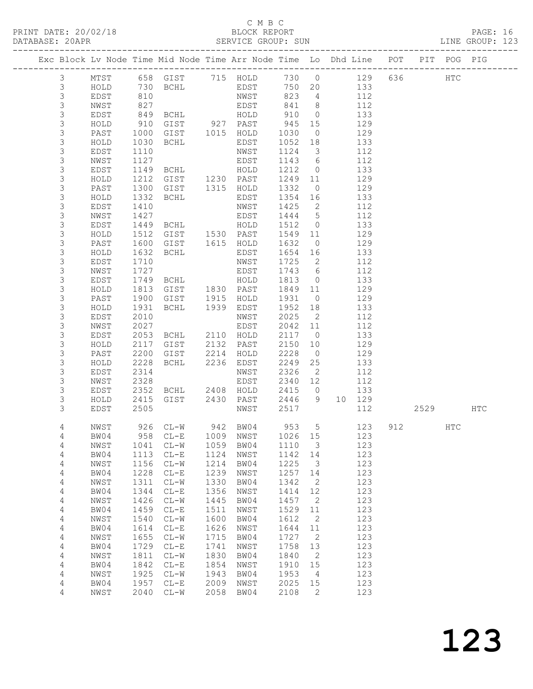# C M B C<br>BLOCK REPORT<br>SERVICE GROUP: SUN

|                |                            |              | Exc Block Lv Node Time Mid Node Time Arr Node Time Lo Dhd Line POT PIT POG PIG                                                                                                                                                                                                                                     |              |                                                                            |                                                                                             |                      |       |            |     |          |              |  |
|----------------|----------------------------|--------------|--------------------------------------------------------------------------------------------------------------------------------------------------------------------------------------------------------------------------------------------------------------------------------------------------------------------|--------------|----------------------------------------------------------------------------|---------------------------------------------------------------------------------------------|----------------------|-------|------------|-----|----------|--------------|--|
| $\mathcal{S}$  |                            |              | MTST 658 GIST 715 HOLD 730 0 129 636                                                                                                                                                                                                                                                                               |              |                                                                            |                                                                                             |                      |       |            |     |          | $_{\rm HTC}$ |  |
| 3              | HOLD                       |              |                                                                                                                                                                                                                                                                                                                    |              |                                                                            |                                                                                             |                      |       |            |     |          |              |  |
| 3              | EDST                       |              |                                                                                                                                                                                                                                                                                                                    |              |                                                                            |                                                                                             |                      |       |            |     |          |              |  |
| 3              | NWST                       | 827          |                                                                                                                                                                                                                                                                                                                    |              | EDST 841 8 112                                                             |                                                                                             |                      |       |            |     |          |              |  |
| 3              | EDST                       |              |                                                                                                                                                                                                                                                                                                                    |              |                                                                            |                                                                                             |                      |       |            |     |          |              |  |
| 3              | HOLD                       |              |                                                                                                                                                                                                                                                                                                                    |              |                                                                            |                                                                                             |                      |       |            |     |          |              |  |
| 3              | PAST                       |              |                                                                                                                                                                                                                                                                                                                    |              |                                                                            |                                                                                             |                      |       |            |     |          |              |  |
| 3              | HOLD                       |              | 910 GIST 927 PAST 945 15 129<br>1000 GIST 1015 HOLD 1030 0 129<br>1030 BCHL EDST 1052 18 133                                                                                                                                                                                                                       |              |                                                                            |                                                                                             |                      |       |            |     |          |              |  |
| 3              | EDST                       |              | 1110 NWST<br>1110 NWST<br>1127 EDST<br>1149 BCHL HOLD<br>1212 GIST 1230 PAST                                                                                                                                                                                                                                       |              |                                                                            | $\begin{array}{cccc} 1124 & 3 & 112 \\ 1143 & 6 & 112 \\ 1212 & 0 & 133 \end{array}$        |                      |       |            |     |          |              |  |
| 3              | NWST                       |              |                                                                                                                                                                                                                                                                                                                    |              |                                                                            |                                                                                             |                      |       |            |     |          |              |  |
| $\mathsf S$    | EDST                       |              |                                                                                                                                                                                                                                                                                                                    |              |                                                                            |                                                                                             |                      |       |            |     |          |              |  |
| 3              | HOLD                       |              |                                                                                                                                                                                                                                                                                                                    |              |                                                                            | 1249 11 129                                                                                 |                      |       |            |     |          |              |  |
| $\mathsf S$    | PAST                       | 1300         | GIST 1315 HOLD                                                                                                                                                                                                                                                                                                     |              |                                                                            |                                                                                             |                      |       |            |     |          |              |  |
| 3              | HOLD                       |              |                                                                                                                                                                                                                                                                                                                    |              |                                                                            |                                                                                             |                      |       |            |     |          |              |  |
| $\mathsf S$    | EDST                       |              |                                                                                                                                                                                                                                                                                                                    |              |                                                                            |                                                                                             |                      |       |            |     |          |              |  |
| 3              | NWST                       |              |                                                                                                                                                                                                                                                                                                                    |              |                                                                            |                                                                                             |                      |       |            |     |          |              |  |
| $\mathsf S$    | EDST                       |              |                                                                                                                                                                                                                                                                                                                    |              |                                                                            |                                                                                             |                      |       |            |     |          |              |  |
| 3              | HOLD                       |              |                                                                                                                                                                                                                                                                                                                    |              |                                                                            |                                                                                             |                      |       |            |     |          |              |  |
| $\mathsf S$    | PAST                       |              |                                                                                                                                                                                                                                                                                                                    |              |                                                                            |                                                                                             |                      |       |            |     |          |              |  |
| 3              | HOLD                       |              |                                                                                                                                                                                                                                                                                                                    |              |                                                                            |                                                                                             |                      |       |            |     |          |              |  |
| 3              | EDST                       |              |                                                                                                                                                                                                                                                                                                                    |              |                                                                            |                                                                                             |                      |       |            |     |          |              |  |
| 3              | NWST                       |              | Article 1332<br>The COMP of the MWST 1354<br>1410<br>1427<br>1427<br>1449 BCHL<br>1512 GIST 1530 PAST 1549 11<br>1512 GIST 1530 PAST 1549 11<br>1512 GIST 1615 HOLD 1632 0<br>1632 BCHL<br>1632 BCHL<br>1632 BCHL<br>1632 BCHL<br>162 1654 16<br>1710<br>172<br>1727 EDST<br>1749 BCHL HOLD<br>1813 GIST 1830 PAST |              |                                                                            | $\begin{array}{cccc} 1743 & 6 & & 112 \\ 1813 & 0 & & 133 \\ 1849 & 11 & & 129 \end{array}$ |                      |       |            |     |          |              |  |
| $\mathsf S$    | EDST                       |              |                                                                                                                                                                                                                                                                                                                    |              |                                                                            |                                                                                             |                      |       |            |     |          |              |  |
| 3              | HOLD                       |              |                                                                                                                                                                                                                                                                                                                    |              |                                                                            | 1931 0 129                                                                                  |                      |       |            |     |          |              |  |
| 3<br>3         | PAST<br>HOLD               | 1931         | 1900 GIST 1915 HOLD                                                                                                                                                                                                                                                                                                |              |                                                                            |                                                                                             |                      |       |            |     |          |              |  |
| $\mathsf S$    | EDST                       | 2010         | BCHL 1939 EDST                                                                                                                                                                                                                                                                                                     |              | NWST                                                                       | 1952 18 133                                                                                 |                      |       |            |     |          |              |  |
| 3              | NWST                       | 2027         |                                                                                                                                                                                                                                                                                                                    |              | EDST                                                                       | $\begin{array}{cccc} 2025 & 2 & 112 \\ 2042 & 11 & 112 \end{array}$                         |                      |       |            |     |          |              |  |
| 3              | EDST                       |              | 2053 BCHL 2110 HOLD                                                                                                                                                                                                                                                                                                |              |                                                                            | 2117 0 133                                                                                  |                      |       |            |     |          |              |  |
| 3              | HOLD                       | 2117         | GIST 2132 PAST                                                                                                                                                                                                                                                                                                     |              |                                                                            | 2150 10                                                                                     |                      |       | 129        |     |          |              |  |
| 3              | PAST                       | 2200         |                                                                                                                                                                                                                                                                                                                    |              |                                                                            | 2228                                                                                        |                      |       | 129        |     |          |              |  |
| 3              | HOLD                       | 2228         | GIST 2214 HOLD<br>BCHL 2236 EDST                                                                                                                                                                                                                                                                                   |              |                                                                            | 2228 0<br>2249 25                                                                           |                      |       | 133        |     |          |              |  |
| 3              | EDST                       | 2314         |                                                                                                                                                                                                                                                                                                                    |              | NWST                                                                       | 2326                                                                                        |                      | 2 112 |            |     |          |              |  |
| 3              | NWST                       | 2328         |                                                                                                                                                                                                                                                                                                                    |              | EDST                                                                       | 2340 12 112                                                                                 |                      |       |            |     |          |              |  |
| 3              | EDST                       |              |                                                                                                                                                                                                                                                                                                                    |              |                                                                            | 2415 0                                                                                      |                      |       |            |     |          |              |  |
| 3              | HOLD                       | 2352<br>2415 |                                                                                                                                                                                                                                                                                                                    |              |                                                                            |                                                                                             |                      |       |            |     |          |              |  |
| 3              | EDST                       | 2505         |                                                                                                                                                                                                                                                                                                                    |              | BCHL 2408 HOLD 2415 0 133<br>GIST 2430 PAST 2446 9 10 129<br>NWST 2517 112 |                                                                                             |                      |       |            |     | 2529 HTC |              |  |
| 4              | NWST                       | 926          | $CL-W$                                                                                                                                                                                                                                                                                                             | 942          | BW04                                                                       | 953                                                                                         | 5                    |       | 123        | 912 |          | <b>HTC</b>   |  |
| $\overline{4}$ | BW04                       | 958          | $\mathbb{C}\mathbb{L}-\mathbb{E}$                                                                                                                                                                                                                                                                                  | 1009         | NWST                                                                       | 1026                                                                                        | 15                   |       | 123        |     |          |              |  |
| 4              | NWST                       | 1041         | $CL-W$                                                                                                                                                                                                                                                                                                             | 1059         | BW04                                                                       | 1110                                                                                        | 3                    |       | 123        |     |          |              |  |
| 4              | BW04                       | 1113         | $CL-E$                                                                                                                                                                                                                                                                                                             | 1124         | NWST                                                                       | 1142                                                                                        | 14                   |       | 123        |     |          |              |  |
| 4              | $\ensuremath{\text{NWST}}$ | 1156         | $\mathbb{C}\mathbb{L}-\mathbb{W}$                                                                                                                                                                                                                                                                                  | 1214         | BW04                                                                       | 1225                                                                                        | 3                    |       | 123        |     |          |              |  |
| $\overline{4}$ | BW04                       | 1228         | $CL-E$                                                                                                                                                                                                                                                                                                             | 1239         | NWST                                                                       | 1257                                                                                        | 14                   |       | 123        |     |          |              |  |
| 4              | $\ensuremath{\text{NWST}}$ | 1311         | $\mathbb{C}\mathbb{L}-\mathbb{W}$                                                                                                                                                                                                                                                                                  | 1330         | BW04                                                                       | 1342                                                                                        | $\mathbf{2}$         |       | 123        |     |          |              |  |
| 4              | BW04                       | 1344         | $CL-E$                                                                                                                                                                                                                                                                                                             | 1356         | NWST                                                                       | 1414                                                                                        | 12                   |       | 123        |     |          |              |  |
| 4              | NWST                       | 1426         | $\mathbb{C}\mathbb{L}-\mathbb{W}$                                                                                                                                                                                                                                                                                  | 1445         | BW04                                                                       | 1457                                                                                        | 2                    |       | 123        |     |          |              |  |
| 4              | BW04                       | 1459         | $\mathbb{C}\mathbb{L}-\mathbb{E}$                                                                                                                                                                                                                                                                                  | 1511         | NWST                                                                       | 1529                                                                                        | $11\,$               |       | 123        |     |          |              |  |
| 4              | NWST<br>BW04               | 1540         | $CL-W$                                                                                                                                                                                                                                                                                                             | 1600<br>1626 | BW04                                                                       | 1612                                                                                        | $\mathbf{2}$<br>$11$ |       | 123<br>123 |     |          |              |  |
| 4<br>4         | NWST                       | 1614<br>1655 | $\mathbb{C}\mathbb{L}-\mathbb{E}$<br>$\mathbb{C}\mathbb{L}-\mathbb{W}$                                                                                                                                                                                                                                             | 1715         | NWST<br>BW04                                                               | 1644<br>1727                                                                                | 2                    |       | 123        |     |          |              |  |
| $\sqrt{4}$     | BW04                       | 1729         | $\mathbb{C}\mathbb{L}-\mathbb{E}$                                                                                                                                                                                                                                                                                  | 1741         | NWST                                                                       | 1758                                                                                        | 13                   |       | 123        |     |          |              |  |
| $\overline{4}$ | NWST                       | 1811         | $CL-W$                                                                                                                                                                                                                                                                                                             | 1830         | BW04                                                                       | 1840                                                                                        | $\mathbf{2}$         |       | 123        |     |          |              |  |
| $\overline{4}$ | BW04                       | 1842         | $CL-E$                                                                                                                                                                                                                                                                                                             | 1854         | NWST                                                                       | 1910                                                                                        | 15                   |       | 123        |     |          |              |  |
| $\overline{4}$ | NWST                       | 1925         | $\mathbb{C}\mathbb{L}-\mathbb{W}$                                                                                                                                                                                                                                                                                  | 1943         | BW04                                                                       | 1953                                                                                        | 4                    |       | 123        |     |          |              |  |
| $\sqrt{4}$     | BW04                       | 1957         | $\mathbb{C}\mathbb{L}-\mathbb{E}$                                                                                                                                                                                                                                                                                  | 2009         | NWST                                                                       | 2025                                                                                        | 15                   |       | 123        |     |          |              |  |
| 4              | NWST                       | 2040         | $\mathbb{C}\mathbb{L}-\mathbb{W}$                                                                                                                                                                                                                                                                                  | 2058         | BW04                                                                       | 2108                                                                                        | $\mathbf{2}$         |       | 123        |     |          |              |  |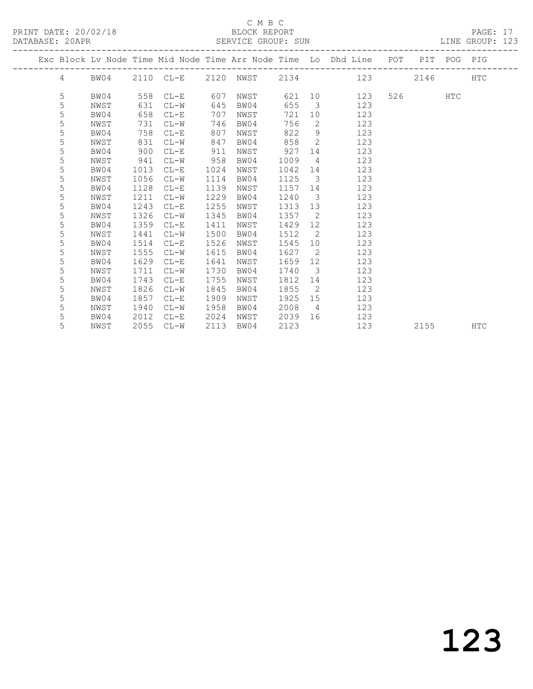PRINT DATE: 20/02/18 BLOCK REPORT BATABASE: 20APR

#### C M B C<br>BLOCK REPORT

PAGE: 17<br>LINE GROUP: 123

|  |   |      |      |          |      |      |      |                         | Exc Block Lv Node Time Mid Node Time Arr Node Time Lo Dhd Line POT |         | PIT POG PIG |            |
|--|---|------|------|----------|------|------|------|-------------------------|--------------------------------------------------------------------|---------|-------------|------------|
|  |   |      |      |          |      |      |      |                         | 4 BW04 2110 CL-E 2120 NWST 2134 123                                | 2146    |             | <b>HTC</b> |
|  | 5 | BW04 |      | 558 CL-E | 607  | NWST |      |                         | 621 10<br>123                                                      | 526 720 | HTC         |            |
|  | 5 | NWST | 631  | $CL-W$   | 645  | BW04 | 655  | $\overline{\mathbf{3}}$ | 123                                                                |         |             |            |
|  | 5 | BW04 | 658  | $CL-E$   | 707  | NWST | 721  | 10                      | 123                                                                |         |             |            |
|  | 5 | NWST | 731  | $CL-W$   | 746  | BW04 | 756  | 2                       | 123                                                                |         |             |            |
|  | 5 | BW04 | 758  | $CL-E$   | 807  | NWST | 822  | 9                       | 123                                                                |         |             |            |
|  | 5 | NWST | 831  | $CL-W$   | 847  | BW04 | 858  | $\overline{2}$          | 123                                                                |         |             |            |
|  | 5 | BW04 | 900  | $CL-E$   | 911  | NWST | 927  | 14                      | 123                                                                |         |             |            |
|  | 5 | NWST | 941  | $CL-W$   | 958  | BW04 | 1009 | $\overline{4}$          | 123                                                                |         |             |            |
|  | 5 | BW04 | 1013 | $CL-E$   | 1024 | NWST | 1042 | 14                      | 123                                                                |         |             |            |
|  | 5 | NWST | 1056 | $CL-W$   | 1114 | BW04 | 1125 | $\overline{3}$          | 123                                                                |         |             |            |
|  | 5 | BW04 | 1128 | $CL-E$   | 1139 | NWST | 1157 | 14                      | 123                                                                |         |             |            |
|  | 5 | NWST | 1211 | $CL-W$   | 1229 | BW04 | 1240 | $\overline{\mathbf{3}}$ | 123                                                                |         |             |            |
|  | 5 | BW04 | 1243 | $CL-E$   | 1255 | NWST | 1313 | 13                      | 123                                                                |         |             |            |
|  | 5 | NWST | 1326 | $CL-W$   | 1345 | BW04 | 1357 | $\overline{2}$          | 123                                                                |         |             |            |
|  | 5 | BW04 | 1359 | $CL-E$   | 1411 | NWST | 1429 | 12                      | 123                                                                |         |             |            |
|  | 5 | NWST | 1441 | $CL-W$   | 1500 | BW04 | 1512 | $\overline{2}$          | 123                                                                |         |             |            |
|  | 5 | BW04 | 1514 | $CL-E$   | 1526 | NWST | 1545 | 10                      | 123                                                                |         |             |            |
|  | 5 | NWST | 1555 | $CL-W$   | 1615 | BW04 | 1627 | $\overline{2}$          | 123                                                                |         |             |            |
|  | 5 | BW04 | 1629 | $CL-E$   | 1641 | NWST | 1659 | 12 <sup>°</sup>         | 123                                                                |         |             |            |
|  | 5 | NWST | 1711 | $CL-W$   | 1730 | BW04 | 1740 | $\overline{\mathbf{3}}$ | 123                                                                |         |             |            |
|  | 5 | BW04 | 1743 | $CL-E$   | 1755 | NWST | 1812 | 14                      | 123                                                                |         |             |            |
|  | 5 | NWST | 1826 | $CL-W$   | 1845 | BW04 | 1855 | $\overline{2}$          | 123                                                                |         |             |            |
|  | 5 | BW04 | 1857 | $CL-E$   | 1909 | NWST | 1925 | 15                      | 123                                                                |         |             |            |
|  | 5 | NWST | 1940 | $CL-W$   | 1958 | BW04 | 2008 | $\overline{4}$          | 123                                                                |         |             |            |
|  | 5 | BW04 | 2012 | $CL-E$   | 2024 | NWST | 2039 | 16                      | 123                                                                |         |             |            |
|  | 5 | NWST | 2055 | $CL-W$   | 2113 | BW04 | 2123 |                         | 123                                                                | 2155    |             | <b>HTC</b> |
|  |   |      |      |          |      |      |      |                         |                                                                    |         |             |            |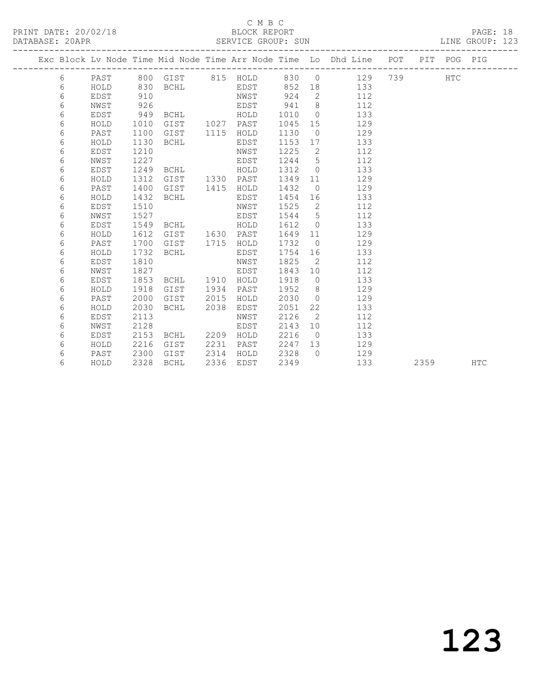#### C M B C

| __ | _____         |  |
|----|---------------|--|
|    |               |  |
|    | DIACIZ DUDADU |  |

PAGE: 18<br>LINE GROUP: 123

|  |   |      |      |             |      |           |      |                | Exc Block Lv Node Time Mid Node Time Arr Node Time Lo Dhd Line POT |     |      | PIT POG PIG  |            |
|--|---|------|------|-------------|------|-----------|------|----------------|--------------------------------------------------------------------|-----|------|--------------|------------|
|  | 6 | PAST |      | 800 GIST    |      | 815 HOLD  | 830  | $\overline{0}$ | 129                                                                | 739 |      | $_{\rm HTC}$ |            |
|  | 6 | HOLD | 830  | BCHL        |      | EDST      | 852  | 18             | 133                                                                |     |      |              |            |
|  | 6 | EDST | 910  |             |      | NWST      | 924  | 2              | 112                                                                |     |      |              |            |
|  | 6 | NWST | 926  |             |      | EDST      | 941  | 8              | 112                                                                |     |      |              |            |
|  | 6 | EDST | 949  | BCHL        |      | HOLD      | 1010 | $\overline{0}$ | 133                                                                |     |      |              |            |
|  | 6 | HOLD | 1010 | GIST        |      | 1027 PAST | 1045 | 15             | 129                                                                |     |      |              |            |
|  | 6 | PAST | 1100 | GIST        | 1115 | HOLD      | 1130 | $\overline{0}$ | 129                                                                |     |      |              |            |
|  | 6 | HOLD | 1130 | <b>BCHL</b> |      | EDST      | 1153 | 17             | 133                                                                |     |      |              |            |
|  | 6 | EDST | 1210 |             |      | NWST      | 1225 | 2              | 112                                                                |     |      |              |            |
|  | 6 | NWST | 1227 |             |      | EDST      | 1244 | 5              | 112                                                                |     |      |              |            |
|  | 6 | EDST | 1249 | <b>BCHL</b> |      | HOLD      | 1312 | $\overline{0}$ | 133                                                                |     |      |              |            |
|  | 6 | HOLD | 1312 | GIST        |      | 1330 PAST | 1349 | 11             | 129                                                                |     |      |              |            |
|  | 6 | PAST | 1400 | GIST        | 1415 | HOLD      | 1432 | $\bigcirc$     | 129                                                                |     |      |              |            |
|  | 6 | HOLD | 1432 | <b>BCHL</b> |      | EDST      | 1454 | 16             | 133                                                                |     |      |              |            |
|  | 6 | EDST | 1510 |             |      | NWST      | 1525 | 2              | 112                                                                |     |      |              |            |
|  | 6 | NWST | 1527 |             |      | EDST      | 1544 | 5              | 112                                                                |     |      |              |            |
|  | 6 | EDST | 1549 | <b>BCHL</b> |      | HOLD      | 1612 | $\overline{0}$ | 133                                                                |     |      |              |            |
|  | 6 | HOLD | 1612 | GIST        |      | 1630 PAST | 1649 | 11             | 129                                                                |     |      |              |            |
|  | 6 | PAST | 1700 | GIST        | 1715 | HOLD      | 1732 | $\overline{0}$ | 129                                                                |     |      |              |            |
|  | 6 | HOLD | 1732 | <b>BCHL</b> |      | EDST      | 1754 | 16             | 133                                                                |     |      |              |            |
|  | 6 | EDST | 1810 |             |      | NWST      | 1825 | 2              | 112                                                                |     |      |              |            |
|  | 6 | NWST | 1827 |             |      | EDST      | 1843 | 10             | 112                                                                |     |      |              |            |
|  | 6 | EDST | 1853 | <b>BCHL</b> | 1910 | HOLD      | 1918 | $\overline{0}$ | 133                                                                |     |      |              |            |
|  | 6 | HOLD | 1918 | GIST        | 1934 | PAST      | 1952 | 8              | 129                                                                |     |      |              |            |
|  | 6 | PAST | 2000 | GIST        | 2015 | HOLD      | 2030 | $\bigcirc$     | 129                                                                |     |      |              |            |
|  | 6 | HOLD | 2030 | <b>BCHL</b> | 2038 | EDST      | 2051 | 22             | 133                                                                |     |      |              |            |
|  | 6 | EDST | 2113 |             |      | NWST      | 2126 | 2              | 112                                                                |     |      |              |            |
|  | 6 | NWST | 2128 |             |      | EDST      | 2143 | 10             | 112                                                                |     |      |              |            |
|  | 6 | EDST | 2153 | BCHL        | 2209 | HOLD      | 2216 | $\overline{0}$ | 133                                                                |     |      |              |            |
|  | 6 | HOLD | 2216 | GIST        | 2231 | PAST      | 2247 | 13             | 129                                                                |     |      |              |            |
|  | 6 | PAST | 2300 | GIST        | 2314 | HOLD      | 2328 | $\bigcap$      | 129                                                                |     |      |              |            |
|  | 6 | HOLD | 2328 | <b>BCHL</b> | 2336 | EDST      | 2349 |                | 133                                                                |     | 2359 |              | <b>HTC</b> |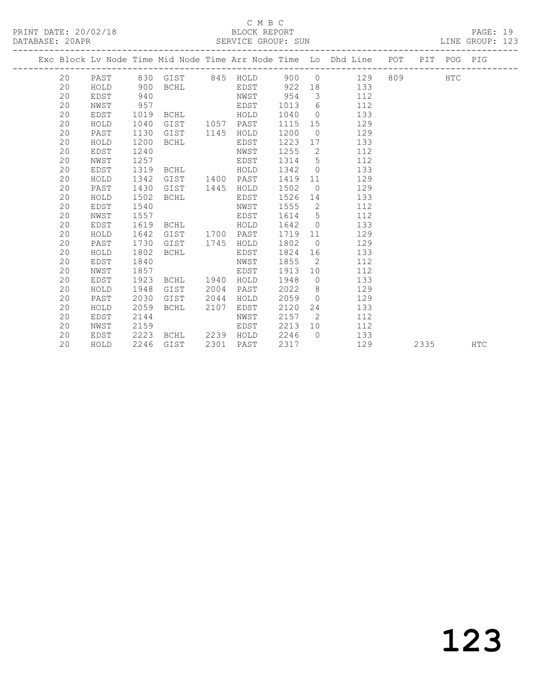PRINT DATE: 20/02/18 BLOCK REPORT BATABASE: 20APR

#### C M B C<br>BLOCK REPORT

PAGE: 19<br>LINE GROUP: 123

|  |    |             |      |                           |      |           |        |                         | Exc Block Lv Node Time Mid Node Time Arr Node Time Lo Dhd Line POT PIT POG PIG |         |      |            |
|--|----|-------------|------|---------------------------|------|-----------|--------|-------------------------|--------------------------------------------------------------------------------|---------|------|------------|
|  |    |             |      | 20 PAST 830 GIST 845 HOLD |      |           |        |                         | 900 0 129                                                                      | 809 HTC |      |            |
|  | 20 | HOLD        | 900  | <b>BCHL</b>               |      |           |        |                         | EDST 922 18 133                                                                |         |      |            |
|  | 20 | EDST        | 940  |                           |      | NWST      | 954    | $\overline{\mathbf{3}}$ | 112                                                                            |         |      |            |
|  | 20 | NWST        | 957  |                           |      | EDST      | 1013   |                         | $6\degree$<br>112                                                              |         |      |            |
|  | 20 | EDST        | 1019 | BCHL HOLD                 |      |           | 1040   | $\overline{0}$          | 133                                                                            |         |      |            |
|  | 20 | HOLD        | 1040 | GIST 1057 PAST            |      |           | 1115   | 15                      | 129                                                                            |         |      |            |
|  | 20 | PAST        | 1130 | GIST                      | 1145 | HOLD      | 1200   | $\overline{0}$          | 129                                                                            |         |      |            |
|  | 20 | HOLD        | 1200 | BCHL                      |      | EDST      | 1223   |                         | 133<br>17                                                                      |         |      |            |
|  | 20 | EDST        | 1240 |                           |      | NWST      | 1255   | $\overline{2}$          | 112                                                                            |         |      |            |
|  | 20 | NWST        | 1257 |                           |      | EDST      | 1314 5 |                         | 112                                                                            |         |      |            |
|  | 20 | EDST        | 1319 | <b>BCHL</b>               |      | HOLD      | 1342   | $\overline{0}$          | 133                                                                            |         |      |            |
|  | 20 | HOLD        | 1342 | GIST                      |      | 1400 PAST | 1419   | 11                      | 129                                                                            |         |      |            |
|  | 20 | PAST        | 1430 | GIST                      | 1445 | HOLD      | 1502   | $\overline{0}$          | 129                                                                            |         |      |            |
|  | 20 | HOLD        | 1502 | BCHL                      |      | EDST      | 1526   | 14                      | 133                                                                            |         |      |            |
|  | 20 | EDST        | 1540 |                           |      | NWST      | 1555   |                         | $\overline{2}$<br>112                                                          |         |      |            |
|  | 20 | NWST        | 1557 |                           |      | EDST      | 1614 5 |                         | 112                                                                            |         |      |            |
|  | 20 | EDST        | 1619 | BCHL HOLD                 |      |           | 1642 0 |                         | 133                                                                            |         |      |            |
|  | 20 | HOLD        | 1642 | GIST                      |      | 1700 PAST | 1719   | 11                      | 129                                                                            |         |      |            |
|  | 20 | PAST        | 1730 | GIST                      | 1745 | HOLD      | 1802   | $\overline{0}$          | 129                                                                            |         |      |            |
|  | 20 | HOLD        | 1802 | BCHL                      |      | EDST      | 1824   | 16                      | 133                                                                            |         |      |            |
|  | 20 | <b>EDST</b> | 1840 |                           |      | NWST      | 1855   | $\overline{2}$          | 112                                                                            |         |      |            |
|  | 20 | NWST        | 1857 |                           |      | EDST      | 1913   | 10                      | 112                                                                            |         |      |            |
|  | 20 | EDST        | 1923 | BCHL 1940                 |      | HOLD      | 1948   |                         | 133<br>$\overline{0}$                                                          |         |      |            |
|  | 20 | HOLD        | 1948 | GIST                      | 2004 | PAST      | 2022   | 8 <sup>1</sup>          | 129                                                                            |         |      |            |
|  | 20 | PAST        | 2030 | GIST                      | 2044 | HOLD      | 2059   | $\bigcirc$              | 129                                                                            |         |      |            |
|  | 20 | HOLD        | 2059 | BCHL                      | 2107 | EDST      | 2120   | 24                      | 133                                                                            |         |      |            |
|  | 20 | EDST        | 2144 |                           |      | NWST      | 2157   | $\overline{2}$          | 112                                                                            |         |      |            |
|  | 20 | NWST        | 2159 |                           |      | EDST      | 2213   | 10                      | 112                                                                            |         |      |            |
|  | 20 | EDST        | 2223 | BCHL 2239 HOLD            |      |           | 2246   | $\bigcap$               | 133                                                                            |         |      |            |
|  | 20 | HOLD        | 2246 | GIST                      | 2301 | PAST      | 2317   |                         | 129                                                                            |         | 2335 | <b>HTC</b> |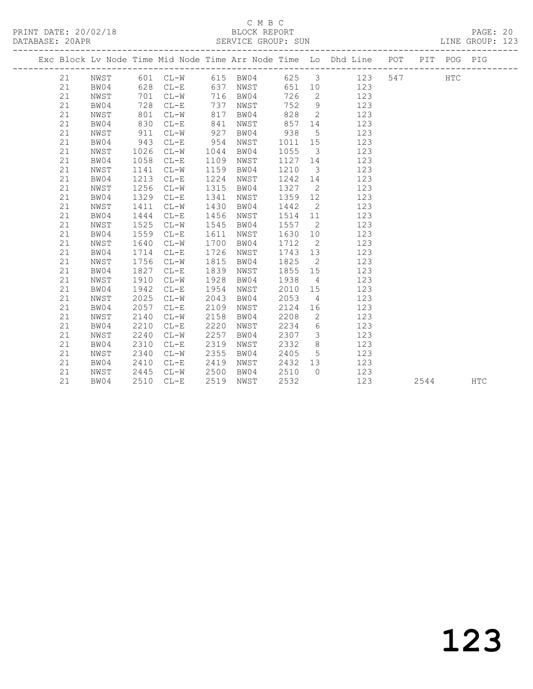## C M B C<br>BLOCK REPORT

PAGE: 20<br>LINE GROUP: 123

|  |    |      |      |          |      |          |      |                            | Exc Block Lv Node Time Mid Node Time Arr Node Time Lo Dhd Line POT |     |      | PIT POG PIG |            |
|--|----|------|------|----------|------|----------|------|----------------------------|--------------------------------------------------------------------|-----|------|-------------|------------|
|  | 21 | NWST |      | 601 CL-W |      | 615 BW04 | 625  | $\overline{\mathbf{3}}$    | 123                                                                | 547 |      | <b>HTC</b>  |            |
|  | 21 | BW04 | 628  | $CL-E$   | 637  | NWST     | 651  | 10                         | 123                                                                |     |      |             |            |
|  | 21 | NWST | 701  | $CL-W$   | 716  | BW04     | 726  | 2                          | 123                                                                |     |      |             |            |
|  | 21 | BW04 | 728  | $CL-E$   | 737  | NWST     | 752  | $\mathcal{G}$              | 123                                                                |     |      |             |            |
|  | 21 | NWST | 801  | $CL-W$   | 817  | BW04     | 828  | 2                          | 123                                                                |     |      |             |            |
|  | 21 | BW04 | 830  | $CL-E$   | 841  | NWST     | 857  | 14                         | 123                                                                |     |      |             |            |
|  | 21 | NWST | 911  | $CL-W$   | 927  | BW04     | 938  | 5                          | 123                                                                |     |      |             |            |
|  | 21 | BW04 | 943  | $CL-E$   | 954  | NWST     | 1011 | 15                         | 123                                                                |     |      |             |            |
|  | 21 | NWST | 1026 | $CL-W$   | 1044 | BW04     | 1055 | $\overline{\mathbf{3}}$    | 123                                                                |     |      |             |            |
|  | 21 | BW04 | 1058 | $CL-E$   | 1109 | NWST     | 1127 | 14                         | 123                                                                |     |      |             |            |
|  | 21 | NWST | 1141 | $CL-W$   | 1159 | BW04     | 1210 | $\overline{\mathbf{3}}$    | 123                                                                |     |      |             |            |
|  | 21 | BW04 | 1213 | $CL-E$   | 1224 | NWST     | 1242 | 14                         | 123                                                                |     |      |             |            |
|  | 21 | NWST | 1256 | $CL-W$   | 1315 | BW04     | 1327 | $\overline{2}$             | 123                                                                |     |      |             |            |
|  | 21 | BW04 | 1329 | $CL-E$   | 1341 | NWST     | 1359 | 12                         | 123                                                                |     |      |             |            |
|  | 21 | NWST | 1411 | $CL-W$   | 1430 | BW04     | 1442 | $\overline{2}$             | 123                                                                |     |      |             |            |
|  | 21 | BW04 | 1444 | $CL-E$   | 1456 | NWST     | 1514 | 11                         | 123                                                                |     |      |             |            |
|  | 21 | NWST | 1525 | $CL-W$   | 1545 | BW04     | 1557 | $\overline{2}$             | 123                                                                |     |      |             |            |
|  | 21 | BW04 | 1559 | $CL-E$   | 1611 | NWST     | 1630 | 10                         | 123                                                                |     |      |             |            |
|  | 21 | NWST | 1640 | $CL-W$   | 1700 | BW04     | 1712 | $\overline{2}$             | 123                                                                |     |      |             |            |
|  | 21 | BW04 | 1714 | $CL-E$   | 1726 | NWST     | 1743 | 13                         | 123                                                                |     |      |             |            |
|  | 21 | NWST | 1756 | $CL-W$   | 1815 | BW04     | 1825 | $\overline{\phantom{0}}^2$ | 123                                                                |     |      |             |            |
|  | 21 | BW04 | 1827 | $CL-E$   | 1839 | NWST     | 1855 | 15                         | 123                                                                |     |      |             |            |
|  | 21 | NWST | 1910 | $CL-W$   | 1928 | BW04     | 1938 | 4                          | 123                                                                |     |      |             |            |
|  | 21 | BW04 | 1942 | $CL-E$   | 1954 | NWST     | 2010 | 15                         | 123                                                                |     |      |             |            |
|  | 21 | NWST | 2025 | $CL-W$   | 2043 | BW04     | 2053 | $\overline{4}$             | 123                                                                |     |      |             |            |
|  | 21 | BW04 | 2057 | $CL-E$   | 2109 | NWST     | 2124 | 16                         | 123                                                                |     |      |             |            |
|  | 21 | NWST | 2140 | $CL-W$   | 2158 | BW04     | 2208 | 2                          | 123                                                                |     |      |             |            |
|  | 21 | BW04 | 2210 | $CL-E$   | 2220 | NWST     | 2234 | 6                          | 123                                                                |     |      |             |            |
|  | 21 | NWST | 2240 | $CL-W$   | 2257 | BW04     | 2307 | $\mathcal{E}$              | 123                                                                |     |      |             |            |
|  | 21 | BW04 | 2310 | $CL-E$   | 2319 | NWST     | 2332 | 8                          | 123                                                                |     |      |             |            |
|  | 21 | NWST | 2340 | $CL-W$   | 2355 | BW04     | 2405 | $5\phantom{.0}$            | 123                                                                |     |      |             |            |
|  | 21 | BW04 | 2410 | $CL-E$   | 2419 | NWST     | 2432 | 13                         | 123                                                                |     |      |             |            |
|  | 21 | NWST | 2445 | $CL-W$   | 2500 | BW04     | 2510 | $\circ$                    | 123                                                                |     |      |             |            |
|  | 21 | BW04 | 2510 | $CL - E$ | 2519 | NWST     | 2532 |                            | 123                                                                |     | 2544 |             | <b>HTC</b> |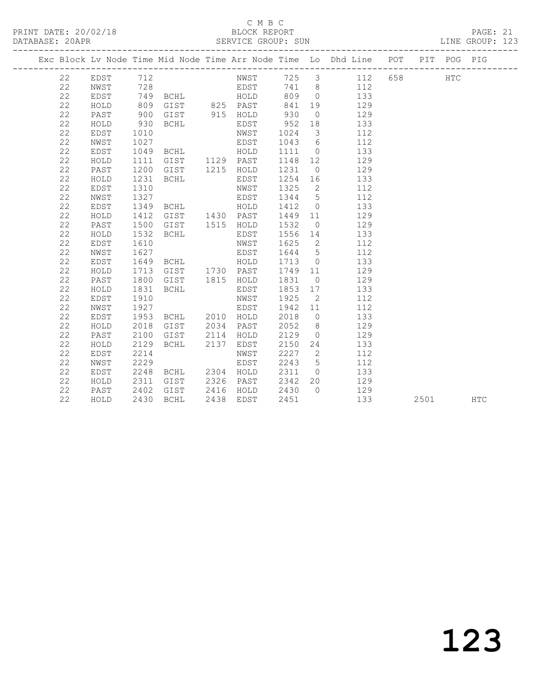PRINT DATE: 20/02/18 BLOCK REPORT BATABASE: 20APR

### C M B C<br>BLOCK REPORT

PAGE: 21<br>LINE GROUP: 123

|  |    |          |                                      |                                               |                       |         |                         | Exc Block Lv Node Time Mid Node Time Arr Node Time Lo Dhd Line POT PIT POG PIG |      |            |     |  |
|--|----|----------|--------------------------------------|-----------------------------------------------|-----------------------|---------|-------------------------|--------------------------------------------------------------------------------|------|------------|-----|--|
|  | 22 | EDST 712 |                                      |                                               |                       |         |                         | NWST 725 3 112 658                                                             |      | <b>HTC</b> |     |  |
|  | 22 | NWST     | 728                                  |                                               |                       |         |                         | EDST 741 8 112                                                                 |      |            |     |  |
|  | 22 | EDST     |                                      | 749 BCHL HOLD                                 |                       |         |                         | 809 0 133                                                                      |      |            |     |  |
|  | 22 | HOLD     | 809                                  |                                               | GIST 825 PAST         | 841     |                         | 19 129                                                                         |      |            |     |  |
|  | 22 | PAST     | 900                                  | GIST 915 HOLD                                 |                       | 930     |                         | $0$ 129                                                                        |      |            |     |  |
|  | 22 | HOLD     | 930                                  | BCHL                                          | EDST                  | 952 18  |                         | 133                                                                            |      |            |     |  |
|  | 22 | EDST     | 1010                                 |                                               | NWST                  | 1024    | $\overline{\mathbf{3}}$ | 112                                                                            |      |            |     |  |
|  | 22 | NWST     | 1027                                 |                                               | EDST                  | 1043 6  |                         | 112                                                                            |      |            |     |  |
|  | 22 | EDST     |                                      |                                               |                       | 1111 0  |                         | 133                                                                            |      |            |     |  |
|  | 22 | HOLD     | 1111                                 |                                               |                       | 1148 12 |                         | 129                                                                            |      |            |     |  |
|  | 22 | PAST     | 1200                                 | GIST 1215 HOLD                                |                       | 1231 0  |                         | 129                                                                            |      |            |     |  |
|  | 22 | HOLD     | 1231                                 | BCHL                                          | EDST                  | 1254 16 |                         | 133                                                                            |      |            |     |  |
|  | 22 | EDST     | 1310                                 |                                               | NWST                  |         |                         | 1325 2 112                                                                     |      |            |     |  |
|  | 22 | NWST     | 1327                                 | EDST <sub>1</sub>                             |                       |         |                         | 1344 5 112                                                                     |      |            |     |  |
|  | 22 | EDST     | 1349                                 | BCHL HOLD                                     |                       |         |                         | 1412 0<br>133                                                                  |      |            |     |  |
|  | 22 | HOLD     | 1412                                 | GIST 1430 PAST                                |                       |         |                         | 1449 11 129                                                                    |      |            |     |  |
|  | 22 | PAST     | 1500                                 | GIST 1515 HOLD                                |                       | 1532    |                         | $0 \qquad \qquad 129$                                                          |      |            |     |  |
|  | 22 | HOLD     | 1532                                 | BCHL                                          | EDST                  |         |                         | 1556 14<br>133                                                                 |      |            |     |  |
|  | 22 | EDST     | 1610                                 |                                               | NWST                  | 1625 2  |                         | 112                                                                            |      |            |     |  |
|  | 22 | NWST     | 1627<br>1627<br>1649<br>1713<br>1800 |                                               | EDST                  | 1644 5  |                         | 112                                                                            |      |            |     |  |
|  | 22 | EDST     |                                      | BCHL HOLD<br>GIST 1730 PAST<br>GIST 1815 HOLD |                       | 1713 0  |                         | 133                                                                            |      |            |     |  |
|  | 22 | HOLD     |                                      |                                               |                       | 1749 11 |                         | 129                                                                            |      |            |     |  |
|  | 22 | PAST     |                                      |                                               |                       | 1831 0  |                         | $\frac{1}{129}$                                                                |      |            |     |  |
|  | 22 | HOLD     | 1831                                 | BCHL                                          | EDST                  |         |                         | 1853 17 133                                                                    |      |            |     |  |
|  | 22 | EDST     | 1910                                 |                                               | NWST                  | 1925    | $\overline{2}$          | 112                                                                            |      |            |     |  |
|  | 22 | NWST     | 1927                                 |                                               | EDST                  | 1942 11 |                         | 112                                                                            |      |            |     |  |
|  | 22 | EDST     | 1953                                 | BCHL 2010 HOLD                                |                       |         |                         | 2018 0 133                                                                     |      |            |     |  |
|  | 22 | HOLD     | 2018                                 | GIST 2034 PAST                                |                       |         |                         | 2052 8 129                                                                     |      |            |     |  |
|  | 22 | PAST     | 2100                                 | GIST 2114 HOLD                                |                       | 2129    |                         | $0 \qquad \qquad 129$                                                          |      |            |     |  |
|  | 22 | HOLD     | 2129                                 | BCHL 2137 EDST                                |                       | 2150    |                         | 24 133                                                                         |      |            |     |  |
|  | 22 | EDST     | 2214                                 |                                               | NWST                  |         |                         | 2227 2<br>112                                                                  |      |            |     |  |
|  | 22 | NWST     | 2229                                 |                                               | EDST                  | 2243 5  |                         | 112                                                                            |      |            |     |  |
|  | 22 | EDST     | 2248                                 | BCHL 2304 HOLD                                |                       | 2311 0  |                         | 133                                                                            |      |            |     |  |
|  | 22 | HOLD     | 2311<br>2402<br>2430                 | GIST 2326 PAST                                |                       | 2342 20 |                         | 129                                                                            |      |            |     |  |
|  | 22 | PAST     |                                      |                                               | GIST 2416 HOLD 2430 0 |         |                         | 129                                                                            |      |            |     |  |
|  | 22 | HOLD     | 2430                                 | BCHL                                          | 2438 EDST             | 2451    |                         | 133                                                                            | 2501 |            | HTC |  |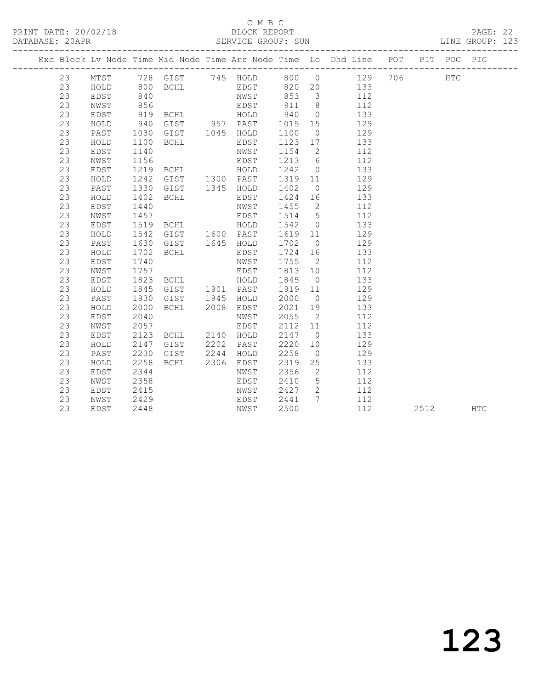#### C M B C<br>BLOCK REPORT

PRINT DATE: 20/02/18 BLOCK REPORT PAGE: 22 SERVICE GROUP: SUN

|          |      |              |                                  |              |                                            |                          | Exc Block Lv Node Time Mid Node Time Arr Node Time Lo Dhd Line POT |          | PIT POG PIG |  |
|----------|------|--------------|----------------------------------|--------------|--------------------------------------------|--------------------------|--------------------------------------------------------------------|----------|-------------|--|
| 23       |      |              |                                  |              |                                            |                          | MTST 728 GIST 745 HOLD 800 0 129 706                               |          | <b>HTC</b>  |  |
| 23       | HOLD | 800          |                                  |              |                                            |                          | BCHL EDST 820 20 133                                               |          |             |  |
| 23       | EDST |              |                                  |              |                                            |                          | $\frac{112}{112}$                                                  |          |             |  |
| 23       | NWST |              |                                  |              |                                            |                          | 112                                                                |          |             |  |
| 23       | EDST |              |                                  |              |                                            |                          | 133                                                                |          |             |  |
| 23       | HOLD | 940          | GIST 957 PAST 1015 15            |              |                                            |                          | 129                                                                |          |             |  |
| 23       | PAST | 1030         | GIST 1045 HOLD                   |              | 1100                                       | $\overline{0}$           | 129                                                                |          |             |  |
| 23       | HOLD | 1100         | <b>BCHL</b>                      | EDST         | 1123 17                                    |                          | 133                                                                |          |             |  |
| 23       | EDST | 1140         |                                  | NWST         | 1154                                       | $\overline{2}$           | 112                                                                |          |             |  |
| 23       | NWST | 1156<br>1219 |                                  | EDST         | 1213 6                                     |                          | 112                                                                |          |             |  |
| 23       | EDST |              | <b>BCHL</b>                      | HOLD         | $\begin{array}{c}\n1242 \\ 0\n\end{array}$ |                          | 133                                                                |          |             |  |
| 23       | HOLD | 1242         | GIST 1300 PAST                   |              | 1319 11                                    |                          | 129                                                                |          |             |  |
| 23       | PAST | 1330         | GIST 1345 HOLD                   |              | 1402                                       | $\overline{0}$           | 129                                                                |          |             |  |
| 23       | HOLD | 1402         | BCHL                             | EDST         | 1424 16                                    |                          | 133                                                                |          |             |  |
| 23       | EDST | 1440         |                                  | NWST         |                                            |                          | 1455 2<br>112                                                      |          |             |  |
| 23       | NWST | 1457         |                                  | EDST         | 1514 5                                     |                          | 112                                                                |          |             |  |
| 23       | EDST |              |                                  |              | 1542 0                                     |                          | 133                                                                |          |             |  |
| 23       | HOLD |              |                                  |              | 1619 11                                    |                          | 129                                                                |          |             |  |
| 23       | PAST |              |                                  |              | 1702 0                                     |                          | 129                                                                |          |             |  |
| 23       | HOLD | 1702         | BCHL                             | EDST         | 1724 16                                    |                          | 133                                                                |          |             |  |
| 23       | EDST | 1740         |                                  | NWST         | 1755 2                                     |                          | 112                                                                |          |             |  |
| 23       | NWST | 1757         | EDST <sup>1</sup>                |              | 1813 10                                    |                          | 112                                                                |          |             |  |
| 23       | EDST | 1823         | BCHL HOLD                        |              | 1845                                       | $\overline{0}$           | 133                                                                |          |             |  |
| 23       | HOLD | 1845         | GIST 1901 PAST                   |              | 1919 11                                    |                          | 129                                                                |          |             |  |
| 23       | PAST | 1930         | GIST 1945 HOLD<br>BCHL 2008 EDST |              | 2000 0                                     |                          | 129                                                                |          |             |  |
| 23       | HOLD | 2000         |                                  |              | 2021                                       | 19                       | 133                                                                |          |             |  |
| 23       | EDST | 2040         |                                  | NWST         | 2055                                       | $\overline{2}$           | 112                                                                |          |             |  |
| 23       | NWST | 2057         |                                  | EDST         | 2112 11                                    |                          | 112                                                                |          |             |  |
| 23       | EDST | 2123         | BCHL 2140 HOLD                   |              | 2147                                       | $\overline{0}$           | 133                                                                |          |             |  |
| 23       | HOLD | 2147         | GIST 2202 PAST                   |              | 2220                                       | 10                       | 129                                                                |          |             |  |
| 23       | PAST | 2230         | GIST 2244 HOLD                   |              | 2258                                       | $\overline{0}$           | 129                                                                |          |             |  |
| 23       | HOLD | 2258         | BCHL                             | 2306 EDST    | 2319                                       | 25                       | 133                                                                |          |             |  |
| 23       | EDST | 2344         |                                  | NWST         | 2356                                       | $\overline{\phantom{a}}$ | 112<br>112                                                         |          |             |  |
| 23       | NWST | 2358<br>2415 |                                  | EDST         | 2410<br>2427 2                             | $5\overline{)}$          | 112                                                                |          |             |  |
| 23<br>23 | EDST | 2429         |                                  | NWST         |                                            |                          | 2441 7 112                                                         |          |             |  |
| 23       | NWST |              |                                  | EDST<br>NWST |                                            |                          | 112                                                                |          |             |  |
|          | EDST | 2448         |                                  |              | 2500                                       |                          |                                                                    | 2512 HTC |             |  |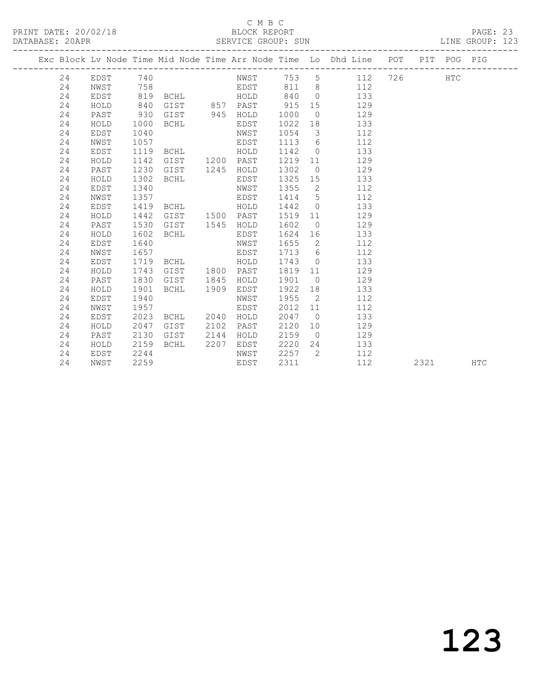#### C M B C<br>BLOCK REPORT SERVICE GROUP: SUN

|  |    |             |      |                |      |           |      |                 | Exc Block Lv Node Time Mid Node Time Arr Node Time Lo Dhd Line POT |     |      | PIT POG PIG |            |
|--|----|-------------|------|----------------|------|-----------|------|-----------------|--------------------------------------------------------------------|-----|------|-------------|------------|
|  | 24 | EDST        | 740  |                |      | NWST      | 753  | $5\overline{)}$ | 112                                                                | 726 |      | <b>HTC</b>  |            |
|  | 24 | NWST        | 758  |                |      | EDST      | 811  | 8 <sup>8</sup>  | 112                                                                |     |      |             |            |
|  | 24 | EDST        | 819  | BCHL           |      | HOLD      | 840  | $\bigcirc$      | 133                                                                |     |      |             |            |
|  | 24 | HOLD        | 840  | GIST 857 PAST  |      |           | 915  | 15              | 129                                                                |     |      |             |            |
|  | 24 | PAST        | 930  | GIST 945 HOLD  |      |           | 1000 | $\overline{0}$  | 129                                                                |     |      |             |            |
|  | 24 | HOLD        | 1000 | BCHL           |      | EDST      | 1022 | 18              | 133                                                                |     |      |             |            |
|  | 24 | <b>EDST</b> | 1040 |                |      | NWST      | 1054 | $\mathcal{E}$   | 112                                                                |     |      |             |            |
|  | 24 | NWST        | 1057 |                |      | EDST      | 1113 | 6               | 112                                                                |     |      |             |            |
|  | 24 | EDST        | 1119 | BCHL           |      | HOLD      | 1142 | $\overline{0}$  | 133                                                                |     |      |             |            |
|  | 24 | HOLD        | 1142 | GIST           |      | 1200 PAST | 1219 | 11              | 129                                                                |     |      |             |            |
|  | 24 | PAST        | 1230 | GIST           | 1245 | HOLD      | 1302 | $\overline{0}$  | 129                                                                |     |      |             |            |
|  | 24 | HOLD        | 1302 | <b>BCHL</b>    |      | EDST      | 1325 | 15              | 133                                                                |     |      |             |            |
|  | 24 | <b>EDST</b> | 1340 |                |      | NWST      | 1355 | 2               | 112                                                                |     |      |             |            |
|  | 24 | NWST        | 1357 |                |      | EDST      | 1414 | $5\overline{)}$ | 112                                                                |     |      |             |            |
|  | 24 | EDST        | 1419 | BCHL           |      | HOLD      | 1442 | $\overline{0}$  | 133                                                                |     |      |             |            |
|  | 24 | HOLD        | 1442 | GIST 1500 PAST |      |           | 1519 | 11              | 129                                                                |     |      |             |            |
|  | 24 | PAST        | 1530 | GIST           | 1545 | HOLD      | 1602 | $\overline{0}$  | 129                                                                |     |      |             |            |
|  | 24 | HOLD        | 1602 | <b>BCHL</b>    |      | EDST      | 1624 | 16              | 133                                                                |     |      |             |            |
|  | 24 | <b>EDST</b> | 1640 |                |      | NWST      | 1655 | $\overline{2}$  | 112                                                                |     |      |             |            |
|  | 24 | NWST        | 1657 |                |      | EDST      | 1713 | 6               | 112                                                                |     |      |             |            |
|  | 24 | EDST        | 1719 | BCHL           |      | HOLD      | 1743 | $\bigcirc$      | 133                                                                |     |      |             |            |
|  | 24 | HOLD        | 1743 | GIST           | 1800 | PAST      | 1819 | 11              | 129                                                                |     |      |             |            |
|  | 24 | PAST        | 1830 | GIST           | 1845 | HOLD      | 1901 | $\overline{0}$  | 129                                                                |     |      |             |            |
|  | 24 | HOLD        | 1901 | BCHL           | 1909 | EDST      | 1922 | 18              | 133                                                                |     |      |             |            |
|  | 24 | EDST        | 1940 |                |      | NWST      | 1955 | $\overline{2}$  | 112                                                                |     |      |             |            |
|  | 24 | NWST        | 1957 |                |      | EDST      | 2012 | 11              | 112                                                                |     |      |             |            |
|  | 24 | EDST        | 2023 | BCHL           | 2040 | HOLD      | 2047 | $\overline{0}$  | 133                                                                |     |      |             |            |
|  | 24 | HOLD        | 2047 | GIST           | 2102 | PAST      | 2120 | 10              | 129                                                                |     |      |             |            |
|  | 24 | PAST        | 2130 | GIST           | 2144 | HOLD      | 2159 | $\overline{0}$  | 129                                                                |     |      |             |            |
|  | 24 | HOLD        | 2159 | BCHL           | 2207 | EDST      | 2220 | 24              | 133                                                                |     |      |             |            |
|  | 24 | EDST        | 2244 |                |      | NWST      | 2257 | 2               | 112                                                                |     |      |             |            |
|  | 24 | NWST        | 2259 |                |      | EDST      | 2311 |                 | 112                                                                |     | 2321 |             | <b>HTC</b> |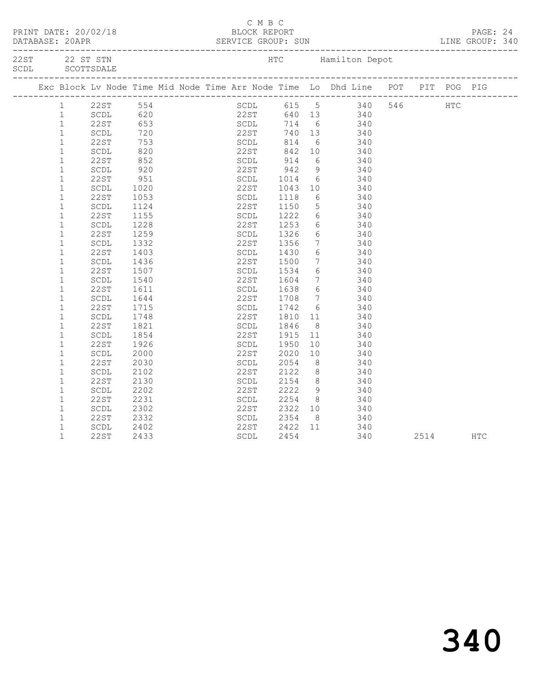|              |                                |            |      | C M B C                |              |                 | PRINT DATE: 20/02/18<br>BLOCK REPORT BLOCK PERT DATABASE: 20APR SERVICE GROUP: SUN LINE GROUP: 340                                                                                                               |      |     |  |
|--------------|--------------------------------|------------|------|------------------------|--------------|-----------------|------------------------------------------------------------------------------------------------------------------------------------------------------------------------------------------------------------------|------|-----|--|
|              |                                |            |      |                        |              |                 |                                                                                                                                                                                                                  |      |     |  |
|              |                                |            |      |                        |              |                 | Exc Block Lv Node Time Mid Node Time Arr Node Time Lo Dhd Line POT PIT POG PIG                                                                                                                                   |      |     |  |
| $\mathbf{1}$ |                                |            |      |                        |              |                 | SCDL 615 5 340 546 HTC<br>22ST 640 13 340<br>22ST 554 SCDL 615 5 340<br>322ST 653 SCDL 714 6 340<br>322ST 653 SCDL 714 6 340<br>322ST 753 SCDL 814 6 340<br>32DL 820 22ST 842 10 340<br>32DL 820 22ST 842 10 340 |      |     |  |
| $\mathbf{1}$ |                                |            |      |                        |              |                 |                                                                                                                                                                                                                  |      |     |  |
| $\mathbf{1}$ | 22ST                           |            |      |                        |              |                 |                                                                                                                                                                                                                  |      |     |  |
| $\mathbf{1}$ |                                |            |      |                        |              |                 |                                                                                                                                                                                                                  |      |     |  |
| $\mathbf{1}$ |                                |            |      |                        |              |                 |                                                                                                                                                                                                                  |      |     |  |
| $\mathbf{1}$ |                                |            |      |                        |              |                 |                                                                                                                                                                                                                  |      |     |  |
| $\mathbf{1}$ | 22ST                           |            |      |                        |              |                 |                                                                                                                                                                                                                  |      |     |  |
| $\mathbf{1}$ | SCDL                           | 852<br>920 |      |                        |              |                 | SCDL 914 6 340<br>22ST 942 9 340                                                                                                                                                                                 |      |     |  |
| $\mathbf{1}$ | 22ST                           | 951        |      | SCDL                   |              |                 | 6 340                                                                                                                                                                                                            |      |     |  |
| $\mathbf 1$  | SCDL                           | 1020       |      | 22ST                   | 1014<br>1043 | 10              | 340                                                                                                                                                                                                              |      |     |  |
| $\mathbf{1}$ | 22ST                           |            | 1053 | SCDL 1118              |              |                 | 6 340                                                                                                                                                                                                            |      |     |  |
| $\mathbf{1}$ | SCDL                           | 1124       |      |                        |              |                 | $\frac{5}{6}$ 340                                                                                                                                                                                                |      |     |  |
| $\mathbf{1}$ | 22ST                           | 1155       |      | 22ST<br>SCDL           | 1150<br>1222 | $6\overline{6}$ | 340                                                                                                                                                                                                              |      |     |  |
| $1\,$        | SCDL                           | 1228       |      | 22ST                   | 1253         |                 | 6 340                                                                                                                                                                                                            |      |     |  |
| $\mathbf{1}$ | 22ST                           | 1259       |      | SCDL                   |              |                 |                                                                                                                                                                                                                  |      |     |  |
| $\mathbf 1$  | SCDL                           | 1332       |      | 22ST                   | 1326<br>1356 |                 | $\begin{array}{ccc} 6 & 340 \\ 7 & 340 \end{array}$                                                                                                                                                              |      |     |  |
| $\mathbf{1}$ | 22ST                           | 1403       |      | SCDL                   | 1430         |                 | 6 340                                                                                                                                                                                                            |      |     |  |
| $\mathbf 1$  | SCDL                           | 1436       |      | 22ST                   | 1500         | 7               | 340                                                                                                                                                                                                              |      |     |  |
| $\mathbf{1}$ | 22ST                           | 1507       |      | SCDL 1534              |              |                 | $6 \frac{510}{340}$                                                                                                                                                                                              |      |     |  |
| $\mathbf{1}$ | SCDL                           | 1540       |      | 22ST                   |              |                 |                                                                                                                                                                                                                  |      |     |  |
| $\mathbf 1$  | 22ST                           | 1611       |      | 22ST 1604<br>SCDL 1638 |              | $6\overline{6}$ | $\frac{7}{6}$ 340<br>340                                                                                                                                                                                         |      |     |  |
| $\mathbf{1}$ | SCDL                           | 1644       |      | 22ST                   | 1708         |                 | 7 340                                                                                                                                                                                                            |      |     |  |
| $\mathbf 1$  | 22ST                           | 1715       |      |                        |              |                 |                                                                                                                                                                                                                  |      |     |  |
| $\mathbf{1}$ | SCDL                           | 1748       |      | SCDL<br>22ST           | 1742<br>1810 |                 | $\begin{array}{ccc} 6 & 340 \\ 11 & 340 \end{array}$                                                                                                                                                             |      |     |  |
| $\mathbf{1}$ | 22ST                           | 1821       |      | SCDL 1846              |              |                 | 8 340                                                                                                                                                                                                            |      |     |  |
| $\mathbf{1}$ | SCDL                           | 1854       |      | 22ST                   | 1915         | 11              | 340                                                                                                                                                                                                              |      |     |  |
| $\mathbf{1}$ | 22ST                           | 1926       |      | SCDL                   | 1950         |                 | $\begin{array}{c}\n 11 \\  10 \\  \hline\n 340\n \end{array}$                                                                                                                                                    |      |     |  |
| $\mathbf{1}$ | SCDL                           | 2000       |      | 22ST                   |              | 10              | 340                                                                                                                                                                                                              |      |     |  |
| $\mathbf{1}$ | <b>22ST</b>                    | 2030       |      | SCDL                   | 2020<br>2054 | 8 <sup>8</sup>  | 340                                                                                                                                                                                                              |      |     |  |
| $\mathbf{1}$ |                                |            |      | 22ST                   | 2122         | 8 <sup>1</sup>  | 340                                                                                                                                                                                                              |      |     |  |
|              | SCDL                           | 2102       |      |                        |              |                 |                                                                                                                                                                                                                  |      |     |  |
| $\mathbf 1$  | <b>22ST</b>                    | 2130       |      | SCDL<br>22ST           |              |                 | 2154 8 340<br>2222 9 340                                                                                                                                                                                         |      |     |  |
| $\mathbf{1}$ | $\operatorname{\mathsf{SCDL}}$ | 2202       |      |                        |              |                 | 340                                                                                                                                                                                                              |      |     |  |
| $\mathbf{1}$ | 22ST                           | 2231       |      | SCDL                   | 2254         |                 | 8 340                                                                                                                                                                                                            |      |     |  |
| $\mathbf 1$  | SCDL                           | 2302       |      | 22ST<br>SCDL           | 2322<br>2354 |                 | $\begin{array}{ccc} 10 & \quad & 340 \\ 8 & \quad & 340 \end{array}$                                                                                                                                             |      |     |  |
| $\mathbf{1}$ | 22ST                           | 2332       |      |                        |              |                 |                                                                                                                                                                                                                  |      |     |  |
| $\mathbf{1}$ | SCDL                           | 2402       |      | 22ST                   |              |                 | 2422 11 340                                                                                                                                                                                                      |      |     |  |
| $\mathbf{1}$ | 22ST                           | 2433       |      | SCDL                   | 2454         |                 | 340                                                                                                                                                                                                              | 2514 | HTC |  |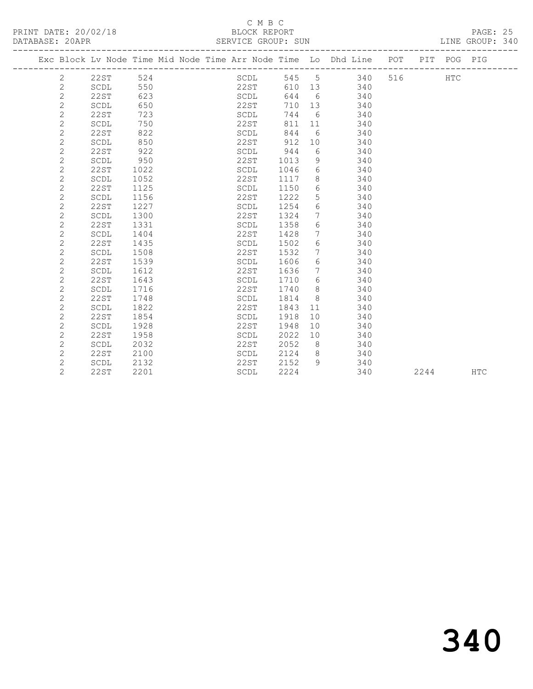#### C M B C<br>BLOCK REPORT

| PRINT DATE: 20/02/18<br>DATABASE: 20APR | BLOCK REPORT<br>SERVICE GROUP: SUN                                                     | PAGE: 25<br>LINE GROUP: 340 |  |
|-----------------------------------------|----------------------------------------------------------------------------------------|-----------------------------|--|
|                                         | Exc Block Lv Node Time Mid Node Time Arr Node Time Lo Dhd Line - POT - PIT - POG - PIG |                             |  |

| Exc Block Lv Node Time Mid Node Time Arr Node Time Lo Dhd Line |                                |      |  |             |      |    |     | POT | PIT  | POG PIG |            |
|----------------------------------------------------------------|--------------------------------|------|--|-------------|------|----|-----|-----|------|---------|------------|
| 2                                                              | 22ST                           | 524  |  | SCDL        | 545  | 5  | 340 | 516 |      | HTC     |            |
| $\overline{c}$                                                 | SCDL                           | 550  |  | 22ST        | 610  | 13 | 340 |     |      |         |            |
| $\overline{2}$                                                 | 22ST                           | 623  |  | SCDL        | 644  | 6  | 340 |     |      |         |            |
| $\overline{c}$                                                 | SCDL                           | 650  |  | 22ST        | 710  | 13 | 340 |     |      |         |            |
| $\mathbf{2}$                                                   | <b>22ST</b>                    | 723  |  | SCDL        | 744  | 6  | 340 |     |      |         |            |
| $\mathbf{2}$                                                   | SCDL                           | 750  |  | 22ST        | 811  | 11 | 340 |     |      |         |            |
| $\overline{c}$                                                 | <b>22ST</b>                    | 822  |  | SCDL        | 844  | 6  | 340 |     |      |         |            |
| $\overline{c}$                                                 | SCDL                           | 850  |  | 22ST        | 912  | 10 | 340 |     |      |         |            |
| $\overline{c}$                                                 | <b>22ST</b>                    | 922  |  | SCDL        | 944  | 6  | 340 |     |      |         |            |
| $\overline{c}$                                                 | SCDL                           | 950  |  | 22ST        | 1013 | 9  | 340 |     |      |         |            |
| $\overline{c}$                                                 | 22ST                           | 1022 |  | SCDL        | 1046 | 6  | 340 |     |      |         |            |
| $\overline{c}$                                                 | SCDL                           | 1052 |  | 22ST        | 1117 | 8  | 340 |     |      |         |            |
| $\overline{c}$                                                 | <b>22ST</b>                    | 1125 |  | SCDL        | 1150 | 6  | 340 |     |      |         |            |
| $\overline{c}$                                                 | SCDL                           | 1156 |  | 22ST        | 1222 | 5  | 340 |     |      |         |            |
| $\overline{2}$                                                 | 22ST                           | 1227 |  | SCDL        | 1254 | 6  | 340 |     |      |         |            |
| $\overline{c}$                                                 | SCDL                           | 1300 |  | <b>22ST</b> | 1324 | 7  | 340 |     |      |         |            |
| $\overline{c}$                                                 | 22ST                           | 1331 |  | SCDL        | 1358 | 6  | 340 |     |      |         |            |
| $\overline{c}$                                                 | SCDL                           | 1404 |  | 22ST        | 1428 | 7  | 340 |     |      |         |            |
| $\mathbf{2}$                                                   | <b>22ST</b>                    | 1435 |  | SCDL        | 1502 | 6  | 340 |     |      |         |            |
| $\mathbf{2}$                                                   | SCDL                           | 1508 |  | 22ST        | 1532 | 7  | 340 |     |      |         |            |
| $\overline{c}$                                                 | 22ST                           | 1539 |  | SCDL        | 1606 | 6  | 340 |     |      |         |            |
| $\overline{c}$                                                 | SCDL                           | 1612 |  | 22ST        | 1636 | 7  | 340 |     |      |         |            |
| $\overline{c}$                                                 | <b>22ST</b>                    | 1643 |  | SCDL        | 1710 | 6  | 340 |     |      |         |            |
| $\overline{c}$                                                 | SCDL                           | 1716 |  | 22ST        | 1740 | 8  | 340 |     |      |         |            |
| $\overline{c}$                                                 | 22ST                           | 1748 |  | SCDL        | 1814 | 8  | 340 |     |      |         |            |
| $\mathbf{2}$                                                   | $\operatorname{\mathsf{SCDL}}$ | 1822 |  | 22ST        | 1843 | 11 | 340 |     |      |         |            |
| $\overline{c}$                                                 | <b>22ST</b>                    | 1854 |  | SCDL        | 1918 | 10 | 340 |     |      |         |            |
| $\overline{c}$                                                 | SCDL                           | 1928 |  | 22ST        | 1948 | 10 | 340 |     |      |         |            |
| $\overline{c}$                                                 | <b>22ST</b>                    | 1958 |  | SCDL        | 2022 | 10 | 340 |     |      |         |            |
| $\overline{c}$                                                 | SCDL                           | 2032 |  | <b>22ST</b> | 2052 | 8  | 340 |     |      |         |            |
| $\overline{2}$                                                 | 22ST                           | 2100 |  | SCDL        | 2124 | 8  | 340 |     |      |         |            |
| $\mathbf{2}$                                                   | SCDL                           | 2132 |  | 22ST        | 2152 | 9  | 340 |     |      |         |            |
| $\overline{2}$                                                 | <b>22ST</b>                    | 2201 |  | SCDL        | 2224 |    | 340 |     | 2244 |         | <b>HTC</b> |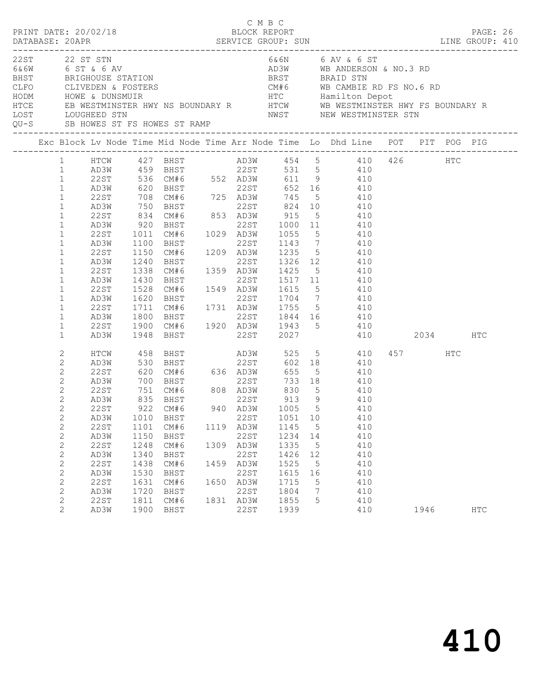| PRINT DATE: 20/02/18                                                                                                                                                                                                                                                                                                                                                                                                                                            |                                                                                                                                               |                                                                                                                 | BLOCK REPORT          | C M B C                                                                                                  |                                                                                                                                                   |                                                                                     | DATABASE: 20APR SERVICE GROUP: SUN LINE GROUP: 410                                                                                                                                                                                                                                                                                                                                                                                                                           |                 | PAGE: 26   |  |
|-----------------------------------------------------------------------------------------------------------------------------------------------------------------------------------------------------------------------------------------------------------------------------------------------------------------------------------------------------------------------------------------------------------------------------------------------------------------|-----------------------------------------------------------------------------------------------------------------------------------------------|-----------------------------------------------------------------------------------------------------------------|-----------------------|----------------------------------------------------------------------------------------------------------|---------------------------------------------------------------------------------------------------------------------------------------------------|-------------------------------------------------------------------------------------|------------------------------------------------------------------------------------------------------------------------------------------------------------------------------------------------------------------------------------------------------------------------------------------------------------------------------------------------------------------------------------------------------------------------------------------------------------------------------|-----------------|------------|--|
| 22ST 22 ST STN                                                                                                                                                                                                                                                                                                                                                                                                                                                  |                                                                                                                                               |                                                                                                                 |                       |                                                                                                          |                                                                                                                                                   |                                                                                     | 6&6N 6 AV & 6 ST<br>EXECUTE ON THE RESERVANCE STATION CONTROLLER AND A BANDERSON & NO.3 RD<br>EXECUTE OF THE BAND BRIGHOUSE STATION<br>HODM HOWE & DUNSMUIR<br>HODM HOWE & DUNSMUIR<br>HODM HOWE & DUNSMUIR<br>HODM HOWE & DUNSMUIR<br>HODM HOWE & DUNSMUIR<br>H<br>NWST WE ALL MUSTER STN MUST MEW WESTMINSTER STN MEDIATORS ST FS HOWES ST RAMP<br>QU-S SB HOWES ST FS HOWES ST RAMP NEST MEW WESTMINSTER STN                                                              |                 |            |  |
|                                                                                                                                                                                                                                                                                                                                                                                                                                                                 |                                                                                                                                               |                                                                                                                 |                       |                                                                                                          |                                                                                                                                                   |                                                                                     | Exc Block Lv Node Time Mid Node Time Arr Node Time Lo Dhd Line POT PIT POG PIG                                                                                                                                                                                                                                                                                                                                                                                               |                 |            |  |
| $1 \quad$<br>$\mathbf{1}$<br>$\mathbf{1}$<br>$\mathbf{1}$<br>AD3W<br>22ST<br>$\mathbf{1}$<br>$\mathbf{1}$<br>AD3W<br>$\mathbf{1}$<br>22ST<br>$\mathbf 1$<br>AD3W<br>$\mathbf{1}$<br>22ST<br>$\mathbf{1}$<br>AD3W<br>$\mathbf{1}$<br>22ST<br>$\mathbf{1}$<br>AD3W<br>22ST<br>$\mathbf{1}$<br>$\mathbf 1$<br>AD3W<br>$\mathbf{1}$<br>22ST<br>$\mathbf{1}$<br>AD3W<br>$\mathbf{1}$<br>22ST<br>$\mathbf{1}$<br>AD3W<br>$\mathbf{1}$<br>22ST<br>$\mathbf{1}$<br>AD3W | 22ST 536 CM#6 552 AD3W<br>920<br>1011<br>1100<br>1100<br>1150<br>1240<br>1338<br>1430<br>1528<br>1620<br>1711<br>1800<br>1900                 | CM#6<br>BHST<br>1948 BHST                                                                                       | <b>BHST</b>           |                                                                                                          | 01.1<br>BHST<br>CM#6 1029 AD3W 1055 5<br>BHST 22ST 1143 7                                                                                         |                                                                                     | 611 9 410<br>620 BHST 22ST 652 16 410<br>708 CM#6 725 AD3W 745 5 410<br>750 BHST 22ST 824 10 410<br>834 CM#6 853 AD3W 915 5 410<br>22ST 1000 11 410<br>$5\overline{)}$<br>$410$<br>$410$<br>CM#6 1209 AD3W 1235 5 410<br>22ST 1326 12 410<br>1359 AD3W 1425 5 410<br>22ST 1517 11 410<br>CM#6 1549 AD3W 1615 5 410<br>BHST 22ST 1704 7 410<br>CM#6 1731 AD3W 1755 5 410<br>BHST 22ST 1844 16 410<br>BHST 22ST 1844 16 410<br>CM#6 1920 AD3W 1943 5 410<br>22ST 2027 410 2034 |                 | HTC        |  |
| 2<br>HTCW<br>2<br>AD3W<br>$\mathbf{2}$<br>22ST<br>$\mathbf{2}$<br>AD3W<br>$\mathbf{2}$<br>22ST<br>2<br>AD3W<br>$\mathbf{2}$<br>22ST<br>$\mathbf{2}$<br>AD3W<br>$\mathbf{2}$<br>22ST<br>$\mathbf{2}$<br>AD3W<br>$\mathbf{2}$<br>22ST<br>$\mathbf{2}$<br>AD3W<br>$\mathbf{2}$<br>22ST<br>$\mathbf{2}$<br>AD3W<br>2<br>22ST<br>$\mathbf{2}$<br>AD3W<br>2<br>22ST<br>$\mathbf{2}$<br>AD3W                                                                           | 458<br>530<br>620<br>700 BHST<br>751 CM#6<br>835 BHST<br>1010<br>1101<br>1150<br>1248<br>1340<br>1438<br>1530<br>1631<br>1720<br>1811<br>1900 | <b>BHST</b><br>922 CM#6<br>BHST<br>CM#6<br>BHST<br>CM#6<br>BHST<br>CM#6<br>BHST<br>CM#6<br>BHST<br>CM#6<br>BHST | CM#6 636 AD3W<br>1459 | 22ST<br>1119 AD3W<br>22ST<br>1309 AD3W<br>22ST<br>AD3W<br>22ST<br>1650 AD3W<br>22ST<br>1831 AD3W<br>22ST | 655<br>PHST<br>BHST<br>CM#6 808 AD3W 830<br>−∵∽™ 22ST 913<br>1051<br>1145<br>1234<br>1335<br>1426<br>1525<br>1615<br>1715<br>1804<br>1855<br>1939 | 5 <sup>5</sup><br>9<br>10<br>$5^{\circ}$<br>14<br>5<br>12<br>5<br>16<br>5<br>7<br>5 | 602 18<br>5 410<br>733 18 410<br>410<br>410<br>940 AD3W 1005 5 410<br>410<br>410<br>410<br>410<br>410<br>410<br>410<br>410<br>410<br>410<br>410                                                                                                                                                                                                                                                                                                                              | 457 HTC<br>1946 | <b>HTC</b> |  |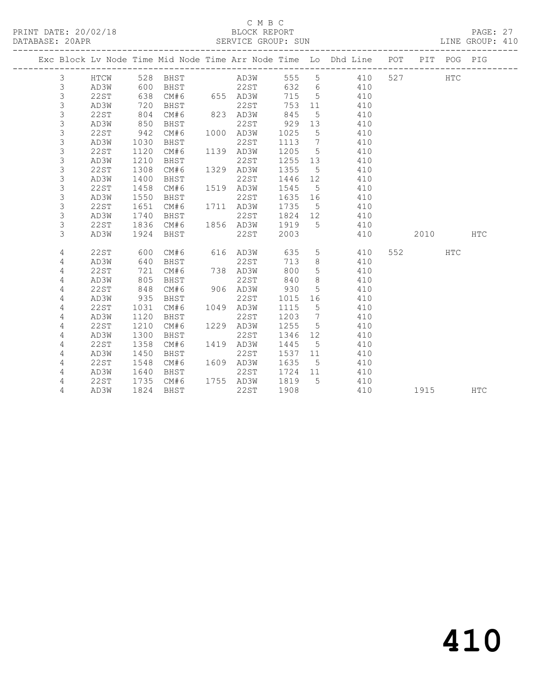#### C M B C<br>BLOCK REPORT SERVICE GROUP: SUN

|             |             |      |             |      |             |      |                   | Exc Block Lv Node Time Mid Node Time Arr Node Time Lo Dhd Line | POT |      | PIT POG PIG |            |
|-------------|-------------|------|-------------|------|-------------|------|-------------------|----------------------------------------------------------------|-----|------|-------------|------------|
| 3           | HTCW        | 528  | BHST        |      | AD3W        | 555  | $\overline{5}$    | 410                                                            | 527 |      | <b>HTC</b>  |            |
| $\mathsf 3$ | AD3W        | 600  | BHST        |      | <b>22ST</b> | 632  | $6\phantom{.}6$   | 410                                                            |     |      |             |            |
| 3           | <b>22ST</b> | 638  | CM#6        |      | 655 AD3W    | 715  | 5                 | 410                                                            |     |      |             |            |
| 3           | AD3W        | 720  | BHST        |      | 22ST        | 753  | 11                | 410                                                            |     |      |             |            |
| 3           | 22ST        | 804  | CM#6        |      | 823 AD3W    | 845  | $5\phantom{.0}$   | 410                                                            |     |      |             |            |
| 3           | AD3W        | 850  | BHST        |      | 22ST        | 929  | 13                | 410                                                            |     |      |             |            |
| 3           | <b>22ST</b> | 942  | CM#6        | 1000 | AD3W        | 1025 | $\overline{5}$    | 410                                                            |     |      |             |            |
| 3           | AD3W        | 1030 | BHST        |      | 22ST        | 1113 | 7                 | 410                                                            |     |      |             |            |
| 3           | <b>22ST</b> | 1120 | CM#6        |      | 1139 AD3W   | 1205 | 5                 | 410                                                            |     |      |             |            |
| 3           | AD3W        | 1210 | <b>BHST</b> |      | 22ST        | 1255 | 13                | 410                                                            |     |      |             |            |
| 3           | <b>22ST</b> | 1308 | CM#6        | 1329 | AD3W        | 1355 | 5                 | 410                                                            |     |      |             |            |
| 3           | AD3W        | 1400 | BHST        |      | 22ST        | 1446 | 12                | 410                                                            |     |      |             |            |
| 3           | <b>22ST</b> | 1458 | CM#6        | 1519 | AD3W        | 1545 | 5                 | 410                                                            |     |      |             |            |
| 3           | AD3W        | 1550 | BHST        |      | 22ST        | 1635 | 16                | 410                                                            |     |      |             |            |
| 3           | <b>22ST</b> | 1651 | CM#6        | 1711 | AD3W        | 1735 | 5                 | 410                                                            |     |      |             |            |
| 3           | AD3W        | 1740 | BHST        |      | 22ST        | 1824 | $12 \overline{ }$ | 410                                                            |     |      |             |            |
| 3           | <b>22ST</b> | 1836 | CM#6        | 1856 | AD3W        | 1919 | 5                 | 410                                                            |     |      |             |            |
| 3           | AD3W        | 1924 | <b>BHST</b> |      | 22ST        | 2003 |                   | 410                                                            |     | 2010 |             | <b>HTC</b> |
|             |             |      |             |      |             |      |                   |                                                                |     |      |             |            |
| 4           | 22ST        | 600  | CM#6        | 616  | AD3W        | 635  | 5                 | 410                                                            | 552 |      | <b>HTC</b>  |            |
| 4           | AD3W        | 640  | <b>BHST</b> |      | 22ST        | 713  | 8                 | 410                                                            |     |      |             |            |
| $\sqrt{4}$  | <b>22ST</b> | 721  | CM#6        | 738  | AD3W        | 800  | 5                 | 410                                                            |     |      |             |            |
| 4           | AD3W        | 805  | BHST        |      | 22ST        | 840  | 8                 | 410                                                            |     |      |             |            |
| 4           | 22ST        | 848  | CM#6        | 906  | AD3W        | 930  | 5                 | 410                                                            |     |      |             |            |
| 4           | AD3W        | 935  | BHST        |      | 22ST        | 1015 | 16                | 410                                                            |     |      |             |            |
| 4           | 22ST        | 1031 | CM#6        | 1049 | AD3W        | 1115 | $\overline{5}$    | 410                                                            |     |      |             |            |
| 4           | AD3W        | 1120 | BHST        |      | 22ST        | 1203 | $7\phantom{.0}$   | 410                                                            |     |      |             |            |
| 4           | <b>22ST</b> | 1210 | CM#6        | 1229 | AD3W        | 1255 | 5                 | 410                                                            |     |      |             |            |
| 4           | AD3W        | 1300 | <b>BHST</b> |      | 22ST        | 1346 | 12                | 410                                                            |     |      |             |            |
| 4           | <b>22ST</b> | 1358 | CM#6        | 1419 | AD3W        | 1445 | 5                 | 410                                                            |     |      |             |            |
| 4           | AD3W        | 1450 | <b>BHST</b> |      | 22ST        | 1537 | 11                | 410                                                            |     |      |             |            |
| 4           | 22ST        | 1548 | CM#6        | 1609 | AD3W        | 1635 | 5                 | 410                                                            |     |      |             |            |
| 4           | AD3W        | 1640 | BHST        |      | 22ST        | 1724 | 11                | 410                                                            |     |      |             |            |
| 4           | 22ST        | 1735 | CM#6        |      | 1755 AD3W   | 1819 | 5                 | 410                                                            |     |      |             |            |
| 4           | AD3W        | 1824 | BHST        |      | 22ST        | 1908 |                   | 410                                                            |     | 1915 |             | <b>HTC</b> |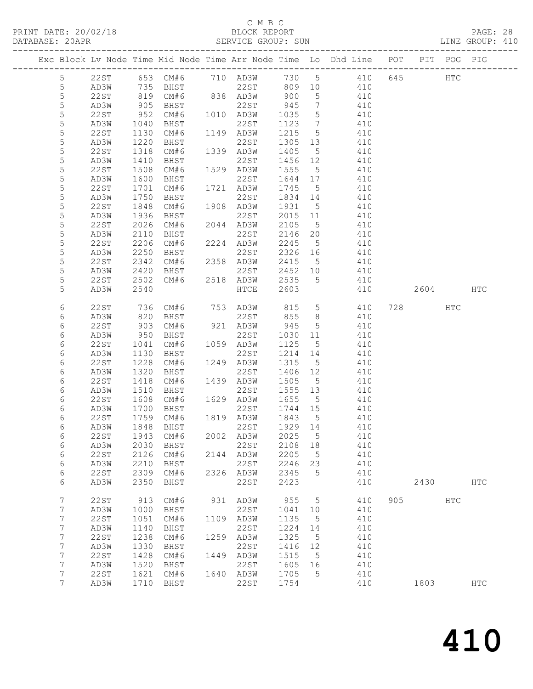#### C M B C<br>BLOCK REPORT

|                 |             |                  |                                          |      |                                                                 |        |                 |                                                                                                                              |     |         |     | PAGE: 28<br>LINE GROUP: 410 |  |
|-----------------|-------------|------------------|------------------------------------------|------|-----------------------------------------------------------------|--------|-----------------|------------------------------------------------------------------------------------------------------------------------------|-----|---------|-----|-----------------------------|--|
|                 |             |                  |                                          |      |                                                                 |        |                 | Exc Block Lv Node Time Mid Node Time Arr Node Time Lo Dhd Line POT PIT POG PIG                                               |     |         |     |                             |  |
| 5               |             |                  |                                          |      |                                                                 |        |                 | 22ST 653 CM#6 710 AD3W 730 5 410 645 HTC                                                                                     |     |         |     |                             |  |
| $5\phantom{.0}$ |             |                  |                                          |      |                                                                 |        |                 | AD3W 735 BHST 22ST 809 10 410                                                                                                |     |         |     |                             |  |
| 5               | 22ST        |                  | 819 CM#6 838 AD3W 900                    |      |                                                                 |        |                 | 5 410                                                                                                                        |     |         |     |                             |  |
| 5               | AD3W        | 905<br>952       |                                          |      |                                                                 |        |                 | BHST 22ST 945 7 410<br>CM#6 1010 AD3W 1035 5 410<br>BHST 22ST 1123 7 410                                                     |     |         |     |                             |  |
| 5               | 22ST        |                  |                                          |      |                                                                 |        |                 |                                                                                                                              |     |         |     |                             |  |
| 5               | AD3W        | 1040             |                                          |      |                                                                 |        |                 |                                                                                                                              |     |         |     |                             |  |
| 5               | 22ST        | 1130             |                                          |      |                                                                 |        |                 | CM#6 1149 AD3W 1215 5 410                                                                                                    |     |         |     |                             |  |
| 5               | AD3W        | 1220             |                                          |      |                                                                 |        |                 | 1305 13 410                                                                                                                  |     |         |     |                             |  |
| 5               | 22ST        | 1318             |                                          |      |                                                                 |        |                 | AD3W 1405 5 410<br>22ST 1456 12 410                                                                                          |     |         |     |                             |  |
| $\mathsf S$     | AD3W        | 1410             | <b>BHST</b>                              |      |                                                                 |        |                 |                                                                                                                              |     |         |     |                             |  |
| 5               | 22ST        | 1508             |                                          |      |                                                                 |        |                 | CM#6 1529 AD3W 1555 5 410                                                                                                    |     |         |     |                             |  |
| 5               | AD3W        | 1600             | BHST                                     |      | 22ST                                                            |        |                 | 1644 17 410                                                                                                                  |     |         |     |                             |  |
| 5               | 22ST        | 1701             |                                          |      | CM#6 1721 AD3W 1745 5<br>BHST 22ST 1834 14                      |        |                 | 410                                                                                                                          |     |         |     |                             |  |
| 5               | AD3W        | 1750             |                                          |      | 22ST                                                            |        |                 | $1834$ 14 $410$                                                                                                              |     |         |     |                             |  |
| 5               | 22ST        | 1848             |                                          |      | CM#6 1908 AD3W                                                  |        |                 | 1931 5 410                                                                                                                   |     |         |     |                             |  |
| 5               | AD3W        | 1936             |                                          |      |                                                                 |        |                 | 2015 11 410                                                                                                                  |     |         |     |                             |  |
| 5               | 22ST        | $2020$<br>$2110$ | BHST 22ST<br>CM#6 2044 AD3W<br>BHST 22ST |      |                                                                 |        |                 | $\begin{array}{cccc} 2105 & 5 & 410 \\ 2146 & 20 & 410 \end{array}$                                                          |     |         |     |                             |  |
| 5               | AD3W        |                  |                                          |      |                                                                 |        |                 | CM#6 2224 AD3W 2245 5 410                                                                                                    |     |         |     |                             |  |
| 5               | 22ST        | 2206             |                                          |      |                                                                 |        |                 |                                                                                                                              |     |         |     |                             |  |
| 5               | AD3W        | 2250             |                                          |      | BHST 22ST 2326 16<br>CM#6 2358 AD3W 2415 5<br>BHST 22ST 2452 10 |        |                 | 2326 16 410                                                                                                                  |     |         |     |                             |  |
| 5               | 22ST        | 2342<br>2420     |                                          |      |                                                                 |        |                 | $\begin{array}{cc} 5 & 410 \\ 10 & 410 \end{array}$                                                                          |     |         |     |                             |  |
| 5               | AD3W        | 2420<br>2502     |                                          |      |                                                                 |        |                 | CM#6 2518 AD3W 2535 5 410                                                                                                    |     |         |     |                             |  |
| 5<br>5          | 22 S T      |                  |                                          |      |                                                                 |        |                 |                                                                                                                              |     | 2604    |     |                             |  |
|                 | AD3W        | 2540             |                                          |      | HTCE                                                            | 2603   |                 | 410                                                                                                                          |     |         |     | HTC                         |  |
| 6               | 22ST        |                  |                                          |      |                                                                 |        |                 | 736 CM#6 753 AD3W 815 5 410                                                                                                  |     | 728 HTC |     |                             |  |
| 6               | AD3W        | 820              |                                          |      |                                                                 |        |                 | BHST 22ST 855 8 410                                                                                                          |     |         |     |                             |  |
| 6               | 22ST        | 903              |                                          |      |                                                                 |        |                 | CM#6 921 AD3W 945 5 410                                                                                                      |     |         |     |                             |  |
| 6               | AD3W        |                  |                                          |      |                                                                 |        |                 | 1030 11 410                                                                                                                  |     |         |     |                             |  |
| 6               | 22ST        | 950<br>1041      | BHST 22ST<br>CM#6 1059 AD3W<br>BHST 22ST |      |                                                                 | 1125 5 |                 | 410                                                                                                                          |     |         |     |                             |  |
| 6               | AD3W        | 1130             |                                          |      |                                                                 |        |                 | $12\overline{14}$ $1\overline{4}$ $410$                                                                                      |     |         |     |                             |  |
| 6               | 22ST        | 1228             | CM#6 1249 AD3W                           |      |                                                                 |        |                 | 1315 5 410                                                                                                                   |     |         |     |                             |  |
| 6               | AD3W        |                  |                                          |      |                                                                 |        |                 |                                                                                                                              |     |         |     |                             |  |
| 6               | 22ST        |                  |                                          |      |                                                                 |        |                 | 1320 BHST 22ST 1406 12 410<br>1418 CM#6 1439 AD3W 1505 5 410<br>1510 BHST 22ST 1555 13 410<br>1608 CM#6 1629 AD3W 1655 5 410 |     |         |     |                             |  |
| 6               | AD3W        |                  |                                          |      |                                                                 |        |                 |                                                                                                                              |     |         |     |                             |  |
| 6               | 22ST        |                  |                                          |      |                                                                 |        |                 |                                                                                                                              |     |         |     |                             |  |
| 6               | AD3W        |                  | 1700 BHST                                |      | 22ST                                                            |        |                 | 1744 15 410                                                                                                                  |     |         |     |                             |  |
| 6               |             |                  | 22ST 1759 CM#6 1819 AD3W 1843 5          |      |                                                                 |        |                 | 410                                                                                                                          |     |         |     |                             |  |
| 6               | AD3W        | 1848             | BHST                                     |      | 22ST                                                            | 1929   | 14              | 410                                                                                                                          |     |         |     |                             |  |
| 6               | <b>22ST</b> | 1943             | CM#6                                     | 2002 | AD3W                                                            | 2025   | 5               | 410                                                                                                                          |     |         |     |                             |  |
| 6               | AD3W        | 2030             | BHST                                     |      | 22ST                                                            | 2108   | 18              | 410                                                                                                                          |     |         |     |                             |  |
| 6               | <b>22ST</b> | 2126             | CM#6                                     | 2144 | AD3W                                                            | 2205   | 5               | 410                                                                                                                          |     |         |     |                             |  |
| 6               | AD3W        | 2210             | BHST                                     |      | 22ST                                                            | 2246   | 23              | 410                                                                                                                          |     |         |     |                             |  |
| 6               | 22ST        | 2309             | CM#6                                     | 2326 | AD3W                                                            | 2345   | 5               | 410                                                                                                                          |     |         |     |                             |  |
| 6               | AD3W        | 2350             | BHST                                     |      | 22ST                                                            | 2423   |                 | 410                                                                                                                          |     | 2430    |     | <b>HTC</b>                  |  |
|                 |             |                  |                                          |      |                                                                 |        |                 |                                                                                                                              |     |         |     |                             |  |
| 7               | 22ST        | 913              | CM#6                                     | 931  | AD3W                                                            | 955    | $5\phantom{.0}$ | 410                                                                                                                          | 905 |         | HTC |                             |  |
| 7               | AD3W        | 1000             | BHST                                     |      | 22ST                                                            | 1041   | 10              | 410                                                                                                                          |     |         |     |                             |  |
| 7               | 22ST        | 1051             | CM#6                                     | 1109 | AD3W                                                            | 1135   | 5               | 410                                                                                                                          |     |         |     |                             |  |
| 7               | AD3W        | 1140             | BHST                                     |      | 22ST                                                            | 1224   | 14              | 410                                                                                                                          |     |         |     |                             |  |
| $\overline{7}$  | <b>22ST</b> | 1238             | CM#6                                     | 1259 | AD3W                                                            | 1325   | $5\phantom{.0}$ | 410                                                                                                                          |     |         |     |                             |  |
| 7               | AD3W        | 1330             | BHST                                     |      | 22ST                                                            | 1416   | 12              | 410                                                                                                                          |     |         |     |                             |  |
| 7               | 22ST        | 1428             | CM#6                                     | 1449 | AD3W                                                            | 1515   | 5               | 410                                                                                                                          |     |         |     |                             |  |
| 7               | AD3W        | 1520             | BHST                                     |      | 22ST                                                            | 1605   | 16              | 410                                                                                                                          |     |         |     |                             |  |
| 7               | <b>22ST</b> | 1621             | CM#6                                     | 1640 | AD3W                                                            | 1705   | $5\phantom{.0}$ | 410                                                                                                                          |     |         |     |                             |  |
| 7               | AD3W        | 1710             | BHST                                     |      | 22ST                                                            | 1754   |                 | 410                                                                                                                          |     | 1803    |     | $_{\rm{HTC}}$               |  |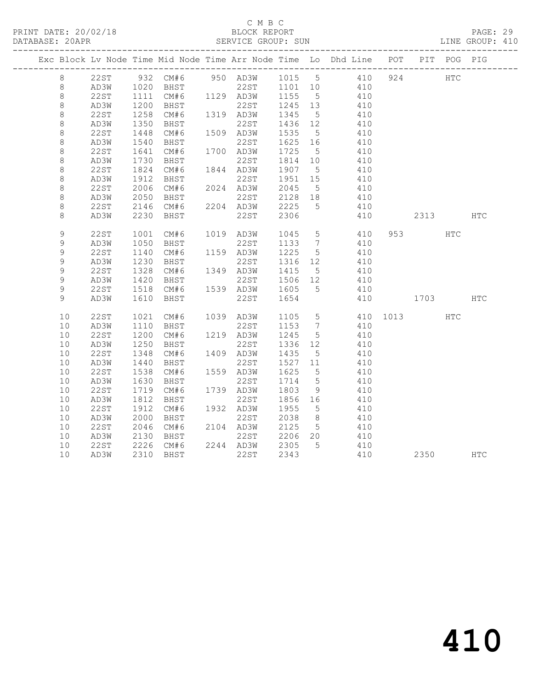#### C M B C<br>BLOCK REPORT

| DATABASE: 20APR |      |                     |                |      | SERVICE GROUP: SUN                                   |         |                 |                                                                                |          |           |                                                                                                                                                                                                                                 | LINE GROUP: 410 |
|-----------------|------|---------------------|----------------|------|------------------------------------------------------|---------|-----------------|--------------------------------------------------------------------------------|----------|-----------|---------------------------------------------------------------------------------------------------------------------------------------------------------------------------------------------------------------------------------|-----------------|
|                 |      |                     |                |      |                                                      |         |                 | Exc Block Lv Node Time Mid Node Time Arr Node Time Lo Dhd Line POT PIT POG PIG |          |           |                                                                                                                                                                                                                                 |                 |
| 8               | 22ST |                     | 932 CM#6       |      | 950 AD3W 1015 5                                      |         |                 |                                                                                | 410 924  |           | HTC                                                                                                                                                                                                                             |                 |
| 8               | AD3W | 1020                |                |      | 1020 BHST 22ST 1101 10<br>1111 CM#6 1129 AD3W 1155 5 |         |                 | 410                                                                            |          |           |                                                                                                                                                                                                                                 |                 |
| $\,8\,$         | 22ST |                     |                |      |                                                      |         |                 | 410                                                                            |          |           |                                                                                                                                                                                                                                 |                 |
| $\,8\,$         | AD3W | 1zu<br>1258<br>1350 | BHST           |      | 22ST                                                 | 1245 13 |                 | 410                                                                            |          |           |                                                                                                                                                                                                                                 |                 |
| $\,8\,$         | 22ST |                     | CM#6 1319 AD3W |      |                                                      | 1345    | $5\overline{)}$ | 410                                                                            |          |           |                                                                                                                                                                                                                                 |                 |
| $\,8\,$         | AD3W | 1350<br>1448        | BHST           |      | 22ST                                                 | 1436 12 |                 | 410                                                                            |          |           |                                                                                                                                                                                                                                 |                 |
| $\,8\,$         | 22ST |                     | CM#6           |      | 1509 AD3W                                            | 1535    | $5\overline{)}$ | 410                                                                            |          |           |                                                                                                                                                                                                                                 |                 |
| 8               | AD3W | 1540                | BHST           |      | 22ST                                                 | 1625 16 |                 | 410                                                                            |          |           |                                                                                                                                                                                                                                 |                 |
| 8               | 22ST | 1641                | CM#6           |      | 1700 AD3W                                            | 1725    | 5 <sup>5</sup>  | 410                                                                            |          |           |                                                                                                                                                                                                                                 |                 |
| $\,8\,$         | AD3W | 1730                | BHST           |      | 22ST                                                 | 1814 10 |                 | 410                                                                            |          |           |                                                                                                                                                                                                                                 |                 |
| $\,8\,$         | 22ST | 1824                | CM#6 1844 AD3W |      |                                                      | 1907 5  |                 | 410                                                                            |          |           |                                                                                                                                                                                                                                 |                 |
| $\,8\,$         | AD3W | 1912                | BHST           |      | 22ST                                                 | 1951 15 |                 | 410                                                                            |          |           |                                                                                                                                                                                                                                 |                 |
| 8               | 22ST | 2006                | CM#6           |      | 2024 AD3W                                            | 2045    | $5^{\circ}$     | 410                                                                            |          |           |                                                                                                                                                                                                                                 |                 |
| $\,8\,$         | AD3W | 2050                | BHST           | 2204 | 22ST                                                 | 2128 18 |                 | 410                                                                            |          |           |                                                                                                                                                                                                                                 |                 |
| $\,8\,$         | 22ST | 2146                | CM#6           |      | 2204 AD3W                                            | 2225    | $5^{\circ}$     | 410                                                                            |          |           |                                                                                                                                                                                                                                 |                 |
| 8               | AD3W | 2230                | BHST           |      | 22ST                                                 | 2306    |                 | 410                                                                            |          |           | 2313                                                                                                                                                                                                                            | HTC             |
| 9               | 22ST | 1001                | CM#6           |      | 1019 AD3W                                            | 1045    | $5\overline{)}$ | 410                                                                            |          | 953 — 100 | HTC                                                                                                                                                                                                                             |                 |
| 9               | AD3W | 1050                | BHST           |      | 22ST                                                 | 1133    | $7\overline{ }$ | 410                                                                            |          |           |                                                                                                                                                                                                                                 |                 |
| 9               | 22ST | 1140                | CM#6           |      | 1159 AD3W                                            | 1225    | $5\overline{)}$ | 410                                                                            |          |           |                                                                                                                                                                                                                                 |                 |
| $\mathcal{G}$   | AD3W | 1230                | BHST           |      | 22ST                                                 | 1316 12 |                 | 410                                                                            |          |           |                                                                                                                                                                                                                                 |                 |
| 9               | 22ST | 1328                | CM#6           |      | 1349 AD3W                                            | 1415    | $5\overline{)}$ | 410                                                                            |          |           |                                                                                                                                                                                                                                 |                 |
| 9               | AD3W | 1420                | BHST           |      | 22ST                                                 | 1506 12 |                 | 410                                                                            |          |           |                                                                                                                                                                                                                                 |                 |
| 9               | 22ST | 1518                | CM#6 1539 AD3W |      |                                                      | 1605    | $5^{\circ}$     | 410                                                                            |          |           |                                                                                                                                                                                                                                 |                 |
| 9               | AD3W | 1610                | BHST           |      | 22ST                                                 | 1654    |                 | 410                                                                            |          |           | 1703 — 1703 — 1704 — 1705 — 1705 — 1705 — 1705 — 1705 — 1705 — 1705 — 1706 — 1706 — 1706 — 1706 — 1706 — 1706 — 1706 — 1706 — 1706 — 1706 — 1706 — 1706 — 1706 — 1706 — 1706 — 1706 — 1706 — 1706 — 1706 — 1706 — 1706 — 1706 — | <b>HTC</b>      |
| 10              | 22ST | 1021                | CM#6 1039 AD3W |      |                                                      | 1105 5  |                 |                                                                                | 410 1013 |           | HTC                                                                                                                                                                                                                             |                 |
| 10              | AD3W | 1110                | BHST           |      | 22ST                                                 | 1153    | $7\overline{ }$ | 410                                                                            |          |           |                                                                                                                                                                                                                                 |                 |
| 10              | 22ST | 1200                | CM#6           |      | 1219 AD3W                                            | 1245    | $5^{\circ}$     | 410                                                                            |          |           |                                                                                                                                                                                                                                 |                 |
| 10              | AD3W | 1250                | BHST           |      | 22ST                                                 | 1336    | 12              | 410                                                                            |          |           |                                                                                                                                                                                                                                 |                 |
| 10              | 22ST | 1348                | CM#6           |      | 1409 AD3W                                            | 1435    | 5 <sup>5</sup>  | 410                                                                            |          |           |                                                                                                                                                                                                                                 |                 |
| 10              | AD3W | 1440                | BHST           |      | 22ST                                                 | 1527 11 |                 | 410                                                                            |          |           |                                                                                                                                                                                                                                 |                 |
| 10              | 22ST | 1538                | CM#6           |      | 1559 AD3W                                            | 1625    | $5\overline{)}$ | 410                                                                            |          |           |                                                                                                                                                                                                                                 |                 |
| 10              | AD3W | 1630                | BHST           |      | 22ST                                                 | 1714    | $5\overline{)}$ | 410                                                                            |          |           |                                                                                                                                                                                                                                 |                 |
| 10              | 22ST | 1719                | CM#6           |      | 1739 AD3W                                            | 1803    | 9               | 410                                                                            |          |           |                                                                                                                                                                                                                                 |                 |
| 10              | AD3W | 1812                | BHST           |      | 22ST                                                 | 1856    | 16              | 410                                                                            |          |           |                                                                                                                                                                                                                                 |                 |
| 10              | 22ST | 1912                | CM#6           |      | 1932 AD3W                                            | 1955    | $5\overline{)}$ | 410                                                                            |          |           |                                                                                                                                                                                                                                 |                 |
| 10              | AD3W | 2000                | BHST           |      | 22ST                                                 | 2038    | 8 <sup>8</sup>  | 410                                                                            |          |           |                                                                                                                                                                                                                                 |                 |
| 10              | 22ST | 2046                | CM#6           |      | 2104 AD3W                                            | 2125    | $5\overline{)}$ | 410                                                                            |          |           |                                                                                                                                                                                                                                 |                 |
| 10              | AD3W | 2130                | BHST           |      | 22ST                                                 | 2206 20 |                 | 410                                                                            |          |           |                                                                                                                                                                                                                                 |                 |
| 10              | 22ST |                     | 2226 CM#6      |      | 2244 AD3W                                            | 2305    | $5\overline{)}$ | 410                                                                            |          |           |                                                                                                                                                                                                                                 |                 |
| 10              | AD3W |                     | 2310 BHST      |      | 22ST                                                 | 2343    |                 | 410                                                                            |          | 2350      |                                                                                                                                                                                                                                 | <b>HTC</b>      |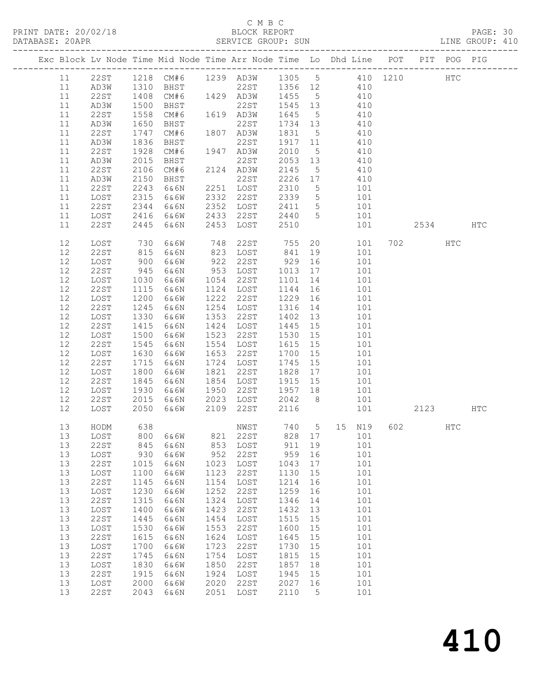PRINT DATE: 20/02/18

# C M B C<br>BLOCK REPORT<br>CEDUICE CROUP SUN

| PRINT DATE: 20/02/18 BLOCK REPORT PAGE: 30<br>DATABASE: 20APR SERVICE GROUP: SUN LINE GROUP: 410 |                                                                                |                                                      |                                                       |                                                      |                                                                    |                                                      |                                          |                                                                                                                                   |                 |               |  |
|--------------------------------------------------------------------------------------------------|--------------------------------------------------------------------------------|------------------------------------------------------|-------------------------------------------------------|------------------------------------------------------|--------------------------------------------------------------------|------------------------------------------------------|------------------------------------------|-----------------------------------------------------------------------------------------------------------------------------------|-----------------|---------------|--|
|                                                                                                  | Exc Block Lv Node Time Mid Node Time Arr Node Time Lo Dhd Line POT PIT POG PIG |                                                      |                                                       |                                                      |                                                                    |                                                      |                                          |                                                                                                                                   |                 |               |  |
| 11<br>11<br>11                                                                                   | 11 22ST 1218 CM#6 1239 AD3W 1305 5 410 1210<br>AD3W<br>22ST<br>AD3W            |                                                      |                                                       |                                                      |                                                                    |                                                      |                                          | 1310 BHST 22ST 1356 12 410<br>1408 CM#6 1429 AD3W 1455 5 410                                                                      |                 | HTC           |  |
| 11<br>11<br>11                                                                                   | 22ST<br>AD3W<br>22ST                                                           | 1500<br>1558<br>1650<br>1747                         | BHST<br>CM#6 1619 AD3W<br>BHST 22ST<br>CM#6 1807 AD3W |                                                      |                                                                    |                                                      |                                          | 1831 5 410                                                                                                                        |                 |               |  |
| 11<br>11<br>11<br>11                                                                             | AD3W<br>22ST<br>AD3W<br>22ST                                                   | 1836<br>1928<br>2015<br>2106                         | BHST 22ST<br>CM#6 1947 AD3W<br>BHST<br>CM#6 2124 AD3W |                                                      |                                                                    | 2145                                                 |                                          | 1917   11   410<br>2010   5   410<br>2053   13   410<br>5 410                                                                     |                 |               |  |
| 11<br>11<br>11<br>11                                                                             | AD3W<br>22ST<br>LOST<br>22ST                                                   | 2150<br>2243<br>2315<br>2344                         | BHST 22ST<br>6&6N 2251 LOST<br>6&6W<br>6&6N           |                                                      | 2332 22ST<br>2352 LOST                                             |                                                      |                                          | 2226 17 410<br>2310 5 101<br>2339 5 101<br>2411 5 101                                                                             |                 |               |  |
| 11<br>11                                                                                         | LOST<br>22ST                                                                   | 2416<br>2445                                         | 6&6W<br>6&6N                                          |                                                      | 2433 22ST<br>2453 LOST                                             | 2440 5<br>2510                                       |                                          | 101<br>101                                                                                                                        | 2534 HTC        |               |  |
| 12<br>12<br>12<br>12                                                                             | LOST<br>22ST<br>LOST                                                           | 730<br>815<br>900<br>945                             | 6&6N<br>6&6W                                          |                                                      | 823 LOST 841 19<br>922 22ST<br>953 LOST                            |                                                      |                                          | 6&6W 748 22ST 755 20 101<br>101<br>929 16 101<br>1013 17 101                                                                      | 702 2022        | HTC           |  |
| 12<br>12<br>12<br>12                                                                             | 22ST<br>LOST<br>22ST<br>LOST<br>22ST                                           | 1030<br>1115<br>1200<br>1245                         | 6&6N<br>6&6W<br>6&6N<br>6&6W<br>6&6N                  |                                                      | 1054 22ST<br>1124 LOST<br>1222 22ST<br>1254 LOST                   | 1144 16                                              |                                          | 1101 14 101<br>101<br>1229  16  101<br>1316  14  101                                                                              |                 |               |  |
| 12<br>12<br>12<br>12<br>12                                                                       | LOST<br>22ST<br>LOST<br>22ST<br>LOST                                           | 1330<br>1415<br>1500<br>1545<br>1630                 | 6&6W<br>6&6N<br>6&6W<br>6&6N<br>6&6W                  |                                                      | 1353 22ST<br>1424 LOST<br>1523 22ST<br>1554 LOST<br>1653 22ST      | 1402 13<br>1445 15<br>1700 15                        |                                          | 101<br>101<br>101<br>101<br>101                                                                                                   |                 |               |  |
| $12$<br>12<br>12<br>12<br>12                                                                     | 22ST<br>LOST<br>22ST<br>LOST<br>22ST                                           | 1715<br>1800<br>1845<br>1930<br>2015                 | 6&6N<br>6&6W<br>6&6N<br>6&6W                          |                                                      | 1724 LOST<br>1821 22ST<br>1854 LOST<br>1950 22ST                   | 1745 15                                              |                                          | 101<br>$\begin{array}{cccc} 1828 & 17 & & 101 \\ 1915 & 15 & & 101 \\ 1957 & 18 & & 101 \end{array}$<br>6&6N 2023 LOST 2042 8 101 |                 |               |  |
| 12 <sup>°</sup><br>13                                                                            | LOST<br>HODM                                                                   | 2050<br>638                                          | 6&6W                                                  |                                                      | 2109 22ST<br>NWST                                                  | 2116<br>740                                          | 5                                        | 101<br>15<br>N19                                                                                                                  | 2123 HTC<br>602 | $_{\rm{HTC}}$ |  |
| 13<br>13<br>13<br>13<br>13<br>13                                                                 | LOST<br><b>22ST</b><br>LOST<br>22ST<br>LOST<br>22ST                            | 800<br>845<br>930<br>1015<br>1100<br>1145            | 6&6W<br>6&6N<br>6&6W<br>6&6N<br>6&6W<br>6&6N          | 821<br>853<br>952<br>1023<br>1123<br>1154            | 22ST<br>LOST<br><b>22ST</b><br>LOST<br>22ST<br>LOST                | 828<br>911<br>959<br>1043<br>1130<br>1214            | 17<br>19<br>16<br>$17$<br>15<br>16       | 101<br>101<br>101<br>101<br>101<br>101                                                                                            |                 |               |  |
| 13<br>13<br>13<br>13<br>13<br>13<br>13                                                           | LOST<br>22ST<br>LOST<br>22ST<br>LOST<br>22ST<br>LOST                           | 1230<br>1315<br>1400<br>1445<br>1530<br>1615<br>1700 | 6&6W<br>6&6N<br>6&6W<br>6&6N<br>6&6W<br>6&6N<br>6&6W  | 1252<br>1324<br>1423<br>1454<br>1553<br>1624<br>1723 | 22ST<br>LOST<br><b>22ST</b><br>LOST<br>22ST<br>LOST<br><b>22ST</b> | 1259<br>1346<br>1432<br>1515<br>1600<br>1645<br>1730 | 16<br>14<br>13<br>15<br>15<br>15<br>$15$ | 101<br>101<br>101<br>101<br>101<br>101<br>101                                                                                     |                 |               |  |
| 13<br>13<br>13<br>13<br>13                                                                       | 22ST<br>LOST<br>22ST<br>LOST<br>22ST                                           | 1745<br>1830<br>1915<br>2000<br>2043                 | 6&6N<br>6&6W<br>6&6N<br>6&6W<br>6&6N                  | 1754<br>1850<br>1924<br>2020<br>2051                 | LOST<br>22ST<br>LOST<br><b>22ST</b><br>LOST                        | 1815<br>1857<br>1945<br>2027<br>2110                 | 15<br>18<br>15<br>16<br>5                | 101<br>101<br>101<br>101<br>101                                                                                                   |                 |               |  |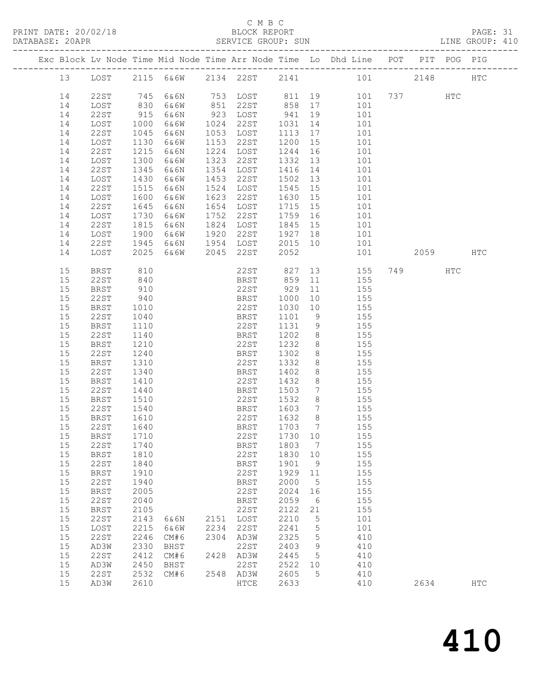## C M B C<br>BLOCK REPORT

| DATABASE: 20APR |              |              |         |      | SERVICE GROUP: SUN |                    |                 | LINE GROUP: 410                                                                                      |      |     |     |  |
|-----------------|--------------|--------------|---------|------|--------------------|--------------------|-----------------|------------------------------------------------------------------------------------------------------|------|-----|-----|--|
|                 |              |              |         |      |                    |                    |                 | Exc Block Lv Node Time Mid Node Time Arr Node Time Lo Dhd Line POT PIT POG PIG                       |      |     |     |  |
|                 |              |              |         |      |                    |                    |                 | 13 LOST 2115 6&6W 2134 22ST 2141 101 2148 HTC                                                        |      |     |     |  |
| 14              | 22ST         |              |         |      |                    |                    |                 | 745 6&6N 753 LOST 811 19 101 737 HTC<br>830 6&6W 851 22ST 858 17 101<br>915 6&6N 923 LOST 941 19 101 |      |     |     |  |
| 14              | LOST         |              |         |      |                    |                    |                 |                                                                                                      |      |     |     |  |
| 14              | 22ST         |              |         |      |                    |                    |                 |                                                                                                      |      |     |     |  |
| 14              | LOST         | 1000         | 6&6W    |      | 1024 22ST          | 1031               |                 | 14 101                                                                                               |      |     |     |  |
| 14              | 22ST         | 1045         | 6&6N    |      | 1053 LOST          |                    |                 | 1113 17 101                                                                                          |      |     |     |  |
| 14              | LOST         | 1130         | 6&6W    |      | 1153 22ST          |                    |                 | 101                                                                                                  |      |     |     |  |
| 14              | 22ST         | 1215         | 6 & 6 N |      | 1224 LOST          | 1200 15<br>1244 16 |                 | 101                                                                                                  |      |     |     |  |
| 14              | LOST         | 1300         | 6&6W    |      | 1323 22ST          |                    |                 | 1332 13 101                                                                                          |      |     |     |  |
| 14              | 22ST         | 1345         | 6&6N    |      | 1354 LOST          |                    |                 | 1416 14 101                                                                                          |      |     |     |  |
| 14              | LOST         | 1430         | 6&6W    |      | 1453 22ST          |                    |                 | 101                                                                                                  |      |     |     |  |
| 14              | 22ST         | 1515         | 6&6N    |      | 1524 LOST          |                    |                 | 101                                                                                                  |      |     |     |  |
| 14              | LOST         | 1600         | 6&6W    |      | 1623 22ST          |                    |                 | 1630 15 101                                                                                          |      |     |     |  |
|                 | 22ST         |              | 6&6N    |      | 1654 LOST          |                    |                 |                                                                                                      |      |     |     |  |
| 14              |              | 1645         |         |      |                    | $1759$ 16          |                 | 1715 15 101                                                                                          |      |     |     |  |
| 14              | LOST         | 1730         | 6&6W    |      | 1752 22ST          |                    |                 | 101                                                                                                  |      |     |     |  |
| 14              | 22ST         | 1815<br>1900 | 6&6N    |      | 1824 LOST          | 1845 15            |                 | 101<br>1927 18 101                                                                                   |      |     |     |  |
| 14              | LOST         |              | 6&6W    |      | 1920 22ST          |                    |                 |                                                                                                      |      |     |     |  |
| 14              | 22ST         | 1945         |         |      | 6&6N 1954 LOST     |                    |                 | 2015 10 101                                                                                          |      |     |     |  |
| 14              | LOST         | 2025         |         |      | 6&6W 2045 22ST     | 2052               |                 | 101                                                                                                  | 2059 |     | HTC |  |
| 15              | BRST         | 810          |         |      | 22ST 827           |                    |                 | 13 155                                                                                               | 749  | HTC |     |  |
| 15              | 22ST         | 840          |         |      | BRST 859           |                    |                 | 11 155                                                                                               |      |     |     |  |
| 15              | BRST         | 910          |         |      | 22ST 929           |                    | 11              | 155                                                                                                  |      |     |     |  |
| 15              | 22ST         | 940          |         |      | BRST               | 1000               | 10              | 155                                                                                                  |      |     |     |  |
| 15              | BRST         | 1010         |         |      | 22ST               |                    |                 | 1030 10 155                                                                                          |      |     |     |  |
| 15              | 22ST         | 1040         |         |      | BRST               | 1101               |                 | 9 155                                                                                                |      |     |     |  |
| 15              | BRST         | 1110         |         |      | 22ST               | 1131               | 9               | 155                                                                                                  |      |     |     |  |
| 15              | 22ST         | 1140         |         |      | BRST               | 1202 8             |                 | 155                                                                                                  |      |     |     |  |
| 15              | BRST         | 1210         |         |      | 22ST               | 1232               |                 | $8 \t 155$                                                                                           |      |     |     |  |
| 15              | 22ST         | 1240         |         |      | BRST               | 1302               |                 | 8 155                                                                                                |      |     |     |  |
| 15              | BRST         | 1310         |         |      | 22ST               | 1332               |                 | 8 155                                                                                                |      |     |     |  |
| 15              | 22ST         | 1340         |         |      | BRST               | 1402               | 8 <sup>8</sup>  | 155                                                                                                  |      |     |     |  |
| 15              | BRST         | 1410         |         |      | 22ST               | 1432               | 8 <sup>8</sup>  | 155                                                                                                  |      |     |     |  |
| 15              | 22ST         | 1440         |         |      | BRST               | 1503               |                 | 7 155                                                                                                |      |     |     |  |
| 15              | BRST         | 1510         |         |      | 22ST               | 1532               |                 | 8 155                                                                                                |      |     |     |  |
| 15              | 22ST         | 1540<br>1610 |         |      | BRST               | 1603               | $7\overline{ }$ | 155                                                                                                  |      |     |     |  |
| 15              | BRST         |              |         |      | 22ST               | 1632               | 8 <sup>8</sup>  | $\frac{1}{155}$                                                                                      |      |     |     |  |
|                 | 15 22ST 1640 |              |         |      |                    |                    |                 | BRST 1703 7 155                                                                                      |      |     |     |  |
| 15              | BRST         | 1710         |         |      | 22ST               | 1730 10            |                 | 155                                                                                                  |      |     |     |  |
| 15              | 22ST         | 1740         |         |      | BRST               | 1803 7             |                 | 155                                                                                                  |      |     |     |  |
| 15              | BRST         | 1810         |         |      | 22ST               | 1830 10            |                 | 155                                                                                                  |      |     |     |  |
| 15              | 22ST         | 1840         |         |      | BRST               | 1901               | 9               | 155                                                                                                  |      |     |     |  |
| 15              | <b>BRST</b>  | 1910         |         |      | 22ST               | 1929               | 11              | 155                                                                                                  |      |     |     |  |
| 15              | 22ST         | 1940         |         |      | <b>BRST</b>        | 2000               | $5^{\circ}$     | 155                                                                                                  |      |     |     |  |
| 15              | <b>BRST</b>  | 2005         |         |      | 22ST               | 2024               | 16              | 155                                                                                                  |      |     |     |  |
| 15              | 22ST         | 2040         |         |      | BRST               | 2059               | $6\overline{6}$ | 155                                                                                                  |      |     |     |  |
| 15              | BRST         | 2105         |         |      | 22ST               | 2122               | 21              | 155                                                                                                  |      |     |     |  |
| 15              | 22ST         | 2143         | 6&6N    |      | 2151 LOST          | 2210               | $5^{\circ}$     | 101                                                                                                  |      |     |     |  |
| 15              | LOST         | 2215         | 6&6W    | 2234 | 22ST               | 2241               | $5\phantom{.0}$ | 101                                                                                                  |      |     |     |  |
| 15              | 22ST         | 2246         | CM#6    |      | 2304 AD3W          | 2325               | $5\phantom{.0}$ | 410                                                                                                  |      |     |     |  |
| 15              | AD3W         | 2330         | BHST    |      | 22ST               | 2403               | 9               | 410                                                                                                  |      |     |     |  |
| 15              | 22ST         | 2412         | CM#6    |      | 2428 AD3W          | 2445               | 5               | 410                                                                                                  |      |     |     |  |
|                 |              |              |         |      |                    |                    |                 |                                                                                                      |      |     |     |  |

 15 AD3W 2450 BHST 22ST 2522 10 410 15 22ST 2532 CM#6 2548 AD3W 2605 5 410

15 AD3W 2610 HTCE 2633 410 2634 HTC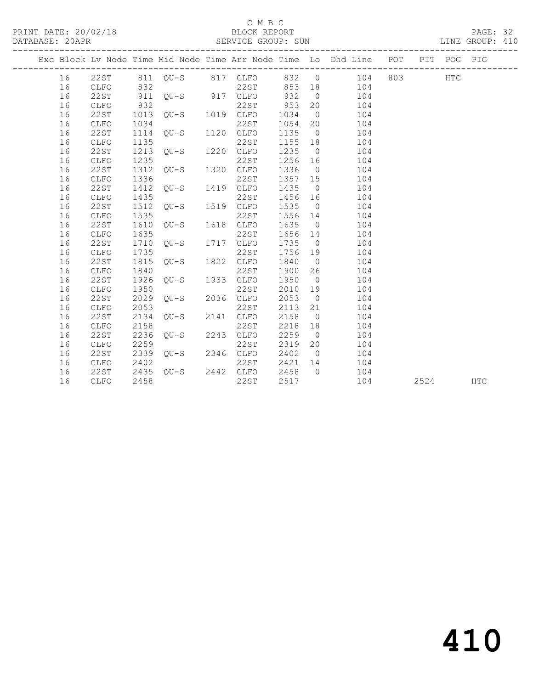#### C M B C<br>BLOCK REPORT

PAGE: 32<br>LINE GROUP: 410

|  |    |             |      |                   |      |             |      |                | Exc Block Lv Node Time Mid Node Time Arr Node Time Lo Dhd Line POT PIT POG PIG |     |      |     |            |
|--|----|-------------|------|-------------------|------|-------------|------|----------------|--------------------------------------------------------------------------------|-----|------|-----|------------|
|  | 16 | 22ST        |      | 811 QU-S 817 CLFO |      |             | 832  | $\overline{0}$ | 104                                                                            | 803 |      | HTC |            |
|  | 16 | CLFO        | 832  |                   |      | 22ST        | 853  | 18             | 104                                                                            |     |      |     |            |
|  | 16 | 22ST        | 911  | $OU-S$            | 917  | CLFO        | 932  | $\overline{0}$ | 104                                                                            |     |      |     |            |
|  | 16 | CLFO        | 932  |                   |      | 22ST        | 953  | 20             | 104                                                                            |     |      |     |            |
|  | 16 | 22ST        | 1013 | $OU-S$            | 1019 | CLFO        | 1034 | $\overline{0}$ | 104                                                                            |     |      |     |            |
|  | 16 | <b>CLFO</b> | 1034 |                   |      | 22ST        | 1054 | 20             | 104                                                                            |     |      |     |            |
|  | 16 | 22ST        | 1114 | $OU-S$            | 1120 | CLFO        | 1135 | $\overline{0}$ | 104                                                                            |     |      |     |            |
|  | 16 | CLFO        | 1135 |                   |      | 22ST        | 1155 | 18             | 104                                                                            |     |      |     |            |
|  | 16 | <b>22ST</b> | 1213 | $OU-S$            | 1220 | CLFO        | 1235 | $\overline{0}$ | 104                                                                            |     |      |     |            |
|  | 16 | <b>CLFO</b> | 1235 |                   |      | 22ST        | 1256 | 16             | 104                                                                            |     |      |     |            |
|  | 16 | 22ST        | 1312 | $OU-S$            | 1320 | CLFO        | 1336 | $\overline{0}$ | 104                                                                            |     |      |     |            |
|  | 16 | CLFO        | 1336 |                   |      | 22ST        | 1357 | 15             | 104                                                                            |     |      |     |            |
|  | 16 | 22ST        | 1412 | $OU-S$            | 1419 | CLFO        | 1435 | $\overline{0}$ | 104                                                                            |     |      |     |            |
|  | 16 | CLFO        | 1435 |                   |      | 22ST        | 1456 | 16             | 104                                                                            |     |      |     |            |
|  | 16 | 22ST        | 1512 | $OU-S$            | 1519 | <b>CLFO</b> | 1535 | $\overline{0}$ | 104                                                                            |     |      |     |            |
|  | 16 | <b>CLFO</b> | 1535 |                   |      | 22ST        | 1556 | 14             | 104                                                                            |     |      |     |            |
|  | 16 | 22ST        | 1610 | $OU-S$            | 1618 | CLFO        | 1635 | $\overline{0}$ | 104                                                                            |     |      |     |            |
|  | 16 | <b>CLFO</b> | 1635 |                   |      | 22ST        | 1656 | 14             | 104                                                                            |     |      |     |            |
|  | 16 | 22ST        | 1710 | $OU-S$            | 1717 | CLFO        | 1735 | $\overline{0}$ | 104                                                                            |     |      |     |            |
|  | 16 | <b>CLFO</b> | 1735 |                   |      | 22ST        | 1756 | 19             | 104                                                                            |     |      |     |            |
|  | 16 | <b>22ST</b> | 1815 | $OU-S$            | 1822 | CLFO        | 1840 | $\overline{0}$ | 104                                                                            |     |      |     |            |
|  | 16 | CLFO        | 1840 |                   |      | 22ST        | 1900 | 26             | 104                                                                            |     |      |     |            |
|  | 16 | 22ST        | 1926 | $OU-S$            | 1933 | CLFO        | 1950 | $\overline{0}$ | 104                                                                            |     |      |     |            |
|  | 16 | <b>CLFO</b> | 1950 |                   |      | 22ST        | 2010 | 19             | 104                                                                            |     |      |     |            |
|  | 16 | 22ST        | 2029 | $QU-S$            | 2036 | CLFO        | 2053 | $\overline{0}$ | 104                                                                            |     |      |     |            |
|  | 16 | CLFO        | 2053 |                   |      | 22ST        | 2113 | 21             | 104                                                                            |     |      |     |            |
|  | 16 | 22ST        | 2134 | $OU-S$            | 2141 | CLFO        | 2158 | $\overline{0}$ | 104                                                                            |     |      |     |            |
|  | 16 | CLFO        | 2158 |                   |      | 22ST        | 2218 | 18             | 104                                                                            |     |      |     |            |
|  | 16 | <b>22ST</b> | 2236 | $OU-S$            | 2243 | <b>CLFO</b> | 2259 | $\overline{0}$ | 104                                                                            |     |      |     |            |
|  | 16 | <b>CLFO</b> | 2259 |                   |      | 22ST        | 2319 | 20             | 104                                                                            |     |      |     |            |
|  | 16 | 22ST        | 2339 | $OU-S$            | 2346 | CLFO        | 2402 | $\bigcirc$     | 104                                                                            |     |      |     |            |
|  | 16 | CLFO        | 2402 |                   |      | 22ST        | 2421 | 14             | 104                                                                            |     |      |     |            |
|  | 16 | 22ST        | 2435 | $OU-S$            | 2442 | CLFO        | 2458 | $\Omega$       | 104                                                                            |     |      |     |            |
|  | 16 | CLFO        | 2458 |                   |      | 22ST        | 2517 |                | 104                                                                            |     | 2524 |     | <b>HTC</b> |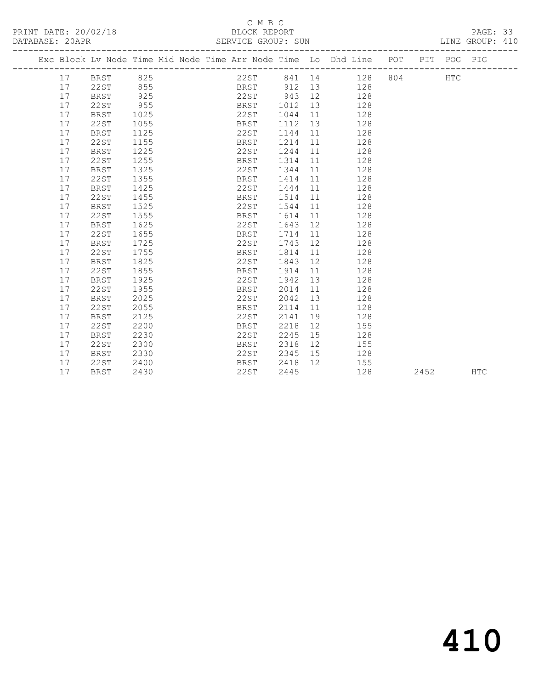### C M B C<br>BLOCK REPORT

PAGE: 33<br>LINE GROUP: 410

|  |    | Exc Block Lv Node Time Mid Node Time Arr Node Time Lo Dhd Line POT PIT POG PIG |      |  |      |             |                 |    |    |                 |     |      |     |            |
|--|----|--------------------------------------------------------------------------------|------|--|------|-------------|-----------------|----|----|-----------------|-----|------|-----|------------|
|  | 17 | BRST 825                                                                       |      |  |      |             |                 |    |    | 22ST 841 14 128 | 804 |      | HTC |            |
|  | 17 | 22ST                                                                           | 855  |  |      |             | BRST 912 13 128 |    |    |                 |     |      |     |            |
|  | 17 | BRST                                                                           | 925  |  |      |             | 22ST 943 12     |    |    | 128             |     |      |     |            |
|  | 17 | 22ST                                                                           | 955  |  |      | <b>BRST</b> | 1012 13         |    |    | 128             |     |      |     |            |
|  | 17 | BRST                                                                           | 1025 |  | 22ST |             | 1044 11         |    |    | 128             |     |      |     |            |
|  | 17 | 22ST                                                                           | 1055 |  | BRST |             | 1112 13         |    |    | 128             |     |      |     |            |
|  | 17 | <b>BRST</b>                                                                    | 1125 |  | 22ST |             | 1144 11         |    |    | 128             |     |      |     |            |
|  | 17 | 22ST                                                                           | 1155 |  | BRST |             | 1214 11         |    |    | 128             |     |      |     |            |
|  | 17 | <b>BRST</b>                                                                    | 1225 |  | 22ST |             | 1244 11         |    |    | 128             |     |      |     |            |
|  | 17 | 22ST                                                                           | 1255 |  | BRST |             | 1314 11         |    |    | 128             |     |      |     |            |
|  | 17 | <b>BRST</b>                                                                    | 1325 |  | 22ST |             | 1344            | 11 |    | 128             |     |      |     |            |
|  | 17 | 22ST                                                                           | 1355 |  | BRST |             | 1414            | 11 |    | 128             |     |      |     |            |
|  | 17 | <b>BRST</b>                                                                    | 1425 |  | 22ST |             | 1444            | 11 |    | 128             |     |      |     |            |
|  | 17 | 22ST                                                                           | 1455 |  | BRST |             | 1514            | 11 |    | 128             |     |      |     |            |
|  | 17 | BRST                                                                           | 1525 |  |      | 22st        | 1544            | 11 |    | 128             |     |      |     |            |
|  | 17 | 22ST                                                                           | 1555 |  |      | BRST        | 1614            | 11 |    | 128             |     |      |     |            |
|  | 17 | BRST                                                                           | 1625 |  | 22ST |             | 1643 12         |    |    | 128             |     |      |     |            |
|  | 17 | 22ST                                                                           | 1655 |  | BRST |             | 1714 11         |    |    | 128             |     |      |     |            |
|  | 17 | BRST                                                                           | 1725 |  | 22ST |             | 1743 12         |    |    | 128             |     |      |     |            |
|  | 17 | 22ST                                                                           | 1755 |  | BRST |             | 1814            | 11 |    | 128             |     |      |     |            |
|  | 17 | BRST                                                                           | 1825 |  | 22ST |             | 1843 12         |    |    | 128             |     |      |     |            |
|  | 17 | 22ST                                                                           | 1855 |  | BRST |             | 1914            | 11 |    | 128             |     |      |     |            |
|  | 17 | BRST                                                                           | 1925 |  | 22ST |             | 1942 13         |    |    | 128             |     |      |     |            |
|  | 17 | 22ST                                                                           | 1955 |  | BRST |             | 2014            | 11 |    | 128             |     |      |     |            |
|  | 17 | <b>BRST</b>                                                                    | 2025 |  | 22ST |             | 2042            | 13 |    | 128             |     |      |     |            |
|  | 17 | <b>22ST</b>                                                                    | 2055 |  | BRST |             | 2114            | 11 |    | 128             |     |      |     |            |
|  | 17 | BRST                                                                           | 2125 |  | 22ST |             | 2141            | 19 |    | 128             |     |      |     |            |
|  | 17 | 22ST                                                                           | 2200 |  | BRST |             | 2218            | 12 |    | 155             |     |      |     |            |
|  | 17 | BRST                                                                           | 2230 |  | 22ST |             | 2245            | 15 |    | 128             |     |      |     |            |
|  | 17 | 22ST                                                                           | 2300 |  | BRST |             | 2318            |    | 12 | 155             |     |      |     |            |
|  | 17 | BRST                                                                           | 2330 |  |      | 22ST        | 2345 15         |    |    | 128             |     |      |     |            |
|  | 17 | 22ST                                                                           | 2400 |  | BRST |             | 2418            | 12 |    | 155             |     |      |     |            |
|  | 17 | <b>BRST</b>                                                                    | 2430 |  | 22ST |             | 2445            |    |    | 128             |     | 2452 |     | <b>HTC</b> |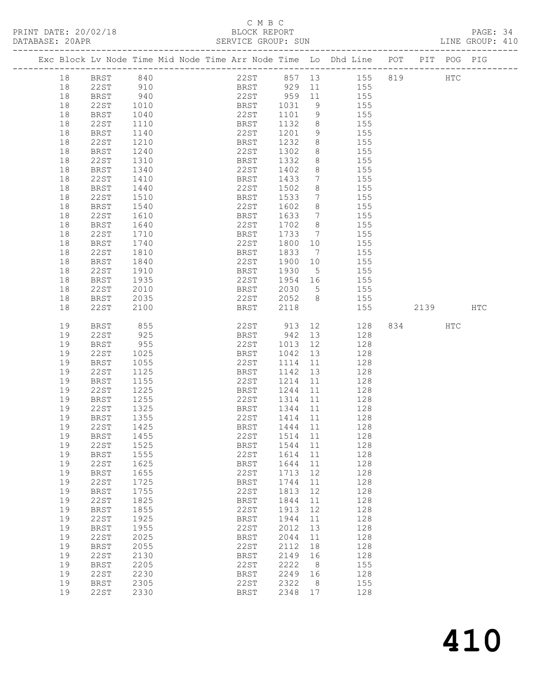## C M B C<br>BLOCK REPORT

|                 |                      | <u>U 11 U U </u>   |                 |  |
|-----------------|----------------------|--------------------|-----------------|--|
|                 | PRINT DATE: 20/02/18 | BLOCK REPORT       | PAGE: 34        |  |
| DATABASE: 20APR |                      | SERVICE GROUP: SUN | LINE GROUP: 410 |  |

|  |    |             |      |  |              |                      |                              | Exc Block Lv Node Time Mid Node Time Arr Node Time Lo Dhd Line POT PIT POG PIG |      |     |     |
|--|----|-------------|------|--|--------------|----------------------|------------------------------|--------------------------------------------------------------------------------|------|-----|-----|
|  | 18 | <b>BRST</b> | 840  |  |              |                      |                              | 22ST 857 13 155 819                                                            | HTC  |     |     |
|  | 18 | 22ST        | 910  |  | BRST 929 11  |                      |                              | 155                                                                            |      |     |     |
|  | 18 | BRST        | 940  |  | 22ST 959 11  |                      |                              | 155                                                                            |      |     |     |
|  | 18 | 22ST        | 1010 |  | BRST         |                      | 9                            | 155                                                                            |      |     |     |
|  |    |             |      |  |              | 1031                 |                              |                                                                                |      |     |     |
|  | 18 | BRST        | 1040 |  | 22ST         | 1101                 | 9                            | 155                                                                            |      |     |     |
|  | 18 | 22ST        | 1110 |  | BRST         | 1132                 | 8 <sup>8</sup>               | 155                                                                            |      |     |     |
|  | 18 | BRST        | 1140 |  | 22ST         | 1201                 | 9                            | 155                                                                            |      |     |     |
|  | 18 | 22ST        | 1210 |  | BRST         | 1232                 | 8                            | 155                                                                            |      |     |     |
|  | 18 | BRST        | 1240 |  | 22ST         | 1302                 | 8 <sup>8</sup>               | 155                                                                            |      |     |     |
|  | 18 | 22ST        | 1310 |  | BRST         | 1332                 | 8 <sup>8</sup>               | 155                                                                            |      |     |     |
|  | 18 | BRST        | 1340 |  | 22ST         | 1402                 | 8                            | 155                                                                            |      |     |     |
|  | 18 | 22ST        | 1410 |  | BRST         | 1433                 | $7\phantom{.0}$              | 155                                                                            |      |     |     |
|  | 18 | BRST        | 1440 |  | 22ST         | 1502                 | 8                            | 155                                                                            |      |     |     |
|  | 18 | 22ST        | 1510 |  | BRST         | 1533                 | $7\phantom{.0}\phantom{.0}7$ | 155                                                                            |      |     |     |
|  | 18 | BRST        | 1540 |  | 22ST         | 1602                 | 8                            | 155                                                                            |      |     |     |
|  | 18 | 22ST        | 1610 |  | BRST         | 1633                 | $\overline{7}$               | 155                                                                            |      |     |     |
|  | 18 | BRST        | 1640 |  | 22ST         | 1702                 | 8 <sup>8</sup>               | 155                                                                            |      |     |     |
|  | 18 | 22ST        | 1710 |  | BRST         | 1733                 | $\overline{7}$               | 155                                                                            |      |     |     |
|  | 18 | BRST        | 1740 |  | 22ST         | 1800                 | 10                           | 155                                                                            |      |     |     |
|  | 18 | 22ST        | 1810 |  | BRST         | 1833                 | $\overline{7}$               | 155                                                                            |      |     |     |
|  | 18 | <b>BRST</b> | 1840 |  | 22ST         | 1900                 | 10                           | 155                                                                            |      |     |     |
|  | 18 | 22ST        | 1910 |  | BRST         | 1930                 | $5^{\circ}$                  | 155                                                                            |      |     |     |
|  | 18 | BRST        | 1935 |  | 22ST         | 1954 16              |                              | 155                                                                            |      |     |     |
|  | 18 | 22ST        | 2010 |  | BRST         | 2030                 | $5^{\circ}$                  | 155                                                                            |      |     |     |
|  | 18 | BRST        | 2035 |  | 22ST         |                      | 8 <sup>8</sup>               | 155                                                                            |      |     |     |
|  | 18 | 22ST        | 2100 |  | BRST         | 2052<br>2118<br>2118 |                              | 155                                                                            | 2139 |     | HTC |
|  |    |             |      |  |              |                      |                              |                                                                                |      |     |     |
|  | 19 | BRST        | 855  |  | 22ST 913 12  |                      |                              | 128                                                                            | 834  | HTC |     |
|  | 19 | 22ST        | 925  |  | BRST         | 942                  | 13                           | 128                                                                            |      |     |     |
|  | 19 | BRST        | 955  |  | 22ST         | 1013 12              |                              | 128                                                                            |      |     |     |
|  | 19 | 22ST        | 1025 |  | BRST         | 1042                 | 13                           | 128                                                                            |      |     |     |
|  | 19 | BRST        | 1055 |  | 22ST         | 1114 11              |                              | 128                                                                            |      |     |     |
|  | 19 | 22ST        | 1125 |  | BRST         | 1142                 | 13                           | 128                                                                            |      |     |     |
|  | 19 | BRST        | 1155 |  | 22ST         | 1214 11              |                              | 128                                                                            |      |     |     |
|  | 19 | 22ST        | 1225 |  | BRST         | 1244                 | 11                           | 128                                                                            |      |     |     |
|  | 19 | BRST        | 1255 |  | 22ST         | 1314 11              |                              | 128                                                                            |      |     |     |
|  | 19 | 22ST        | 1325 |  | BRST         | 1344                 | 11                           | 128                                                                            |      |     |     |
|  | 19 | BRST        | 1355 |  | 22ST         | 1414 11              |                              | 128                                                                            |      |     |     |
|  | 19 | 22ST        | 1425 |  | BRST         | 1444 11              |                              | 128                                                                            |      |     |     |
|  | 19 | BRST 1455   |      |  | 22ST 1514 11 |                      |                              | 128                                                                            |      |     |     |
|  | 19 | 22ST        | 1525 |  | <b>BRST</b>  | 1544                 | 11                           | 128                                                                            |      |     |     |
|  | 19 | BRST        | 1555 |  | 22ST         | 1614                 | 11                           | 128                                                                            |      |     |     |
|  | 19 | 22ST        | 1625 |  | <b>BRST</b>  | 1644                 | 11                           | 128                                                                            |      |     |     |
|  | 19 | BRST        | 1655 |  | 22ST         | 1713                 | 12                           | 128                                                                            |      |     |     |
|  | 19 | 22ST        | 1725 |  | BRST         | 1744                 | 11                           | 128                                                                            |      |     |     |
|  | 19 | <b>BRST</b> | 1755 |  | 22ST         | 1813                 | 12                           | 128                                                                            |      |     |     |
|  | 19 | 22ST        | 1825 |  | <b>BRST</b>  | 1844                 | 11                           | 128                                                                            |      |     |     |
|  | 19 | <b>BRST</b> | 1855 |  | 22ST         | 1913                 | 12                           | 128                                                                            |      |     |     |
|  | 19 | 22ST        | 1925 |  | <b>BRST</b>  | 1944                 | 11                           | 128                                                                            |      |     |     |
|  | 19 | <b>BRST</b> | 1955 |  | 22ST         | 2012                 | 13                           | 128                                                                            |      |     |     |
|  | 19 | 22ST        | 2025 |  | <b>BRST</b>  | 2044                 | 11                           | 128                                                                            |      |     |     |
|  | 19 | <b>BRST</b> | 2055 |  | 22ST         | 2112                 | 18                           | 128                                                                            |      |     |     |
|  | 19 | <b>22ST</b> | 2130 |  | <b>BRST</b>  | 2149                 | 16                           | 128                                                                            |      |     |     |
|  | 19 | <b>BRST</b> | 2205 |  | 22ST         | 2222                 | 8 <sup>8</sup>               | 155                                                                            |      |     |     |
|  | 19 | <b>22ST</b> | 2230 |  |              | 2249                 | 16                           | 128                                                                            |      |     |     |
|  | 19 |             | 2305 |  | BRST<br>22ST | 2322                 | 8 <sup>8</sup>               | 155                                                                            |      |     |     |
|  | 19 | <b>BRST</b> |      |  |              |                      |                              |                                                                                |      |     |     |
|  |    | <b>22ST</b> | 2330 |  | <b>BRST</b>  | 2348 17              |                              | 128                                                                            |      |     |     |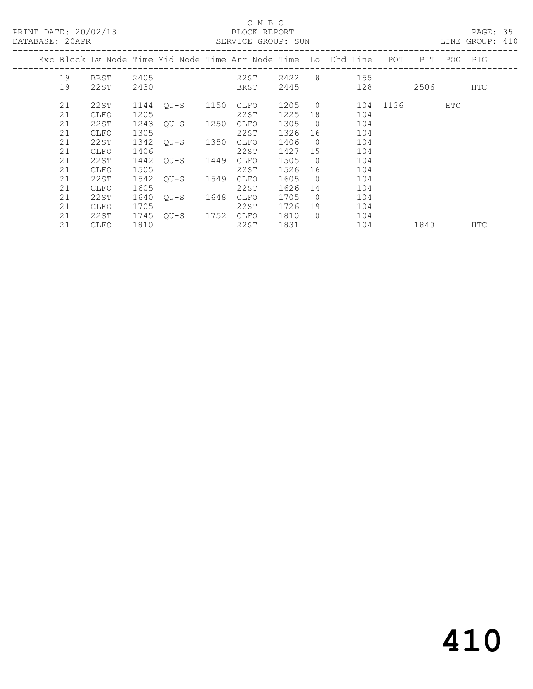| PRINT DATE: 20/02/18<br>DATABASE: 20APR |                   |              |                |      | C M B C<br>BLOCK REPORT<br>SERVICE GROUP: SUN |                 |                      |                                                                    |              |  | PAGE: 35<br>LINE GROUP: 410 |     |  |
|-----------------------------------------|-------------------|--------------|----------------|------|-----------------------------------------------|-----------------|----------------------|--------------------------------------------------------------------|--------------|--|-----------------------------|-----|--|
|                                         |                   |              |                |      |                                               |                 |                      | Exc Block Lv Node Time Mid Node Time Arr Node Time Lo Dhd Line POT |              |  | PIT POG PIG                 |     |  |
| 19<br>19                                | BRST 2405<br>22ST | 2430         |                |      | BRST                                          |                 |                      | 22ST 2422 8 155<br>2445 128                                        |              |  | 2506 7                      | HTC |  |
| 21<br>21                                | 22ST<br>CLFO      | 1144<br>1205 | OU-S 1150      |      | CLFO<br>22ST                                  | 1205 0<br>1225  | 18                   | 104                                                                | 104 1136 HTC |  |                             |     |  |
| 21<br>21                                | 22ST<br>CLFO      | 1305         | 1243 QU-S 1250 |      | CLFO<br>22ST                                  | 1305 0<br>1326  | 16                   | 104<br>104                                                         |              |  |                             |     |  |
| 21<br>21                                | 22ST<br>CLFO      | 1342<br>1406 | OU-S 1350      |      | CLFO<br>22ST                                  | 1406<br>1427 15 | $\overline{0}$       | 104<br>104                                                         |              |  |                             |     |  |
| 21<br>21                                | 22ST<br>CLFO      | 1442<br>1505 | OU-S           | 1449 | CLFO<br>22ST                                  | 1505<br>1526    | $\bigcirc$<br>16     | 104<br>104                                                         |              |  |                             |     |  |
| 21<br>21                                | 22ST<br>CLFO      | 1542<br>1605 | OU-S 1549      |      | CLFO<br>22ST                                  | 1605<br>1626    | $\overline{0}$<br>14 | 104<br>104                                                         |              |  |                             |     |  |
| 21<br>21                                | 22ST<br>CLFO      | 1640<br>1705 | OU-S 1648      |      | CLFO<br>22ST                                  | 1705<br>1726    | $\overline{0}$<br>19 | 104<br>104                                                         |              |  |                             |     |  |
| 21<br>21                                | 22ST<br>CLFO      | 1745<br>1810 | OU-S 1752 CLFO |      | 22ST                                          | 1810<br>1831    | $\bigcirc$           | 104<br>104                                                         | 1840         |  |                             | HTC |  |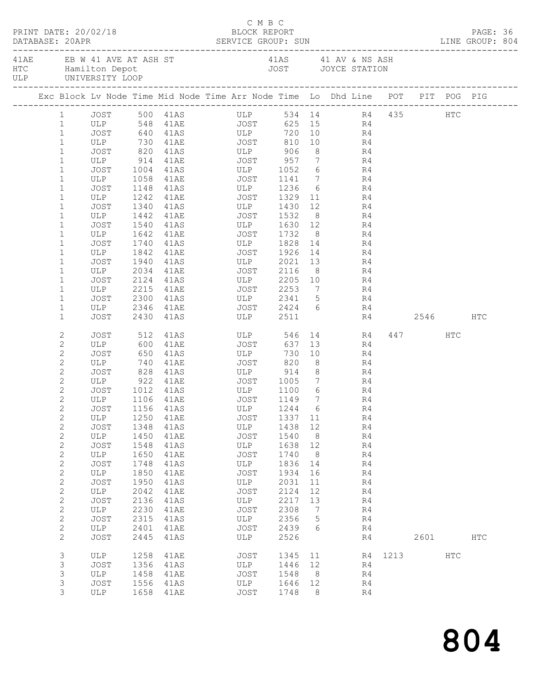|  |                              | PRINT DATE: 20/02/18 |      | DATABASE: 20APR SERVICE GROUP: SUN LINE GROUP: 804                                             | C M B C<br>BLOCK REPORT    |         |                |           |                |             |           | PAGE: 36      |  |
|--|------------------------------|----------------------|------|------------------------------------------------------------------------------------------------|----------------------------|---------|----------------|-----------|----------------|-------------|-----------|---------------|--|
|  |                              |                      |      | 41AE EB W 41 AVE AT ASH ST 41AS 41 AV & NS ASH HTC Hamilton Depot 41 AV & NS ASH JOYCE STATION |                            |         |                |           |                |             |           |               |  |
|  |                              |                      |      | Exc Block Lv Node Time Mid Node Time Arr Node Time Lo Dhd Line POT PIT POG PIG                 |                            |         |                |           |                |             |           |               |  |
|  |                              |                      |      | 1 JOST 500 41AS ULP 534 14 R4 435 HTC                                                          |                            |         |                |           |                |             |           |               |  |
|  | 1                            |                      |      |                                                                                                |                            |         |                |           |                |             |           |               |  |
|  | $\mathbf{1}$                 |                      |      |                                                                                                |                            |         |                |           |                |             |           |               |  |
|  | $\mathbf{1}$                 |                      |      | ULP 730 41AE JOST                                                                              |                            |         |                | 810 10 R4 |                |             |           |               |  |
|  | $\mathbf{1}$                 |                      |      | JOST 820 41AS ULP 906                                                                          |                            |         |                | 8 R4      |                |             |           |               |  |
|  | $\mathbf 1$                  |                      |      | ULP 914 41AE JOST 957 7 R4<br>JOST 1004 41AS ULP 1052 6 R4                                     |                            |         |                |           |                |             |           |               |  |
|  | $\mathbf 1$                  |                      |      | $1058$ $41AE$ $JOST$ $1141$ $7$ $R4$                                                           |                            |         |                |           | R <sub>4</sub> |             |           |               |  |
|  | $\mathbf 1$                  | ULP                  |      |                                                                                                |                            |         |                |           |                |             |           |               |  |
|  | $\mathbf 1$                  | JOST                 |      | 1148 41AS ULP 1236 6 R4                                                                        |                            |         |                |           |                |             |           |               |  |
|  | $\mathbf 1$<br>$\mathbf{1}$  | ULP<br>JOST          |      | 1242 41AE JOST 1329 11                                                                         |                            |         |                |           | R4             |             |           |               |  |
|  | $\mathbf{1}$                 | ULP                  |      | 1340 41AS ULP 1430<br>1442 41AE JOST 1532                                                      | ULP 1430 12<br>JOST 1532 8 |         |                |           | R4<br>R4       |             |           |               |  |
|  | $\mathbf{1}$                 | JOST                 |      | 1540 41AS ULP 1630 12 R4                                                                       |                            |         |                |           |                |             |           |               |  |
|  | $\mathbf{1}$                 | ULP                  |      | 1642 41AE JOST 1732                                                                            |                            |         |                | 8 R4      |                |             |           |               |  |
|  | $\mathbf{1}$                 | JOST                 |      |                                                                                                |                            |         |                |           |                |             |           |               |  |
|  | $\mathbf 1$                  | ULP                  |      |                                                                                                |                            |         |                |           |                |             |           |               |  |
|  | $\mathbf{1}$                 | JOST                 |      | 1940 41AS ULP 2021 13 R4                                                                       |                            |         |                |           |                |             |           |               |  |
|  | $\mathbf 1$                  | ULP                  | 2034 | 41AE JOST 2116                                                                                 |                            |         |                | $8 - 1$   | R4             |             |           |               |  |
|  | $\mathbf 1$                  | JOST                 |      | 2124 41AS ULP 2205 10 R4<br>2215 41AE JOST 2253 7 R4                                           |                            |         |                |           |                |             |           |               |  |
|  | $\mathbf{1}$                 | ULP                  |      |                                                                                                |                            |         |                |           |                |             |           |               |  |
|  | $\mathbf 1$                  | JOST                 |      | 2300 41AS ULP 2341 5 R4                                                                        |                            |         |                |           |                |             |           |               |  |
|  | $\mathbf 1$                  | ULP                  |      | 2346 41AE JOST 2424 6 R4                                                                       |                            |         |                |           |                |             |           |               |  |
|  | $\mathbf{1}$                 | JOST                 |      | 2430 41AS ULP 2511                                                                             |                            |         |                |           |                | R4 2546     |           | HTC           |  |
|  | 2                            | JOST                 |      | 512 41AS ULP                                                                                   |                            | 546     |                |           | 14 R4          |             | 447 HTC   |               |  |
|  | $\mathbf{2}$                 | ULP 600              |      | 41AE JOST                                                                                      |                            | 637     |                | 13        | R4             |             |           |               |  |
|  | $\mathbf{2}$                 | JOST                 |      |                                                                                                |                            | 730     |                | 10        | R4             |             |           |               |  |
|  | $\mathbf{2}$                 | ULP                  |      | 828 41AS ULP 914 8 R4                                                                          |                            | 820     | 8 <sup>8</sup> |           | R4             |             |           |               |  |
|  | $\mathbf{2}$                 | JOST                 |      |                                                                                                |                            |         |                |           |                |             |           |               |  |
|  | $\mathbf{2}$<br>$\mathbf{2}$ | JOST                 |      | ULP 922 41AE JOST 1005 7 R4                                                                    |                            |         |                |           |                |             |           |               |  |
|  | $\overline{c}$               | ULP 1106 41AE        |      |                                                                                                |                            |         | $\overline{7}$ | $6$ R4    | R4             |             |           |               |  |
|  | 2                            |                      |      | JOST 1156 41AS ULP 1244 6 R4                                                                   |                            |         |                |           |                |             |           |               |  |
|  | 2                            | ULP                  | 1250 | 41AE                                                                                           | JOST                       | 1337 11 |                |           | R4             |             |           |               |  |
|  | $\mathbf{2}$                 | JOST                 | 1348 | 41AS                                                                                           | ULP                        | 1438 12 |                |           | R4             |             |           |               |  |
|  | $\sqrt{2}$                   | ULP                  | 1450 | 41AE                                                                                           | JOST                       | 1540    | 8 <sup>8</sup> |           | R4             |             |           |               |  |
|  | $\sqrt{2}$                   | JOST                 | 1548 | 41AS                                                                                           | ULP                        | 1638    | 12             |           | R4             |             |           |               |  |
|  | $\sqrt{2}$                   | ULP                  | 1650 | 41AE                                                                                           | JOST                       | 1740    | 8 <sup>8</sup> |           | R4             |             |           |               |  |
|  | $\sqrt{2}$                   | <b>JOST</b>          | 1748 | 41AS                                                                                           | ULP                        | 1836    | 14             |           | R4             |             |           |               |  |
|  | $\sqrt{2}$                   | ULP                  | 1850 | 41AE                                                                                           | JOST                       | 1934    | 16             |           | R4             |             |           |               |  |
|  | $\mathbf{2}$                 | JOST                 | 1950 | 41AS                                                                                           | ULP                        | 2031    | 11             |           | R4             |             |           |               |  |
|  | $\mathbf{2}$                 | ULP                  | 2042 | 41AE                                                                                           | JOST                       | 2124    | 12             |           | R4             |             |           |               |  |
|  | $\mathbf{2}$                 | <b>JOST</b>          | 2136 | 41AS                                                                                           | ULP                        | 2217    | 13             |           | R4             |             |           |               |  |
|  | $\mathbf{2}$                 | ULP                  | 2230 | 41AE                                                                                           | JOST                       | 2308    | $\overline{7}$ |           | R4             |             |           |               |  |
|  | $\sqrt{2}$                   | JOST                 | 2315 | 41AS                                                                                           | ULP                        | 2356    | $5^{\circ}$    |           | R4             |             |           |               |  |
|  | $\mathbf{2}$                 | ULP                  | 2401 | 41AE                                                                                           | JOST                       | 2439    | 6              |           | R4             |             |           |               |  |
|  | $\mathbf{2}$                 | <b>JOST</b>          | 2445 | 41AS                                                                                           | ULP                        | 2526    |                |           | R4             |             | 2601 2002 | $_{\rm{HTC}}$ |  |
|  | 3                            | ULP                  | 1258 | 41AE                                                                                           | JOST                       | 1345 11 |                |           |                | R4 1213 HTC |           |               |  |
|  | 3                            | JOST                 | 1356 | 41AS                                                                                           | ULP                        | 1446 12 |                |           | R4             |             |           |               |  |
|  | 3                            | ULP                  | 1458 | 41AE                                                                                           | JOST                       | 1548    | 8 <sup>8</sup> |           | R4             |             |           |               |  |
|  | 3                            | JOST                 | 1556 | 41AS                                                                                           | ULP                        | 1646    | 12             |           | R4             |             |           |               |  |
|  | 3                            | ULP                  |      | 1658 41AE                                                                                      | JOST                       | 1748    | - 8            |           | R4             |             |           |               |  |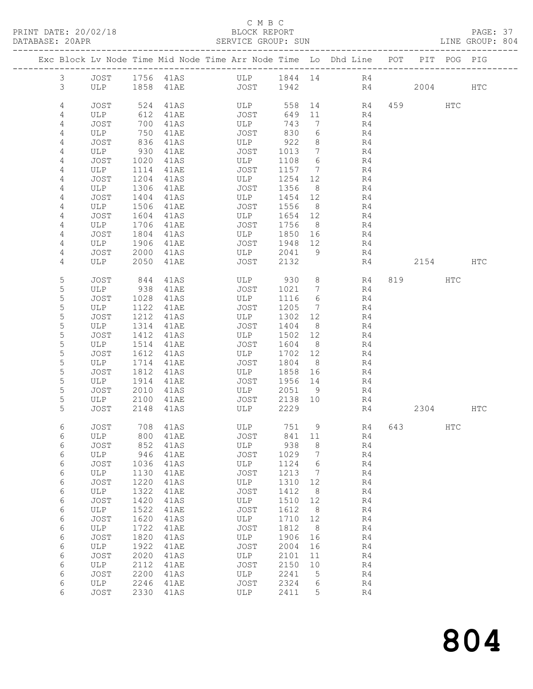#### C M B C<br>BLOCK REPORT

PAGE: 37<br>LINE GROUP: 804

|                |             |              |                     | Exc Block Lv Node Time Mid Node Time Arr Node Time Lo Dhd Line POT |                 |                                  |                |    |           | PIT POG PIG |     |
|----------------|-------------|--------------|---------------------|--------------------------------------------------------------------|-----------------|----------------------------------|----------------|----|-----------|-------------|-----|
| $\mathfrak{Z}$ | JOST        |              |                     | 1756 41AS ULP 1844 14 R4                                           |                 |                                  |                |    |           |             |     |
| 3              |             |              |                     | ULP 1858 41AE JOST 1942                                            |                 |                                  |                | R4 | 2004 HTC  |             |     |
| 4              | JOST        | 524          | 41AS                | ULP                                                                |                 |                                  | 558 14 R4      |    | 459       | HTC         |     |
| $\overline{4}$ | ULP         | 612          | 41AE                | JOST                                                               | 649 11          |                                  | R4             |    |           |             |     |
| 4              | JOST        | 700          | 41AS                | ULP                                                                | 743             | $\overline{7}$                   | R4             |    |           |             |     |
| 4              | ULP         | 750          | 41AE                | JOST                                                               | 830             | 6                                | R4             |    |           |             |     |
| 4              | JOST        | 836          | 41AS                | ULP                                                                | 922             | 8 <sup>8</sup>                   | R4             |    |           |             |     |
| 4              | ULP         | 930          | 41AE                | JOST                                                               | 1013            | $\overline{7}$                   | R4             |    |           |             |     |
| 4<br>4         | JOST<br>ULP | 1020<br>1114 | 41AS<br><b>41AE</b> | ULP<br>JOST                                                        | 1108<br>1157    | 6<br>$\overline{7}$              | R4<br>R4       |    |           |             |     |
| 4              | JOST        | 1204         | 41AS                | ULP                                                                | 1254 12         |                                  | R4             |    |           |             |     |
| 4              | ULP         | 1306         | 41AE                | JOST                                                               | 1356            | 8 <sup>8</sup>                   | R4             |    |           |             |     |
| 4              | JOST        | 1404         | 41AS                | ULP                                                                | 1454 12         |                                  | R4             |    |           |             |     |
| 4              | ULP         | 1506         | 41AE                | JOST                                                               | 1556            | 8 <sup>8</sup>                   | R4             |    |           |             |     |
| 4              | JOST        | 1604         | 41AS                | ULP                                                                | 1654 12         |                                  | R4             |    |           |             |     |
| 4              | ULP         | 1706         | 41AE                | JOST                                                               | 1756            | 8 <sup>8</sup>                   | R4             |    |           |             |     |
| 4              | JOST        | 1804         | 41AS                | ULP<br><b>JOST</b>                                                 | 1850 16         |                                  | R4             |    |           |             |     |
| 4<br>4         | ULP<br>JOST | 1906<br>2000 | 41AE<br>41AS        | ULP                                                                | 1948 12<br>2041 | - 9                              | R4<br>R4       |    |           |             |     |
| 4              | ULP         | 2050         | 41AE                | JOST                                                               | 2132            |                                  | R4             |    | 2154      |             | HTC |
|                |             |              |                     |                                                                    |                 |                                  |                |    |           |             |     |
| 5<br>5         | JOST<br>ULP | 844<br>938   | 41AS<br>41AE        | ULP 930<br>JOST                                                    | 1021            | 8 <sup>8</sup><br>$\overline{7}$ | R4<br>R4       |    | 819       | HTC         |     |
| 5              | JOST        | 1028         | 41AS                | ULP                                                                | 1116            | 6                                | R4             |    |           |             |     |
| 5              | ULP         |              | 1122 41AE           | JOST                                                               | 1205            | $\overline{7}$                   | R4             |    |           |             |     |
| 5              | JOST        | 1212         | 41AS                | ULP                                                                | 1302 12         |                                  | R4             |    |           |             |     |
| 5              | ULP         | 1314         | 41AE                | JOST                                                               | 1404            | 8 <sup>8</sup>                   | R4             |    |           |             |     |
| 5              | JOST        | 1412         | 41AS                | ULP                                                                | 1502            | 12                               | R4             |    |           |             |     |
| $\mathsf S$    | ULP         | 1514         | 41AE                | JOST                                                               | 1604            | 8 <sup>8</sup>                   | R4             |    |           |             |     |
| 5              | JOST        | 1612         | 41AS                | ULP                                                                | 1702 12         |                                  | R4             |    |           |             |     |
| 5<br>5         | ULP         | 1714         | 41AE                | JOST                                                               | 1804<br>1858 16 | 8 <sup>8</sup>                   | R4             |    |           |             |     |
| 5              | JOST<br>ULP | 1812<br>1914 | 41AS<br>41AE        | ULP<br>JOST                                                        | 1956 14         |                                  | R4<br>R4       |    |           |             |     |
| 5              | JOST        | 2010         | 41AS                | ULP                                                                | 2051 9          |                                  | R4             |    |           |             |     |
| 5              | ULP         | 2100         | 41AE                | JOST                                                               | 2138 10         |                                  | R4             |    |           |             |     |
| 5              | JOST        | 2148         | 41AS                | ULP                                                                | 2229            |                                  | R4             |    | 2304      |             | HTC |
| 6              | JOST        |              | 708 41AS            | ULP                                                                | 751 9           |                                  | R4             |    | 643 — 100 | HTC         |     |
| 6              | ULP         |              |                     | 800 41AE JOST 841 11                                               |                 |                                  | R4             |    |           |             |     |
| 6              | JOST        | 852          | 41AS                | ULP                                                                | 938             | 8                                | R4             |    |           |             |     |
| 6              | ULP         | 946          | 41AE                | JOST                                                               | 1029            | 7                                | R4             |    |           |             |     |
| 6              | JOST        | 1036         | 41AS                | ULP                                                                | 1124            | 6                                | R4             |    |           |             |     |
| 6              | ULP         | 1130<br>1220 | 41AE                | JOST                                                               | 1213            | $\overline{7}$                   | R4             |    |           |             |     |
| 6<br>6         | JOST<br>ULP | 1322         | 41AS<br>41AE        | ULP<br>JOST                                                        | 1310<br>1412    | 12<br>8 <sup>8</sup>             | R4<br>R4       |    |           |             |     |
| 6              | JOST        | 1420         | 41AS                | ULP                                                                | 1510            | 12                               | R4             |    |           |             |     |
| 6              | ULP         | 1522         | 41AE                | JOST                                                               | 1612            | 8 <sup>8</sup>                   | R4             |    |           |             |     |
| 6              | JOST        | 1620         | 41AS                | ULP                                                                | 1710 12         |                                  | R4             |    |           |             |     |
| 6              | ULP         | 1722         | 41AE                | JOST                                                               | 1812            | 8 <sup>8</sup>                   | R4             |    |           |             |     |
| 6              | JOST        | 1820         | 41AS                | ULP                                                                | 1906            | 16                               | R4             |    |           |             |     |
| 6              | ULP         | 1922         | 41AE                | JOST                                                               | 2004            | 16                               | R4             |    |           |             |     |
| 6<br>6         | JOST        | 2020         | 41AS                | ULP<br>JOST                                                        | 2101            | 11                               | R4             |    |           |             |     |
| 6              | ULP<br>JOST | 2112<br>2200 | 41AE<br>41AS        | ULP                                                                | 2150<br>2241    | 10<br>$5^{\circ}$                | R4<br>R4       |    |           |             |     |
| 6              | ULP         | 2246         | 41AE                | JOST                                                               | 2324            | 6                                | R4             |    |           |             |     |
| 6              | JOST        |              | 2330 41AS           | ULP                                                                | 2411            | 5                                | R <sub>4</sub> |    |           |             |     |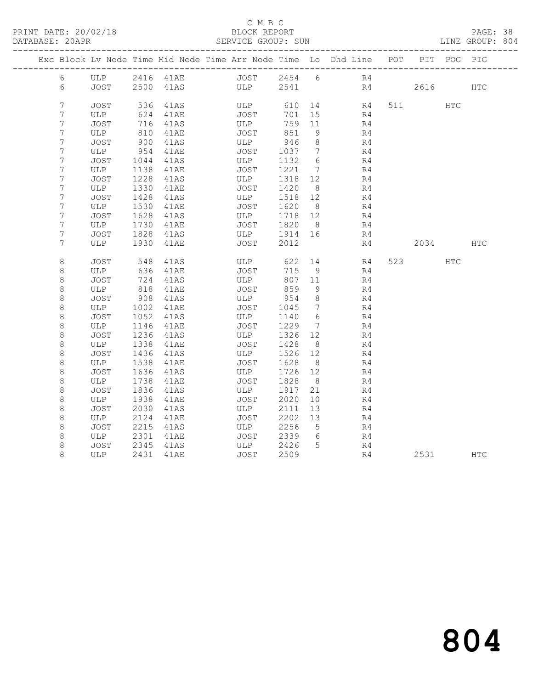#### C M B C<br>BLOCK REPORT

PAGE: 38<br>LINE GROUP: 804

|  |                 |             |            | Exc Block Lv Node Time Mid Node Time Arr Node Time Lo Dhd Line POT |      |                  |               |                 |          |    |                | PIT POG PIG |            |
|--|-----------------|-------------|------------|--------------------------------------------------------------------|------|------------------|---------------|-----------------|----------|----|----------------|-------------|------------|
|  | 6               | ULP         |            | 2416 41AE                                                          |      |                  | JOST 2454 6   |                 | R4       |    |                |             |            |
|  | 6               | JOST        |            | 2500 41AS                                                          |      |                  | ULP 2541      |                 |          | R4 | 2616           |             | <b>HTC</b> |
|  | $7\overline{ }$ |             |            |                                                                    |      |                  |               |                 |          |    |                |             |            |
|  | $7\phantom{.0}$ | JOST<br>ULP | 536<br>624 | 41AS<br>41AE                                                       | JOST | ULP <sub>2</sub> | 610 14<br>701 | 15              | R4<br>R4 |    | 511 72         | <b>HTC</b>  |            |
|  | 7               | JOST        | 716        | 41AS                                                               | ULP  |                  | 759           | 11              | R4       |    |                |             |            |
|  | $7\phantom{.0}$ | ULP         | 810        | 41AE                                                               | JOST |                  | 851           | 9               | R4       |    |                |             |            |
|  | 7               | JOST        | 900        | 41AS                                                               | ULP  |                  | 946           | 8               | R4       |    |                |             |            |
|  | 7               | ULP         | 954        | 41AE                                                               | JOST |                  | 1037          | $\overline{7}$  | R4       |    |                |             |            |
|  | $7\phantom{.0}$ | JOST        | 1044       | 41AS                                                               | ULP  |                  | 1132          | - 6             | R4       |    |                |             |            |
|  | 7               | ULP         | 1138       | 41AE                                                               | JOST |                  | 1221          | $\overline{7}$  | R4       |    |                |             |            |
|  | 7               | JOST        | 1228       | 41AS                                                               | ULP  |                  | 1318          | 12              | R4       |    |                |             |            |
|  | 7               | ULP         | 1330       | 41AE                                                               | JOST |                  | 1420          | 8 <sup>8</sup>  | R4       |    |                |             |            |
|  | $7\phantom{.}$  | JOST        | 1428       | 41AS                                                               | ULP  |                  | 1518          | 12              | R4       |    |                |             |            |
|  | 7               | ULP         | 1530       | 41AE                                                               | JOST |                  | 1620          | 8 <sup>8</sup>  | R4       |    |                |             |            |
|  | 7               | JOST        | 1628       | 41AS                                                               | ULP  |                  | 1718          | 12              | R4       |    |                |             |            |
|  | $\overline{7}$  | ULP         | 1730       | 41AE                                                               | JOST |                  | 1820          | 8 <sup>8</sup>  | R4       |    |                |             |            |
|  | $\overline{7}$  | JOST        | 1828       | 41AS                                                               |      | ULP              | 1914 16       |                 | R4       |    |                |             |            |
|  | 7               | ULP         | 1930       | 41AE                                                               |      | JOST             | 2012          |                 | R4       |    | 2034           |             | <b>HTC</b> |
|  |                 |             |            |                                                                    |      |                  |               |                 |          |    |                |             |            |
|  | 8               | JOST        | 548        | 41AS                                                               |      | ULP              | 622           | 14              | R4       |    | 523 and $\sim$ | HTC         |            |
|  | 8               | ULP         | 636        | 41AE                                                               | JOST |                  | 715           | - 9             | R4       |    |                |             |            |
|  | $\,8\,$         | JOST        | 724        | 41AS                                                               | ULP  |                  | 807           | 11              | R4       |    |                |             |            |
|  | 8               | ULP         | 818        | 41AE                                                               | JOST |                  | 859           | 9               | R4       |    |                |             |            |
|  | $\,8\,$         | JOST        | 908        | 41AS                                                               | ULP  |                  | 954           | 8               | R4       |    |                |             |            |
|  | 8               | ULP         | 1002       | 41AE                                                               | JOST |                  | 1045          | $\overline{7}$  | R4       |    |                |             |            |
|  | $\,8\,$         | JOST        | 1052       | 41AS                                                               | ULP  |                  | 1140          | $6\phantom{.}6$ | R4       |    |                |             |            |
|  | $\,8\,$         | ULP         | 1146       | 41AE                                                               | JOST |                  | 1229          | $\overline{7}$  | R4       |    |                |             |            |
|  | 8               | JOST        | 1236       | 41AS                                                               | ULP  |                  | 1326          | 12              | R4       |    |                |             |            |
|  | $\,8\,$         | ULP         | 1338       | 41AE                                                               | JOST |                  | 1428          | 8 <sup>8</sup>  | R4       |    |                |             |            |
|  | $\,8\,$         | JOST        | 1436       | 41AS                                                               | ULP  |                  | 1526          | 12              | R4       |    |                |             |            |
|  | 8               | ULP         | 1538       | 41AE                                                               | JOST |                  | 1628          | 8 <sup>8</sup>  | R4       |    |                |             |            |
|  | $\,8\,$         | JOST        | 1636       | 41AS                                                               | ULP  |                  | 1726          | 12              | R4       |    |                |             |            |
|  | $\,8\,$         | ULP         | 1738       | 41AE                                                               | JOST |                  | 1828          | 8 <sup>8</sup>  | R4       |    |                |             |            |
|  | 8               | JOST        | 1836       | 41AS                                                               | ULP  |                  | 1917          | 21              | R4       |    |                |             |            |
|  | $\,8\,$         | ULP         | 1938       | 41AE                                                               | JOST |                  | 2020          | 10              | R4       |    |                |             |            |
|  | 8               | JOST        | 2030       | 41AS                                                               | ULP  |                  | 2111          | 13              | R4       |    |                |             |            |
|  | $\,8\,$         | ULP         | 2124       | 41AE                                                               | JOST |                  | 2202          | 13              | R4       |    |                |             |            |
|  | 8               | JOST        | 2215       | 41AS                                                               | ULP  |                  | 2256          | $5\overline{)}$ | R4       |    |                |             |            |
|  | 8               | ULP         | 2301       | 41AE                                                               | JOST |                  | 2339          | 6               | R4       |    |                |             |            |
|  | $\,8\,$         | JOST        | 2345       | 41AS                                                               | ULP  |                  | 2426          | $5^{\circ}$     | R4       |    |                |             |            |
|  | 8               | ULP         |            | 2431 41AE                                                          | JOST |                  | 2509          |                 | R4       |    | 2531           |             | HTC        |
|  |                 |             |            |                                                                    |      |                  |               |                 |          |    |                |             |            |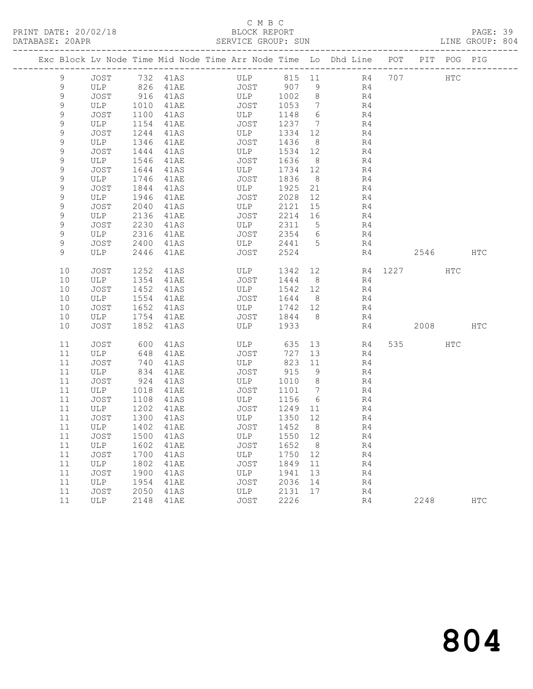## C M B C<br>BLOCK REPORT

PAGE: 39<br>LINE GROUP: 804

|    |                   |      |                      | Exc Block Lv Node Time Mid Node Time Arr Node Time Lo Dhd Line POT PIT POG PIG |         |                |                       |          |              |            |
|----|-------------------|------|----------------------|--------------------------------------------------------------------------------|---------|----------------|-----------------------|----------|--------------|------------|
| 9  | JOST              |      | 732 41AS             | ULP 815 11 R4 707                                                              |         |                |                       |          | $_{\rm HTC}$ |            |
| 9  | ULP               |      | 826 41AE<br>916 41AS | <b>JOST</b>                                                                    |         |                | R4                    |          |              |            |
| 9  | JOST              |      |                      | UUST 907 9<br>ULP 1002 2                                                       |         |                | R4                    |          |              |            |
| 9  | ULP 1010          |      | 41AE                 | <b>JOST</b>                                                                    | 1053    | $\overline{7}$ | R <sub>4</sub>        |          |              |            |
| 9  | JOST              | 1100 | 41AS                 | ULP                                                                            | 1148 6  |                | R4                    |          |              |            |
| 9  | ULP               | 1154 | 41AE                 | JOST                                                                           | 1237 7  |                | R <sub>4</sub>        |          |              |            |
| 9  | JOST              | 1244 | 41AS                 | ULP                                                                            | 1334    | 12             | R4                    |          |              |            |
| 9  | ULP               | 1346 | 41AE                 | JOST                                                                           | 1436    | 8 <sup>8</sup> | R4                    |          |              |            |
| 9  | JOST              | 1444 | 41AS                 | ULP                                                                            | 1534    | 12             | R4                    |          |              |            |
| 9  | ULP               | 1546 | 41AE                 | JOST                                                                           | 1636    | 8 <sup>8</sup> | R4                    |          |              |            |
| 9  | JOST              | 1644 | 41AS                 | ULP                                                                            | 1734 12 |                | R4                    |          |              |            |
| 9  | ULP               | 1746 | 41AE                 | JOST                                                                           | 1836    | 8 <sup>8</sup> | R4                    |          |              |            |
| 9  | JOST              | 1844 | 41AS                 | ULP                                                                            | 1925    | 21             | R4                    |          |              |            |
| 9  | ULP               | 1946 | 41AE                 | JOST                                                                           | 2028    | 12             | R4                    |          |              |            |
| 9  | JOST              | 2040 | 41AS                 | ULP                                                                            | 2121    | 15             | R4                    |          |              |            |
| 9  | ULP               | 2136 | 41AE                 | JOST                                                                           | 2214 16 |                | R4                    |          |              |            |
| 9  | JOST              | 2230 | 41AS                 | ULP                                                                            | 2311 5  |                | R4                    |          |              |            |
| 9  | ULP               | 2316 | 41AE                 | JOST                                                                           | 2354 6  |                | R4                    |          |              |            |
| 9  | JOST              | 2400 | 41AS                 | ULP                                                                            | 2441 5  |                | R4                    |          |              |            |
| 9  | ULP               | 2446 | 41AE                 | JOST                                                                           | 2524    |                | R4                    | 2546 HTC |              |            |
| 10 | <b>JOST</b>       | 1252 | 41AS                 | ULP                                                                            | 1342    | 12             | R4 1227               |          | HTC          |            |
| 10 | ULP               | 1354 | 41AE                 | JOST                                                                           | 1444    | 8 <sup>8</sup> | R4                    |          |              |            |
| 10 | JOST              | 1452 | 41AS                 | ULP                                                                            | 1542 12 |                | R4                    |          |              |            |
| 10 | ULP               | 1554 | 41AE                 | JOST                                                                           | 1644    | 8 <sup>8</sup> | R4                    |          |              |            |
| 10 | JOST              | 1652 | 41AS                 | ULP                                                                            | 1742 12 |                | R4                    |          |              |            |
| 10 | ULP               | 1754 | 41AE                 | JOST                                                                           | 1844 8  |                | R4                    |          |              |            |
| 10 | JOST              | 1852 | 41AS                 | ULP                                                                            | 1933    |                | R4                    | 2008 HTC |              |            |
| 11 | JOST              | 600  | 41AS                 | ULP                                                                            | 635     |                | 13 and $\sim$<br>R4 a | 535 7    | HTC          |            |
| 11 | ULP               | 648  | 41AE                 | JOST                                                                           | 727     | 13             | R4                    |          |              |            |
| 11 | JOST              | 740  | 41AS                 | ULP                                                                            | 823     | 11             | R4                    |          |              |            |
| 11 | ULP               | 834  | 41AE                 | JOST                                                                           | 915     | 9              | R4                    |          |              |            |
| 11 | JOST              | 924  | 41AS                 | ULP                                                                            | 1010 8  |                | R4                    |          |              |            |
| 11 | ULP               | 1018 | 41AE                 | JOST                                                                           | 1101 7  |                | R4                    |          |              |            |
| 11 | JOST              | 1108 | 41AS                 | ULP                                                                            | 1156    | 6              | R4                    |          |              |            |
| 11 | ULP 1202          |      | <b>41AE</b>          | JOST                                                                           | 1249 11 |                | R4                    |          |              |            |
| 11 | JOST              | 1300 | 41AS                 | ULP                                                                            | 1350 12 |                | R4                    |          |              |            |
| 11 | ULP               | 1402 | 41AE                 | JOST                                                                           | 1452    | 8              | R4                    |          |              |            |
|    | 11 JOST 1500 41AS |      |                      | ULP 1550 12                                                                    |         |                | R <sub>4</sub>        |          |              |            |
| 11 | ULP               | 1602 | 41AE                 | JOST                                                                           | 1652    | 8              | R4                    |          |              |            |
| 11 | JOST              | 1700 | 41AS                 | ULP                                                                            | 1750    | 12             | R4                    |          |              |            |
| 11 | ULP               | 1802 | 41AE                 | <b>JOST</b>                                                                    | 1849    | 11             | R4                    |          |              |            |
| 11 | JOST              | 1900 | 41AS                 | ULP                                                                            | 1941    | 13             | R4                    |          |              |            |
| 11 | ULP               | 1954 | 41AE                 | <b>JOST</b>                                                                    | 2036    | 14             | R4                    |          |              |            |
| 11 | <b>JOST</b>       | 2050 | 41AS                 | ULP                                                                            | 2131    | 17             | R4                    |          |              |            |
| 11 | ULP               | 2148 | 41AE                 | <b>JOST</b>                                                                    | 2226    |                | R4                    | 2248     |              | <b>HTC</b> |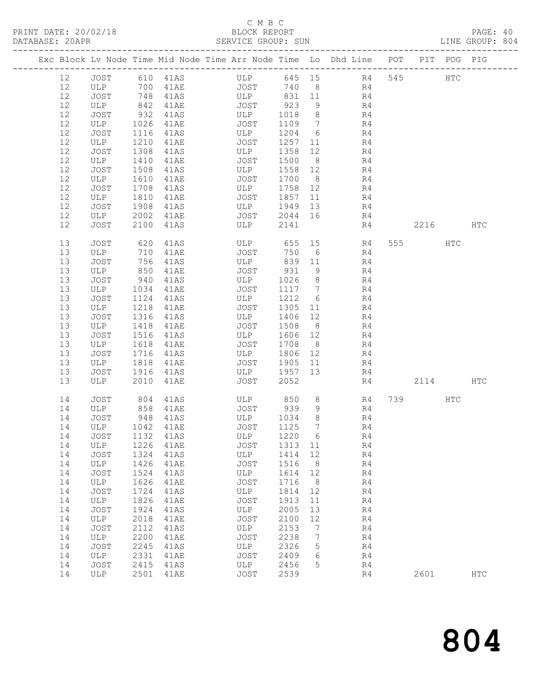### C M B C<br>BLOCK REPORT

| DATABASE: 20APR |    |      |      |              | SERVICE GROUP: SUN                                                             |         |                              |                |          |     | LINE GROUP: 804 |  |
|-----------------|----|------|------|--------------|--------------------------------------------------------------------------------|---------|------------------------------|----------------|----------|-----|-----------------|--|
|                 |    |      |      |              | Exc Block Lv Node Time Mid Node Time Arr Node Time Lo Dhd Line POT PIT POG PIG |         |                              |                |          |     |                 |  |
|                 | 12 | JOST |      |              | 610 41AS ULP 645 15 R4 545 HTC                                                 |         |                              |                |          |     |                 |  |
|                 | 12 |      |      | ULP 700 41AE |                                                                                |         |                              | JOST 740 8 R4  |          |     |                 |  |
|                 | 12 | JOST | 748  | 41AS         |                                                                                |         |                              | ULP 831 11 R4  |          |     |                 |  |
|                 | 12 | ULP  | 842  | 41AE         | JOST                                                                           | 923     | 9                            | R <sub>4</sub> |          |     |                 |  |
|                 | 12 | JOST | 932  | 41AS         | ULP                                                                            | 1018    | 8 <sup>8</sup>               | R <sub>4</sub> |          |     |                 |  |
|                 | 12 | ULP  | 1026 | 41AE         | JOST                                                                           | 1109 7  |                              | R4             |          |     |                 |  |
|                 | 12 | JOST | 1116 | 41AS         | ULP                                                                            | 1204 6  |                              | R4             |          |     |                 |  |
|                 | 12 | ULP  | 1210 | 41AE         | JOST                                                                           | 1257 11 |                              | R4             |          |     |                 |  |
|                 | 12 | JOST | 1308 | 41AS         | ULP                                                                            | 1358 12 |                              | R <sub>4</sub> |          |     |                 |  |
|                 | 12 | ULP  | 1410 | 41AE         | JOST                                                                           | 1500    | 8 <sup>8</sup>               | R4             |          |     |                 |  |
|                 | 12 | JOST | 1508 | 41AS         | ULP                                                                            | 1558 12 |                              | R4             |          |     |                 |  |
|                 | 12 | ULP  | 1610 | 41AE         | JOST                                                                           | 1700 8  |                              | R4             |          |     |                 |  |
|                 | 12 | JOST | 1708 | 41AS         | ULP                                                                            | 1758 12 |                              | R4             |          |     |                 |  |
|                 | 12 | ULP  | 1810 | 41AE         | JOST                                                                           | 1857 11 |                              | R4             |          |     |                 |  |
|                 | 12 | JOST | 1908 | 41AS         | ULP                                                                            | 1949 13 |                              | R4             |          |     |                 |  |
|                 | 12 | ULP  | 2002 | 41AE         | JOST                                                                           | 2044 16 |                              | R4             |          |     |                 |  |
|                 | 12 | JOST | 2100 | 41AS         | ULP                                                                            | 2141    |                              | R4             | 2216 HTC |     |                 |  |
|                 | 13 | JOST | 620  | 41AS         | <b>ULP</b>                                                                     | 655 15  |                              | R4             | 555 75   | HTC |                 |  |
|                 | 13 | ULP  | 710  | 41AE         | JOST                                                                           | 750     | 6                            | R4             |          |     |                 |  |
|                 | 13 | JOST | 756  | 41AS         | ULP                                                                            | 839 11  |                              | R4             |          |     |                 |  |
|                 | 13 | ULP  | 850  | 41AE         | JOST                                                                           | 931     | 9                            | R4             |          |     |                 |  |
|                 | 13 | JOST | 940  | 41AS         | <b>ULP</b>                                                                     | 1026    | 8 <sup>8</sup>               | R4             |          |     |                 |  |
|                 | 13 | ULP  | 1034 | 41AE         | JOST                                                                           | 1117 7  |                              | R4             |          |     |                 |  |
|                 | 13 | JOST | 1124 | 41AS         | ULP                                                                            | 1212    | $6\overline{6}$              | R4             |          |     |                 |  |
|                 | 13 | ULP  | 1218 | 41AE         | JOST                                                                           | 1305 11 |                              | R4             |          |     |                 |  |
|                 | 13 | JOST | 1316 | 41AS         | ULP                                                                            | 1406 12 |                              | R4             |          |     |                 |  |
|                 | 13 | ULP  | 1418 | 41AE         | JOST                                                                           | 1508    | 8 <sup>8</sup>               | R4             |          |     |                 |  |
|                 | 13 | JOST | 1516 | 41AS         | ULP                                                                            | 1606 12 |                              | R4             |          |     |                 |  |
|                 | 13 | ULP  | 1618 | 41AE         | JOST                                                                           | 1708    | 8 <sup>8</sup>               | R4             |          |     |                 |  |
|                 | 13 | JOST | 1716 | 41AS         | ULP                                                                            | 1806 12 |                              | R4             |          |     |                 |  |
|                 | 13 | ULP  | 1818 | 41AE         | JOST                                                                           | 1905 11 |                              | R4             |          |     |                 |  |
|                 | 13 | JOST | 1916 | 41AS         | ULP                                                                            | 1957 13 |                              | R4             |          |     |                 |  |
|                 | 13 | ULP  | 2010 | 41AE         | JOST                                                                           | 2052    |                              | R4             | 2114 HTC |     |                 |  |
|                 | 14 | JOST | 804  | 41AS         | ULP 850                                                                        |         | 8                            | R4             | 739      | HTC |                 |  |
|                 | 14 | ULP  | 858  | 41AE         | JOST<br>ULP                                                                    | 939     | 9                            | R4             |          |     |                 |  |
|                 | 14 | JOST |      | 948 41AS     |                                                                                | 1034    | 8                            | R4             |          |     |                 |  |
|                 |    |      |      |              | 14 ULP 1042 41AE JOST 1125 7                                                   |         |                              | R4             |          |     |                 |  |
|                 | 14 | JOST | 1132 | 41AS         | ULP                                                                            | 1220    | $6\overline{6}$              | R4             |          |     |                 |  |
|                 | 14 | ULP  | 1226 | 41AE         | JOST                                                                           | 1313 11 |                              | R4             |          |     |                 |  |
|                 | 14 | JOST | 1324 | 41AS         | ULP                                                                            | 1414    | 12                           | R4             |          |     |                 |  |
|                 | 14 | ULP  | 1426 | 41AE         | JOST                                                                           | 1516    | 8 <sup>8</sup>               | R4             |          |     |                 |  |
|                 | 14 | JOST | 1524 | 41AS         | ULP                                                                            | 1614    | 12                           | R4             |          |     |                 |  |
|                 | 14 | ULP  | 1626 | 41AE         | JOST                                                                           | 1716    | 8 <sup>8</sup>               | R4             |          |     |                 |  |
|                 | 14 | JOST | 1724 | 41AS         | ULP                                                                            | 1814 12 |                              | R4             |          |     |                 |  |
|                 | 14 | ULP  | 1826 | 41AE         | JOST                                                                           | 1913    | 11                           | R4             |          |     |                 |  |
|                 | 14 | JOST | 1924 | 41AS         | ULP                                                                            | 2005    | 13                           | R4             |          |     |                 |  |
|                 | 14 | ULP  | 2018 | 41AE         | JOST                                                                           | 2100    | 12                           | R4             |          |     |                 |  |
|                 | 14 | JOST | 2112 | 41AS         | ULP                                                                            | 2153    | $\overline{7}$               | R4             |          |     |                 |  |
|                 | 14 | ULP  | 2200 | 41AE         | JOST                                                                           | 2238    | $7\phantom{.0}\phantom{.0}7$ | R4             |          |     |                 |  |
|                 | 14 | JOST | 2245 | 41AS         | ULP                                                                            | 2326    | 5                            | R4             |          |     |                 |  |
|                 | 14 | ULP  | 2331 | 41AE         | JOST                                                                           | 2409    | 6                            | R4             |          |     |                 |  |
|                 | 14 | JOST | 2415 | 41AS         | ULP                                                                            | 2456    | 5                            | R4             |          |     |                 |  |
|                 | 14 | ULP  |      | 2501 41AE    | JOST                                                                           | 2539    |                              | R4             | 2601     |     | $_{\rm{HTC}}$   |  |